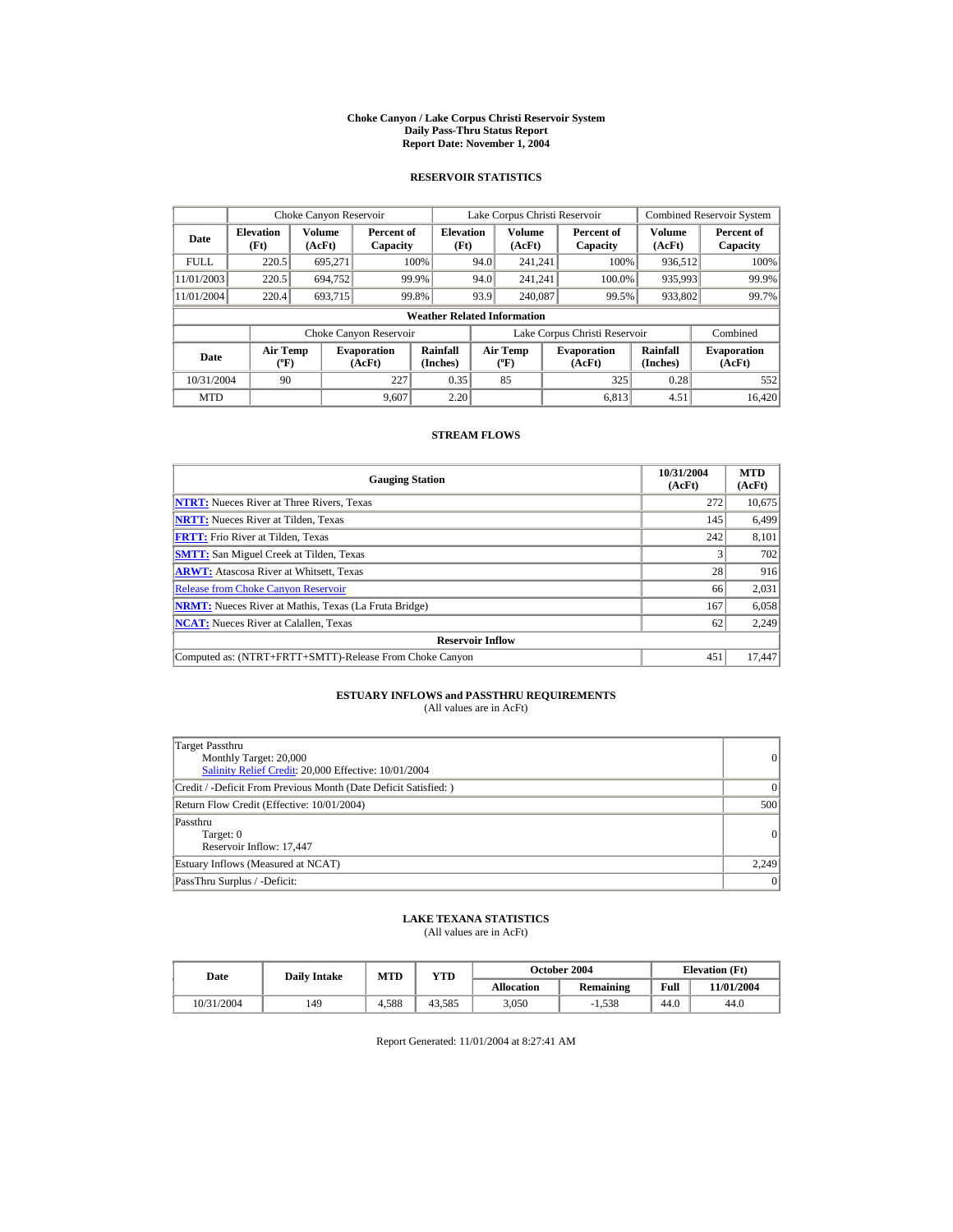#### **Choke Canyon / Lake Corpus Christi Reservoir System Daily Pass-Thru Status Report Report Date: November 1, 2004**

### **RESERVOIR STATISTICS**

|             | Choke Canyon Reservoir                      |                  |                              |                          | Lake Corpus Christi Reservoir |                                           |  |                               |                      | <b>Combined Reservoir System</b> |  |  |
|-------------|---------------------------------------------|------------------|------------------------------|--------------------------|-------------------------------|-------------------------------------------|--|-------------------------------|----------------------|----------------------------------|--|--|
| Date        | <b>Elevation</b><br>(Ft)                    | Volume<br>(AcFt) | Percent of<br>Capacity       | <b>Elevation</b><br>(Ft) |                               | Volume<br>(AcFt)                          |  | Percent of<br>Capacity        | Volume<br>(AcFt)     | Percent of<br>Capacity           |  |  |
| <b>FULL</b> | 220.5                                       | 695.271          |                              | 100%                     | 94.0                          | 241.241                                   |  | 100%                          | 936,512              | 100%                             |  |  |
| 11/01/2003  | 220.5                                       | 694.752          |                              | 99.9%                    | 94.0                          | 241.241                                   |  | 100.0%                        | 935,993              | 99.9%                            |  |  |
| 11/01/2004  | 220.4                                       | 693.715          |                              | 99.8%                    | 93.9                          | 240,087                                   |  | 99.5%                         | 933,802              | 99.7%                            |  |  |
|             | <b>Weather Related Information</b>          |                  |                              |                          |                               |                                           |  |                               |                      |                                  |  |  |
|             |                                             |                  | Choke Canyon Reservoir       |                          |                               |                                           |  | Lake Corpus Christi Reservoir |                      | Combined                         |  |  |
| Date        | <b>Air Temp</b><br>$({}^{\circ}\mathrm{F})$ |                  | <b>Evaporation</b><br>(AcFt) | Rainfall<br>(Inches)     |                               | <b>Air Temp</b><br>$({}^{\circ}\text{F})$ |  | <b>Evaporation</b><br>(AcFt)  | Rainfall<br>(Inches) | <b>Evaporation</b><br>(AcFt)     |  |  |
| 10/31/2004  | 90                                          |                  | 227                          | 0.35                     |                               | 85                                        |  | 325                           | 0.28                 | 552                              |  |  |
| <b>MTD</b>  |                                             |                  | 9.607                        | 2.20                     |                               |                                           |  | 6.813                         | 4.51                 | 16.420                           |  |  |

### **STREAM FLOWS**

| <b>Gauging Station</b>                                       | 10/31/2004<br>(AcFt) | <b>MTD</b><br>(AcFt) |
|--------------------------------------------------------------|----------------------|----------------------|
| <b>NTRT:</b> Nueces River at Three Rivers, Texas             | 272                  | 10,675               |
| <b>NRTT:</b> Nueces River at Tilden, Texas                   | 145                  | 6,499                |
| <b>FRTT:</b> Frio River at Tilden, Texas                     | 242                  | 8,101                |
| <b>SMTT:</b> San Miguel Creek at Tilden, Texas               |                      | 702                  |
| <b>ARWT:</b> Atascosa River at Whitsett, Texas               | 28                   | 916                  |
| <b>Release from Choke Canyon Reservoir</b>                   | 66                   | 2,031                |
| <b>NRMT:</b> Nueces River at Mathis, Texas (La Fruta Bridge) | 167                  | 6,058                |
| <b>NCAT:</b> Nueces River at Calallen, Texas                 | 62                   | 2.249                |
| <b>Reservoir Inflow</b>                                      |                      |                      |
| Computed as: (NTRT+FRTT+SMTT)-Release From Choke Canyon      | 451                  | 17.447               |

# **ESTUARY INFLOWS and PASSTHRU REQUIREMENTS**<br>(All values are in AcFt)

| Target Passthru<br>Monthly Target: 20,000<br>Salinity Relief Credit: 20,000 Effective: 10/01/2004 | 0        |
|---------------------------------------------------------------------------------------------------|----------|
| Credit / -Deficit From Previous Month (Date Deficit Satisfied: )                                  | $\Omega$ |
| Return Flow Credit (Effective: 10/01/2004)                                                        | 500      |
| Passthru<br>Target: 0<br>Reservoir Inflow: 17,447                                                 | 0        |
| Estuary Inflows (Measured at NCAT)                                                                | 2,249    |
| PassThru Surplus / -Deficit:                                                                      | 0        |

### **LAKE TEXANA STATISTICS**

(All values are in AcFt)

| Date       | <b>Daily Intake</b> | MTD   | $_{\rm VTD}$ |            | <b>October 2004</b> | <b>Elevation</b> (Ft) |            |
|------------|---------------------|-------|--------------|------------|---------------------|-----------------------|------------|
|            |                     |       |              | Allocation | Remaining           | Full                  | 11/01/2004 |
| 10/31/2004 | 149                 | 4.588 | 43.585       | 3.050      | $-1.538$            | 44.0                  | 44.0       |

Report Generated: 11/01/2004 at 8:27:41 AM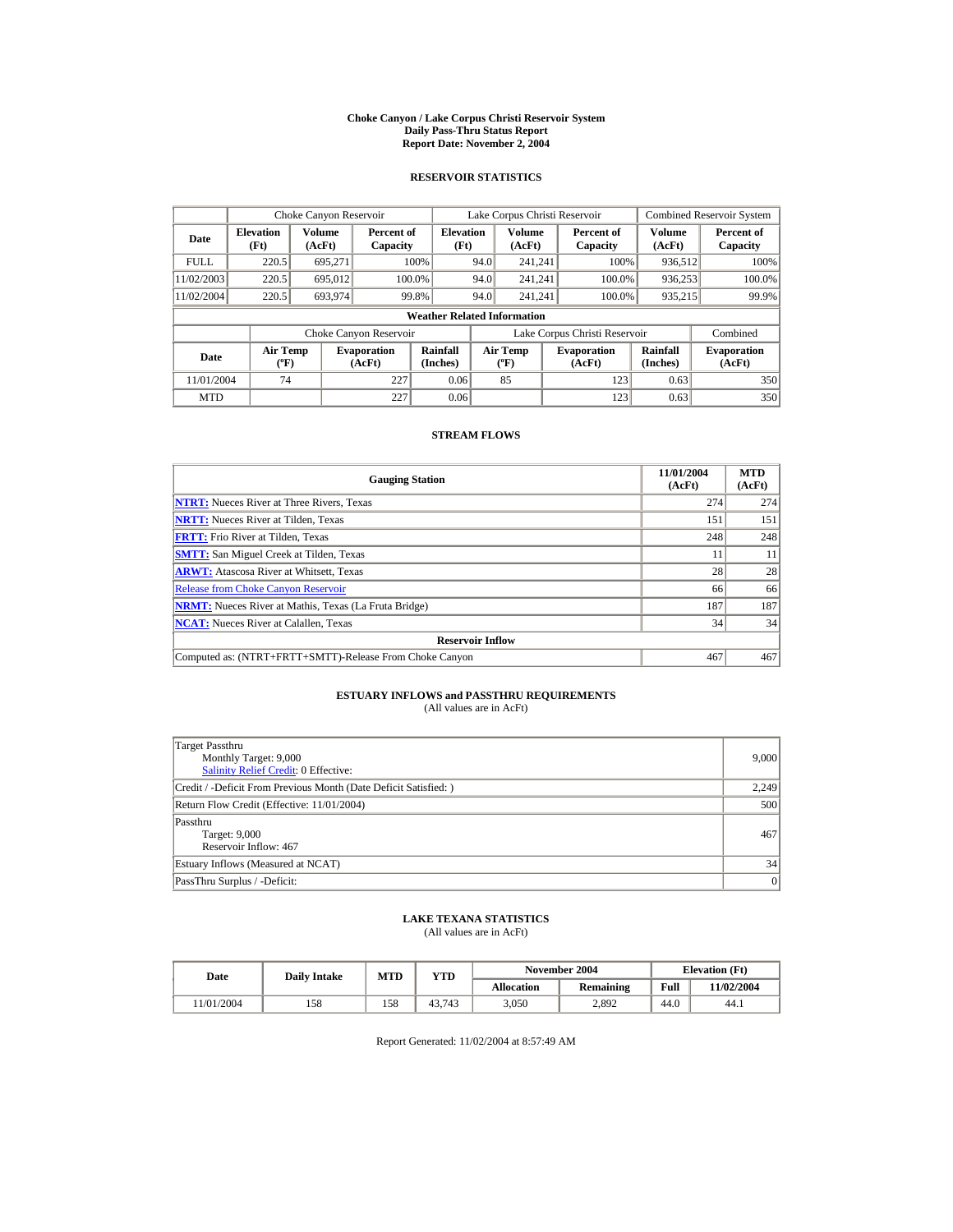#### **Choke Canyon / Lake Corpus Christi Reservoir System Daily Pass-Thru Status Report Report Date: November 2, 2004**

### **RESERVOIR STATISTICS**

|             | Choke Canyon Reservoir                      |                  |                              |                          | Lake Corpus Christi Reservoir             |                  |  |                               |                      | <b>Combined Reservoir System</b> |  |  |
|-------------|---------------------------------------------|------------------|------------------------------|--------------------------|-------------------------------------------|------------------|--|-------------------------------|----------------------|----------------------------------|--|--|
| Date        | <b>Elevation</b><br>(Ft)                    | Volume<br>(AcFt) | Percent of<br>Capacity       | <b>Elevation</b><br>(Ft) |                                           | Volume<br>(AcFt) |  | Percent of<br>Capacity        | Volume<br>(AcFt)     | Percent of<br>Capacity           |  |  |
| <b>FULL</b> | 220.5                                       | 695.271          |                              | 100%                     | 94.0                                      | 241.241          |  | 100%                          | 936,512              | $100\%$                          |  |  |
| 11/02/2003  | 220.5                                       | 695.012          | 100.0%                       |                          | 94.0                                      | 241.241          |  | 100.0%                        | 936,253              | 100.0%                           |  |  |
| 11/02/2004  | 220.5                                       | 693.974          | 99.8%                        |                          | 94.0                                      | 241.241          |  | 100.0%                        | 935,215              | 99.9%                            |  |  |
|             | <b>Weather Related Information</b>          |                  |                              |                          |                                           |                  |  |                               |                      |                                  |  |  |
|             |                                             |                  | Choke Canyon Reservoir       |                          |                                           |                  |  | Lake Corpus Christi Reservoir |                      | Combined                         |  |  |
| Date        | <b>Air Temp</b><br>$({}^{\circ}\mathrm{F})$ |                  | <b>Evaporation</b><br>(AcFt) | Rainfall<br>(Inches)     | <b>Air Temp</b><br>$({}^{\circ}\text{F})$ |                  |  | <b>Evaporation</b><br>(AcFt)  | Rainfall<br>(Inches) | <b>Evaporation</b><br>(AcFt)     |  |  |
| 11/01/2004  | 74                                          |                  | 227                          | 0.06                     |                                           | 85               |  | 123                           | 0.63                 | 350                              |  |  |
| <b>MTD</b>  |                                             |                  | 227                          | 0.06                     |                                           |                  |  | 123                           | 0.63                 | 350                              |  |  |

### **STREAM FLOWS**

| <b>Gauging Station</b>                                       | 11/01/2004<br>(AcFt) | <b>MTD</b><br>(AcFt) |
|--------------------------------------------------------------|----------------------|----------------------|
| <b>NTRT:</b> Nueces River at Three Rivers, Texas             | 274                  | 274                  |
| <b>NRTT:</b> Nueces River at Tilden. Texas                   | 151                  | 151                  |
| <b>FRTT:</b> Frio River at Tilden, Texas                     | 248                  | 248                  |
| <b>SMTT:</b> San Miguel Creek at Tilden, Texas               |                      | 11                   |
| <b>ARWT:</b> Atascosa River at Whitsett, Texas               | 28                   | 28                   |
| <b>Release from Choke Canyon Reservoir</b>                   | 66                   | 66                   |
| <b>NRMT:</b> Nueces River at Mathis, Texas (La Fruta Bridge) | 187                  | 187                  |
| <b>NCAT:</b> Nueces River at Calallen, Texas                 | 34                   | 34                   |
| <b>Reservoir Inflow</b>                                      |                      |                      |
| Computed as: (NTRT+FRTT+SMTT)-Release From Choke Canyon      | 467                  | 467                  |

# **ESTUARY INFLOWS and PASSTHRU REQUIREMENTS**<br>(All values are in AcFt)

| Target Passthru<br>Monthly Target: 9,000<br>Salinity Relief Credit: 0 Effective: | 9.000 |
|----------------------------------------------------------------------------------|-------|
| Credit / -Deficit From Previous Month (Date Deficit Satisfied:)                  | 2,249 |
| Return Flow Credit (Effective: 11/01/2004)                                       | 500   |
| Passthru<br>Target: 9,000<br>Reservoir Inflow: 467                               | 467   |
| Estuary Inflows (Measured at NCAT)                                               | 34    |
| PassThru Surplus / -Deficit:                                                     | 0     |

## **LAKE TEXANA STATISTICS**

(All values are in AcFt)

| Date      | <b>Daily Intake</b> | <b>MTD</b> | YTD    |                   | November 2004 | <b>Elevation</b> (Ft) |            |
|-----------|---------------------|------------|--------|-------------------|---------------|-----------------------|------------|
|           |                     |            |        | <b>Allocation</b> | Remaining     | Full                  | 11/02/2004 |
| 1/01/2004 | 158                 | 158        | 43.743 | 3.050             | 2.892         | 44.0                  | 44.1       |

Report Generated: 11/02/2004 at 8:57:49 AM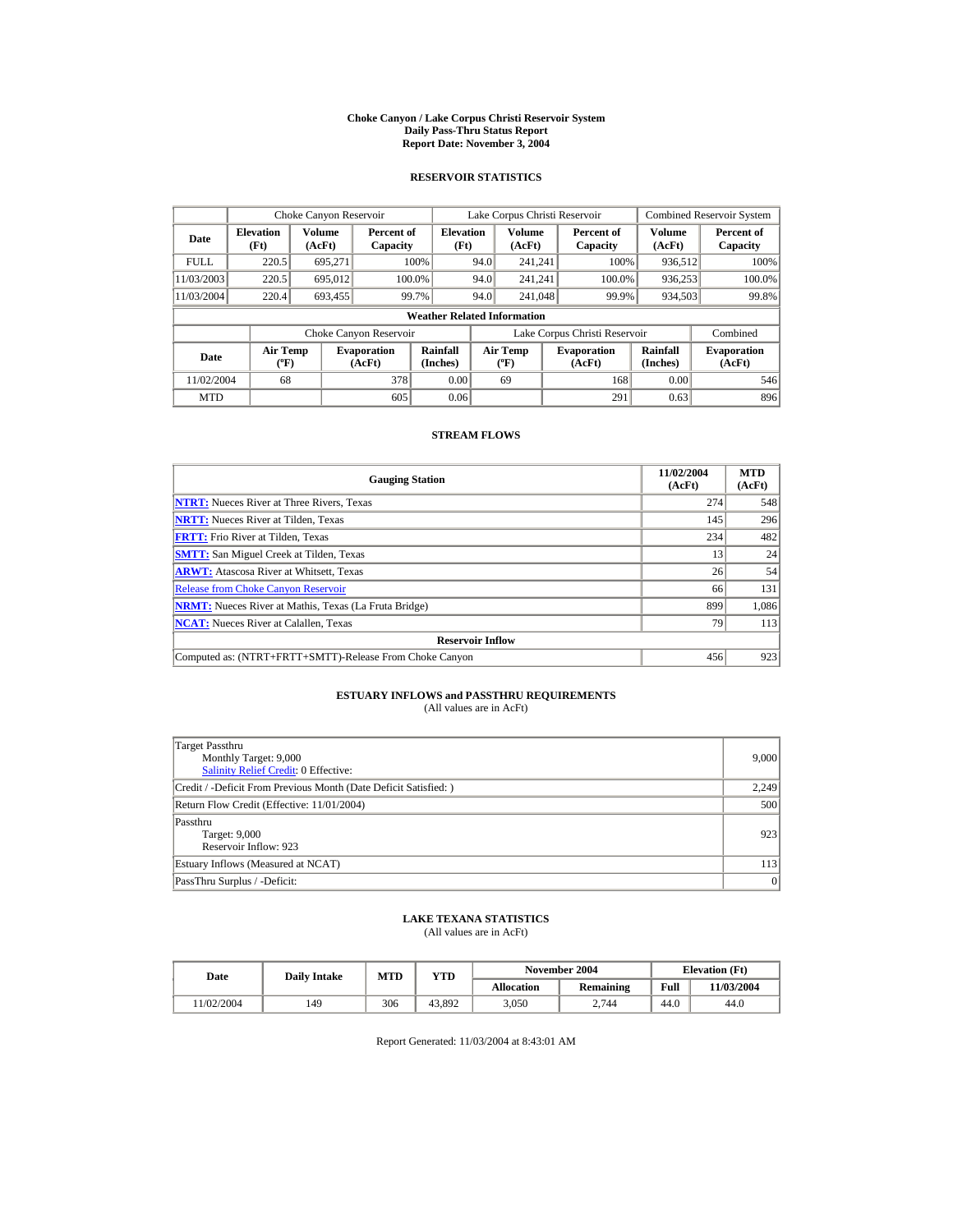#### **Choke Canyon / Lake Corpus Christi Reservoir System Daily Pass-Thru Status Report Report Date: November 3, 2004**

### **RESERVOIR STATISTICS**

|             | Choke Canyon Reservoir                      |                  |                              |                          | Lake Corpus Christi Reservoir             |                  |  |                               |                      | <b>Combined Reservoir System</b> |  |  |
|-------------|---------------------------------------------|------------------|------------------------------|--------------------------|-------------------------------------------|------------------|--|-------------------------------|----------------------|----------------------------------|--|--|
| Date        | <b>Elevation</b><br>(Ft)                    | Volume<br>(AcFt) | Percent of<br>Capacity       | <b>Elevation</b><br>(Ft) |                                           | Volume<br>(AcFt) |  | Percent of<br>Capacity        | Volume<br>(AcFt)     | Percent of<br>Capacity           |  |  |
| <b>FULL</b> | 220.5                                       | 695.271          |                              | 100%                     | 94.0                                      | 241.241          |  | 100%                          | 936,512              | 100%                             |  |  |
| 11/03/2003  | 220.5                                       | 695.012          |                              | 100.0%                   | 94.0                                      | 241.241          |  | 100.0%                        | 936,253              | 100.0%                           |  |  |
| 11/03/2004  | 220.4                                       | 693.455          |                              | 99.7%                    | 94.0                                      | 241,048          |  | 99.9%                         | 934,503              | 99.8%                            |  |  |
|             | <b>Weather Related Information</b>          |                  |                              |                          |                                           |                  |  |                               |                      |                                  |  |  |
|             |                                             |                  | Choke Canyon Reservoir       |                          |                                           |                  |  | Lake Corpus Christi Reservoir |                      | Combined                         |  |  |
| Date        | <b>Air Temp</b><br>$({}^{\circ}\mathrm{F})$ |                  | <b>Evaporation</b><br>(AcFt) | Rainfall<br>(Inches)     | <b>Air Temp</b><br>$({}^{\circ}\text{F})$ |                  |  | <b>Evaporation</b><br>(AcFt)  | Rainfall<br>(Inches) | <b>Evaporation</b><br>(AcFt)     |  |  |
| 11/02/2004  | 68                                          |                  | 378                          | 0.00                     |                                           | 69               |  | 168                           | 0.00                 | 546                              |  |  |
| <b>MTD</b>  |                                             |                  | 605                          | 0.06                     |                                           |                  |  | 291                           | 0.63                 | 896                              |  |  |

### **STREAM FLOWS**

| <b>Gauging Station</b>                                       | 11/02/2004<br>(AcFt) | <b>MTD</b><br>(AcFt) |
|--------------------------------------------------------------|----------------------|----------------------|
| <b>NTRT:</b> Nueces River at Three Rivers, Texas             | 274                  | 548                  |
| <b>NRTT:</b> Nueces River at Tilden. Texas                   | 145                  | 296                  |
| <b>FRTT:</b> Frio River at Tilden, Texas                     | 234                  | 482                  |
| <b>SMTT:</b> San Miguel Creek at Tilden, Texas               | 13                   | 24                   |
| <b>ARWT:</b> Atascosa River at Whitsett, Texas               | 26                   | 54                   |
| <b>Release from Choke Canyon Reservoir</b>                   | 66                   | 131                  |
| <b>NRMT:</b> Nueces River at Mathis, Texas (La Fruta Bridge) | 899                  | 1.086                |
| <b>NCAT:</b> Nueces River at Calallen, Texas                 | 79                   | 113                  |
| <b>Reservoir Inflow</b>                                      |                      |                      |
| Computed as: (NTRT+FRTT+SMTT)-Release From Choke Canyon      | 456                  | 923                  |

# **ESTUARY INFLOWS and PASSTHRU REQUIREMENTS**<br>(All values are in AcFt)

| Target Passthru<br>Monthly Target: 9,000<br><b>Salinity Relief Credit: 0 Effective:</b> | 9.000 |
|-----------------------------------------------------------------------------------------|-------|
| Credit / -Deficit From Previous Month (Date Deficit Satisfied:)                         | 2,249 |
| Return Flow Credit (Effective: 11/01/2004)                                              | 500   |
| Passthru<br>Target: 9,000<br>Reservoir Inflow: 923                                      | 923   |
| Estuary Inflows (Measured at NCAT)                                                      | 113   |
| PassThru Surplus / -Deficit:                                                            | 0     |

## **LAKE TEXANA STATISTICS**

(All values are in AcFt)

| Date      | <b>Daily Intake</b> | MTD | $_{\rm VTD}$ |            | November 2004 | <b>Elevation</b> (Ft) |            |
|-----------|---------------------|-----|--------------|------------|---------------|-----------------------|------------|
|           |                     |     |              | Allocation | Remaining     | Full                  | 11/03/2004 |
| 1/02/2004 | 149                 | 306 | 43.892       | 3.050      | 2.744         | 44.0                  | 44.0       |

Report Generated: 11/03/2004 at 8:43:01 AM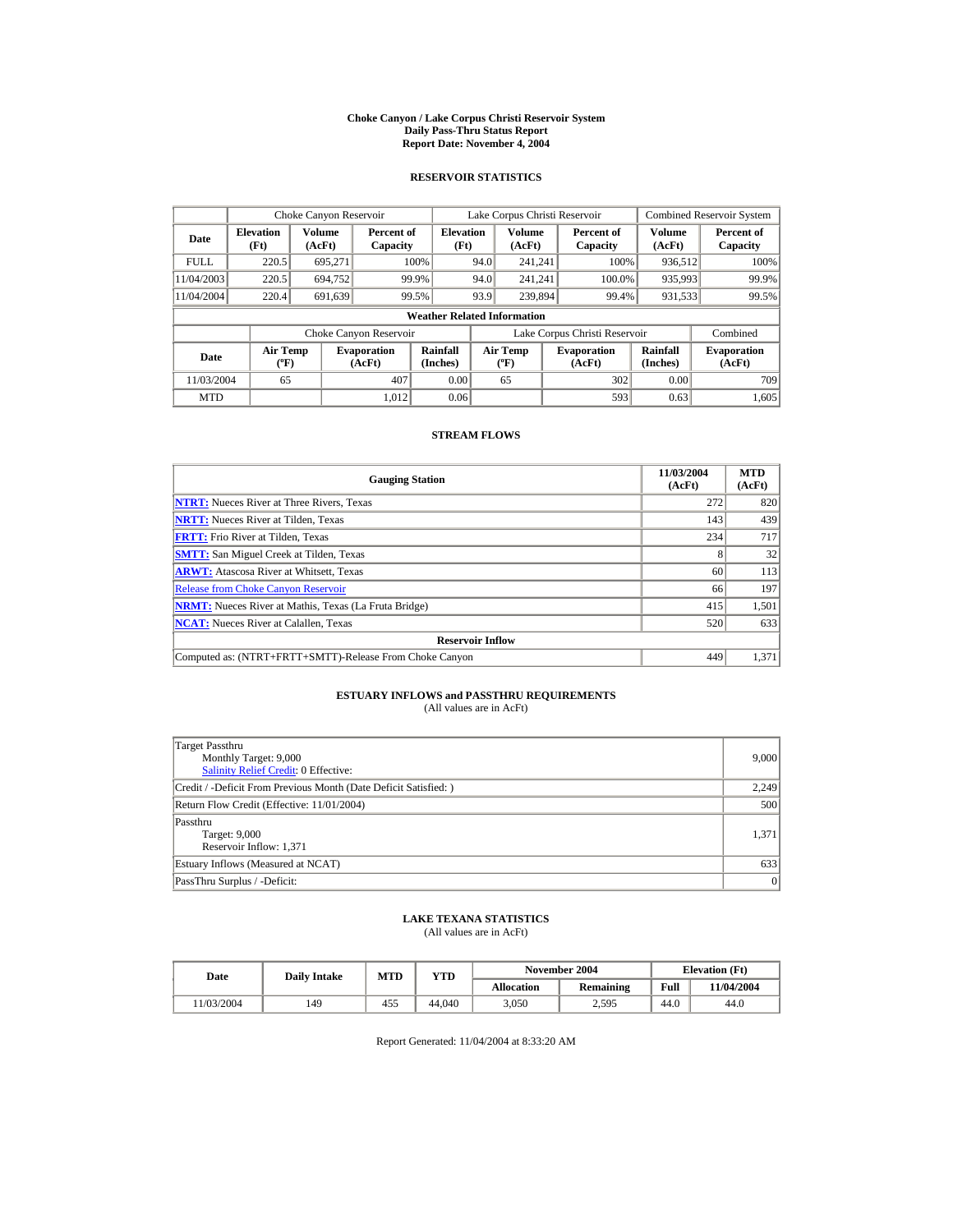#### **Choke Canyon / Lake Corpus Christi Reservoir System Daily Pass-Thru Status Report Report Date: November 4, 2004**

### **RESERVOIR STATISTICS**

|             | Choke Canyon Reservoir                      |                  |                              |                          |      | Lake Corpus Christi Reservoir             |  |                               |                      | <b>Combined Reservoir System</b> |  |  |
|-------------|---------------------------------------------|------------------|------------------------------|--------------------------|------|-------------------------------------------|--|-------------------------------|----------------------|----------------------------------|--|--|
| Date        | <b>Elevation</b><br>(Ft)                    | Volume<br>(AcFt) | Percent of<br>Capacity       | <b>Elevation</b><br>(Ft) |      | Volume<br>(AcFt)                          |  | Percent of<br>Capacity        | Volume<br>(AcFt)     | Percent of<br>Capacity           |  |  |
| <b>FULL</b> | 220.5                                       | 695.271          |                              | 100%                     | 94.0 | 241.241                                   |  | 100%                          | 936,512              | 100%                             |  |  |
| 11/04/2003  | 220.5                                       | 694.752          |                              | 99.9%                    | 94.0 | 241.241                                   |  | 100.0%                        | 935,993              | 99.9%                            |  |  |
| 11/04/2004  | 220.4                                       | 691,639          |                              | 99.5%                    | 93.9 | 239,894                                   |  | 99.4%                         | 931,533              | 99.5%                            |  |  |
|             | <b>Weather Related Information</b>          |                  |                              |                          |      |                                           |  |                               |                      |                                  |  |  |
|             |                                             |                  | Choke Canyon Reservoir       |                          |      |                                           |  | Lake Corpus Christi Reservoir |                      | Combined                         |  |  |
| Date        | <b>Air Temp</b><br>$({}^{\circ}\mathrm{F})$ |                  | <b>Evaporation</b><br>(AcFt) | Rainfall<br>(Inches)     |      | <b>Air Temp</b><br>$({}^{\circ}\text{F})$ |  | <b>Evaporation</b><br>(AcFt)  | Rainfall<br>(Inches) | <b>Evaporation</b><br>(AcFt)     |  |  |
| 11/03/2004  | 65                                          |                  | 407                          | 0.00                     |      | 65                                        |  | 302                           | 0.00                 | 709                              |  |  |
| <b>MTD</b>  |                                             |                  | 1.012                        | 0.06                     |      |                                           |  | 593                           | 0.63                 | 1,605                            |  |  |

### **STREAM FLOWS**

| <b>Gauging Station</b>                                       | 11/03/2004<br>(AcFt) | <b>MTD</b><br>(AcFt) |
|--------------------------------------------------------------|----------------------|----------------------|
| <b>NTRT:</b> Nueces River at Three Rivers, Texas             | 272                  | 820                  |
| <b>NRTT:</b> Nueces River at Tilden, Texas                   | 143                  | 439                  |
| <b>FRTT:</b> Frio River at Tilden, Texas                     | 234                  | 717                  |
| <b>SMTT:</b> San Miguel Creek at Tilden, Texas               |                      | 32                   |
| <b>ARWT:</b> Atascosa River at Whitsett, Texas               | 60                   | 113                  |
| <b>Release from Choke Canyon Reservoir</b>                   | 66                   | 197                  |
| <b>NRMT:</b> Nueces River at Mathis, Texas (La Fruta Bridge) | 415                  | 1,501                |
| <b>NCAT:</b> Nueces River at Calallen, Texas                 | 520                  | 633                  |
| <b>Reservoir Inflow</b>                                      |                      |                      |
| Computed as: (NTRT+FRTT+SMTT)-Release From Choke Canyon      | 449                  | 1,371                |

# **ESTUARY INFLOWS and PASSTHRU REQUIREMENTS**<br>(All values are in AcFt)

| Target Passthru<br>Monthly Target: 9,000<br>Salinity Relief Credit: 0 Effective: | 9,000 |
|----------------------------------------------------------------------------------|-------|
| Credit / -Deficit From Previous Month (Date Deficit Satisfied:)                  | 2,249 |
| Return Flow Credit (Effective: 11/01/2004)                                       | 500   |
| Passthru<br>Target: 9,000<br>Reservoir Inflow: 1,371                             | 1.371 |
| Estuary Inflows (Measured at NCAT)                                               | 633   |
| PassThru Surplus / -Deficit:                                                     | 0     |

## **LAKE TEXANA STATISTICS**

(All values are in AcFt)

| Date      | <b>Daily Intake</b> | MTD | $_{\rm VTD}$ |            | November 2004 | <b>Elevation</b> (Ft) |            |
|-----------|---------------------|-----|--------------|------------|---------------|-----------------------|------------|
|           |                     |     |              | Allocation | Remaining     | Full                  | 11/04/2004 |
| 1/03/2004 | 149                 | 455 | 44,040       | 3.050      | 2,595         | 44.0                  | 44.0       |

Report Generated: 11/04/2004 at 8:33:20 AM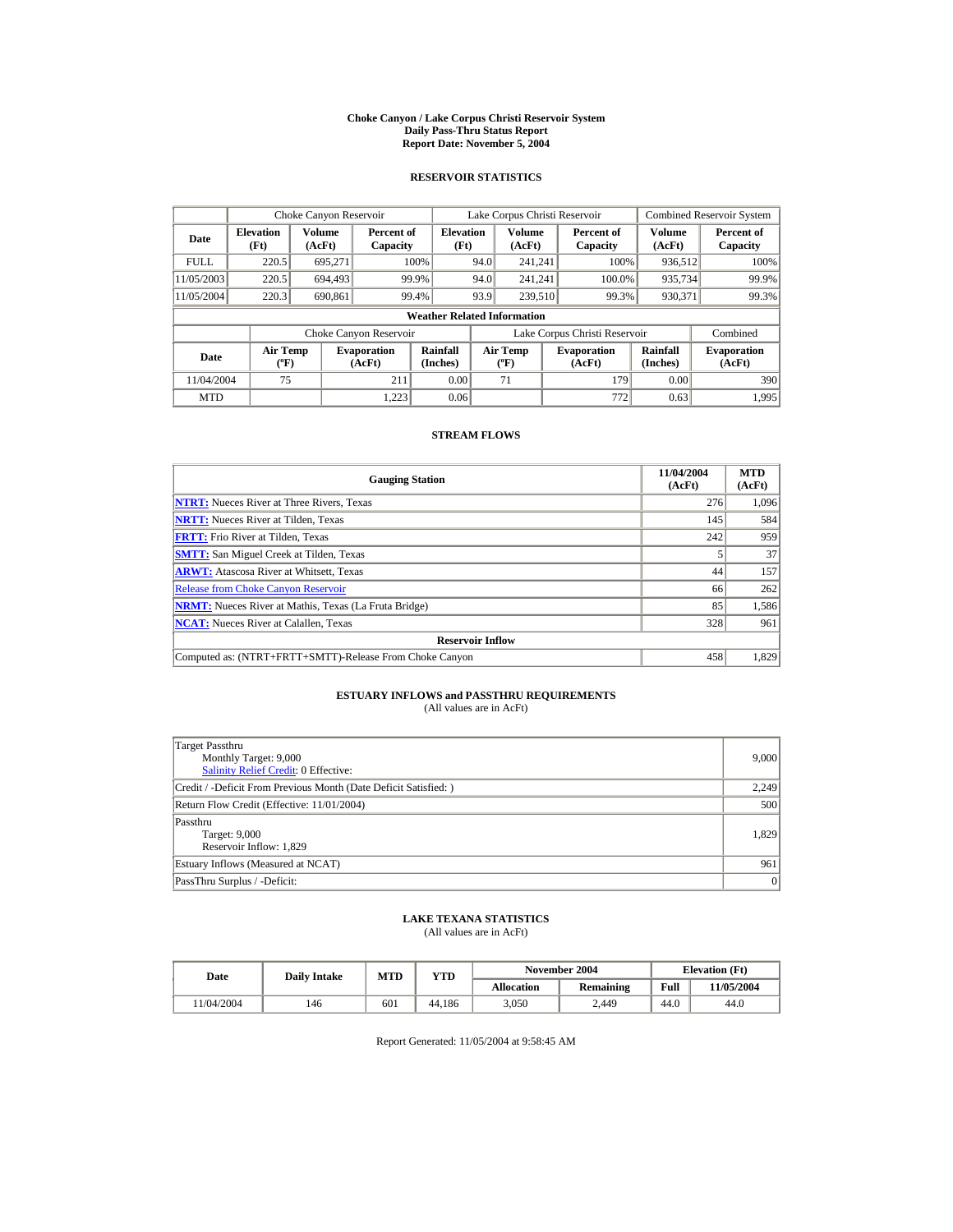#### **Choke Canyon / Lake Corpus Christi Reservoir System Daily Pass-Thru Status Report Report Date: November 5, 2004**

### **RESERVOIR STATISTICS**

|             | Choke Canyon Reservoir                      |                  |                              |                          |      | Lake Corpus Christi Reservoir             |  |                               |                      | <b>Combined Reservoir System</b> |  |  |
|-------------|---------------------------------------------|------------------|------------------------------|--------------------------|------|-------------------------------------------|--|-------------------------------|----------------------|----------------------------------|--|--|
| Date        | <b>Elevation</b><br>(Ft)                    | Volume<br>(AcFt) | Percent of<br>Capacity       | <b>Elevation</b><br>(Ft) |      | Volume<br>(AcFt)                          |  | Percent of<br>Capacity        | Volume<br>(AcFt)     | Percent of<br>Capacity           |  |  |
| <b>FULL</b> | 220.5                                       | 695.271          |                              | 100%                     | 94.0 | 241.241                                   |  | 100%                          | 936,512              | 100%                             |  |  |
| 11/05/2003  | 220.5                                       | 694.493          |                              | 99.9%                    | 94.0 | 241.241                                   |  | 100.0%                        | 935,734              | 99.9%                            |  |  |
| 11/05/2004  | 220.3                                       | 690.861          |                              | 99.4%                    | 93.9 | 239,510                                   |  | 99.3%                         | 930.371              | 99.3%                            |  |  |
|             | <b>Weather Related Information</b>          |                  |                              |                          |      |                                           |  |                               |                      |                                  |  |  |
|             |                                             |                  | Choke Canyon Reservoir       |                          |      |                                           |  | Lake Corpus Christi Reservoir |                      | Combined                         |  |  |
| Date        | <b>Air Temp</b><br>$({}^{\circ}\mathrm{F})$ |                  | <b>Evaporation</b><br>(AcFt) | Rainfall<br>(Inches)     |      | <b>Air Temp</b><br>$({}^{\circ}\text{F})$ |  | <b>Evaporation</b><br>(AcFt)  | Rainfall<br>(Inches) | <b>Evaporation</b><br>(AcFt)     |  |  |
| 11/04/2004  | 75                                          |                  | 211                          | 0.00                     |      | 71                                        |  | 179                           | 0.00                 | 390                              |  |  |
| <b>MTD</b>  |                                             |                  | 1.223                        | 0.06                     |      |                                           |  | 772                           | 0.63                 | 1.995                            |  |  |

### **STREAM FLOWS**

| <b>Gauging Station</b>                                       | 11/04/2004<br>(AcFt) | <b>MTD</b><br>(AcFt) |
|--------------------------------------------------------------|----------------------|----------------------|
| <b>NTRT:</b> Nueces River at Three Rivers, Texas             | 276                  | 1.096                |
| <b>NRTT:</b> Nueces River at Tilden, Texas                   | 145                  | 584                  |
| <b>FRTT:</b> Frio River at Tilden, Texas                     | 242                  | 959                  |
| <b>SMTT:</b> San Miguel Creek at Tilden, Texas               |                      | 37                   |
| <b>ARWT:</b> Atascosa River at Whitsett, Texas               | 44                   | 157                  |
| <b>Release from Choke Canyon Reservoir</b>                   | 66                   | 262                  |
| <b>NRMT:</b> Nueces River at Mathis, Texas (La Fruta Bridge) | 85                   | 1,586                |
| <b>NCAT:</b> Nueces River at Calallen, Texas                 | 328                  | 961                  |
| <b>Reservoir Inflow</b>                                      |                      |                      |
| Computed as: (NTRT+FRTT+SMTT)-Release From Choke Canyon      | 458                  | 1,829                |

# **ESTUARY INFLOWS and PASSTHRU REQUIREMENTS**<br>(All values are in AcFt)

| Target Passthru<br>Monthly Target: 9,000<br><b>Salinity Relief Credit: 0 Effective:</b> | 9,000 |
|-----------------------------------------------------------------------------------------|-------|
| Credit / -Deficit From Previous Month (Date Deficit Satisfied:)                         | 2,249 |
| Return Flow Credit (Effective: 11/01/2004)                                              | 500   |
| Passthru<br>Target: 9,000<br>Reservoir Inflow: 1,829                                    | 1,829 |
| Estuary Inflows (Measured at NCAT)                                                      | 961   |
| PassThru Surplus / -Deficit:                                                            | 0     |

## **LAKE TEXANA STATISTICS**

(All values are in AcFt)

| Date      | <b>Daily Intake</b> | MTD | $_{\rm VTD}$ |            | November 2004 |      | <b>Elevation</b> (Ft) |
|-----------|---------------------|-----|--------------|------------|---------------|------|-----------------------|
|           |                     |     |              | Allocation | Remaining     | Full | 11/05/2004            |
| 1/04/2004 | 146                 | 601 | 44.186       | 3.050      | 2.449         | 44.0 | 44.0                  |

Report Generated: 11/05/2004 at 9:58:45 AM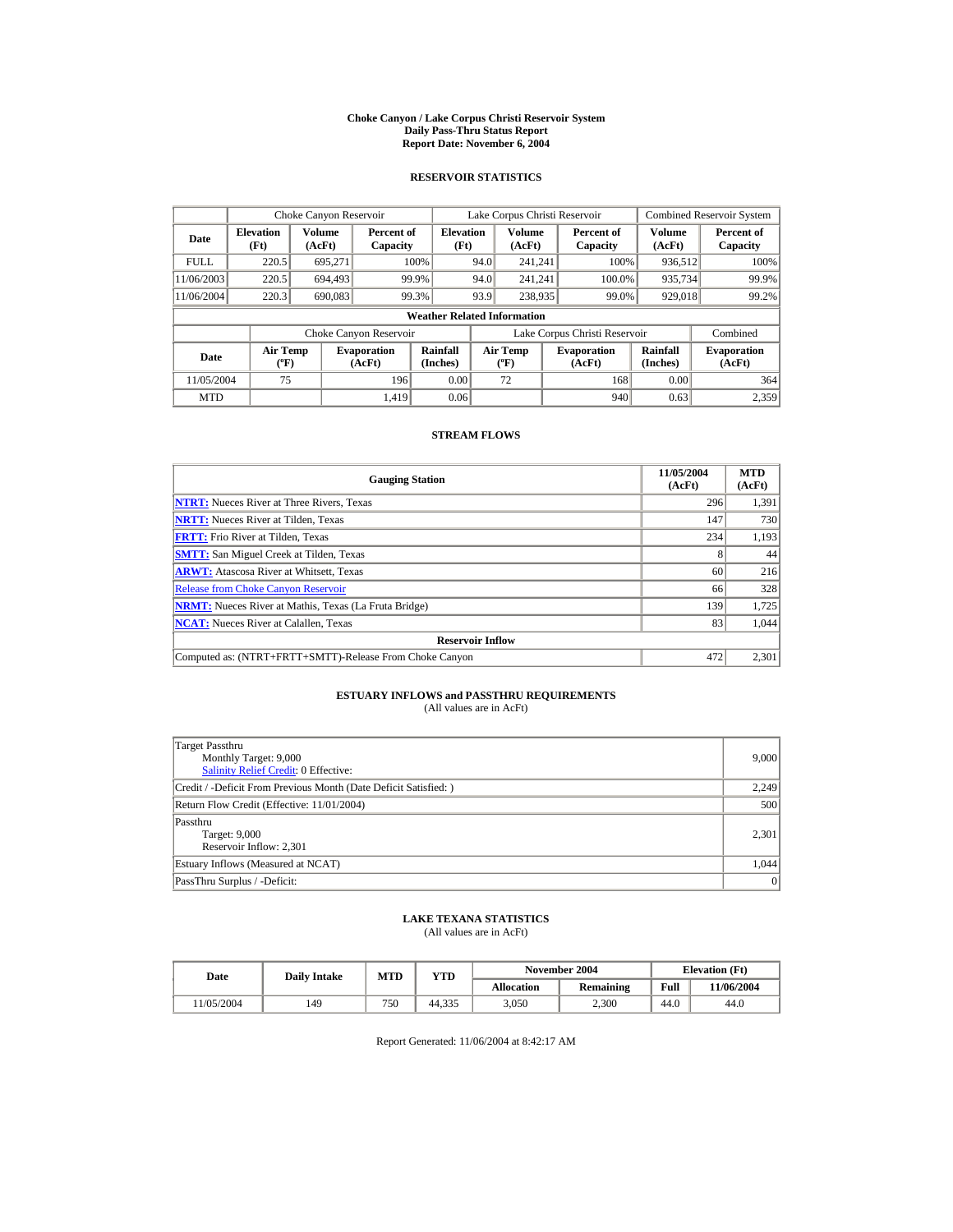#### **Choke Canyon / Lake Corpus Christi Reservoir System Daily Pass-Thru Status Report Report Date: November 6, 2004**

### **RESERVOIR STATISTICS**

|             | Choke Canyon Reservoir                      |                  |                              |                          |      | Lake Corpus Christi Reservoir             |  |                               |                      | <b>Combined Reservoir System</b> |  |  |
|-------------|---------------------------------------------|------------------|------------------------------|--------------------------|------|-------------------------------------------|--|-------------------------------|----------------------|----------------------------------|--|--|
| Date        | <b>Elevation</b><br>(Ft)                    | Volume<br>(AcFt) | Percent of<br>Capacity       | <b>Elevation</b><br>(Ft) |      | <b>Volume</b><br>(AcFt)                   |  | Percent of<br>Capacity        | Volume<br>(AcFt)     | Percent of<br>Capacity           |  |  |
| <b>FULL</b> | 220.5                                       | 695.271          |                              | 100%                     | 94.0 | 241.241                                   |  | 100%                          | 936,512              | 100%                             |  |  |
| 11/06/2003  | 220.5                                       | 694.493          |                              | 99.9%                    | 94.0 | 241.241                                   |  | 100.0%                        | 935,734              | 99.9%                            |  |  |
| 11/06/2004  | 220.3                                       | 690,083          |                              | 99.3%                    | 93.9 | 238,935                                   |  | 99.0%                         | 929,018              | 99.2%                            |  |  |
|             | <b>Weather Related Information</b>          |                  |                              |                          |      |                                           |  |                               |                      |                                  |  |  |
|             |                                             |                  | Choke Canyon Reservoir       |                          |      |                                           |  | Lake Corpus Christi Reservoir |                      | Combined                         |  |  |
| Date        | <b>Air Temp</b><br>$({}^{\circ}\mathrm{F})$ |                  | <b>Evaporation</b><br>(AcFt) | Rainfall<br>(Inches)     |      | <b>Air Temp</b><br>$({}^{\circ}\text{F})$ |  | <b>Evaporation</b><br>(AcFt)  | Rainfall<br>(Inches) | <b>Evaporation</b><br>(AcFt)     |  |  |
| 11/05/2004  | 75                                          |                  | 196                          | 0.00                     |      | 72                                        |  | 168                           | 0.00                 | 364                              |  |  |
| <b>MTD</b>  |                                             |                  | 1.419                        | 0.06                     |      |                                           |  | 940                           | 0.63                 | 2,359                            |  |  |

### **STREAM FLOWS**

| <b>Gauging Station</b>                                       | 11/05/2004<br>(AcFt) | <b>MTD</b><br>(AcFt) |
|--------------------------------------------------------------|----------------------|----------------------|
| <b>NTRT:</b> Nueces River at Three Rivers, Texas             | 296                  | 1,391                |
| <b>NRTT:</b> Nueces River at Tilden, Texas                   | 147                  | 730                  |
| <b>FRTT:</b> Frio River at Tilden, Texas                     | 234                  | 1,193                |
| <b>SMTT:</b> San Miguel Creek at Tilden, Texas               |                      | 44                   |
| <b>ARWT:</b> Atascosa River at Whitsett, Texas               | 60                   | 216                  |
| <b>Release from Choke Canyon Reservoir</b>                   | 66                   | 328                  |
| <b>NRMT:</b> Nueces River at Mathis, Texas (La Fruta Bridge) | 139                  | 1.725                |
| <b>NCAT:</b> Nueces River at Calallen, Texas                 | 83                   | 1.044                |
| <b>Reservoir Inflow</b>                                      |                      |                      |
| Computed as: (NTRT+FRTT+SMTT)-Release From Choke Canyon      | 472                  | 2,301                |

# **ESTUARY INFLOWS and PASSTHRU REQUIREMENTS**<br>(All values are in AcFt)

| Target Passthru<br>Monthly Target: 9,000<br>Salinity Relief Credit: 0 Effective: | 9,000 |
|----------------------------------------------------------------------------------|-------|
| Credit / -Deficit From Previous Month (Date Deficit Satisfied:)                  | 2,249 |
| Return Flow Credit (Effective: 11/01/2004)                                       | 500   |
| Passthru<br>Target: 9,000<br>Reservoir Inflow: 2,301                             | 2,301 |
| Estuary Inflows (Measured at NCAT)                                               | 1,044 |
| PassThru Surplus / -Deficit:                                                     | 0     |

## **LAKE TEXANA STATISTICS**

(All values are in AcFt)

| Date      | <b>Daily Intake</b> | November 2004<br>MTD<br>YTD |        |                   |           | <b>Elevation</b> (Ft) |            |
|-----------|---------------------|-----------------------------|--------|-------------------|-----------|-----------------------|------------|
|           |                     |                             |        | <b>Allocation</b> | Remaining | Full                  | 11/06/2004 |
| 1/05/2004 | 149                 | 750                         | 44.335 | 3.050             | 2.300     | 44.0                  | 44.0       |

Report Generated: 11/06/2004 at 8:42:17 AM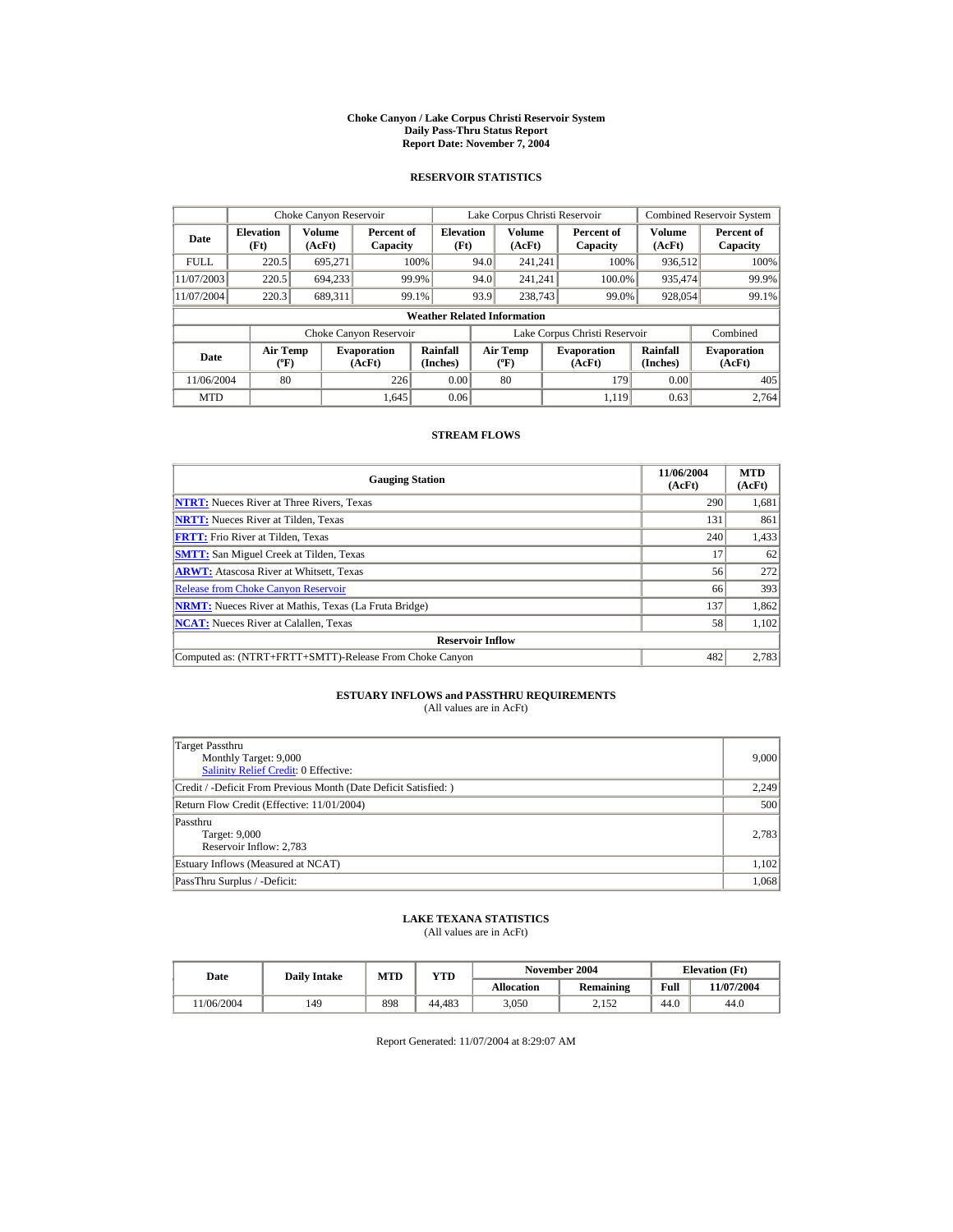#### **Choke Canyon / Lake Corpus Christi Reservoir System Daily Pass-Thru Status Report Report Date: November 7, 2004**

### **RESERVOIR STATISTICS**

|             | Choke Canyon Reservoir                      |                  |                              |                          | Lake Corpus Christi Reservoir |                                           |  |                               |                      | <b>Combined Reservoir System</b> |  |  |
|-------------|---------------------------------------------|------------------|------------------------------|--------------------------|-------------------------------|-------------------------------------------|--|-------------------------------|----------------------|----------------------------------|--|--|
| Date        | <b>Elevation</b><br>(Ft)                    | Volume<br>(AcFt) | Percent of<br>Capacity       | <b>Elevation</b><br>(Ft) |                               | Volume<br>(AcFt)                          |  | Percent of<br>Capacity        | Volume<br>(AcFt)     | Percent of<br>Capacity           |  |  |
| <b>FULL</b> | 220.5                                       | 695.271          |                              | 100%                     | 94.0                          | 241.241                                   |  | 100%                          | 936,512              | 100%                             |  |  |
| 11/07/2003  | 220.5                                       | 694.233          |                              | 99.9%                    | 94.0                          | 241.241                                   |  | 100.0%                        | 935,474              | 99.9%                            |  |  |
| 11/07/2004  | 220.3                                       | 689.311          |                              | 99.1%                    | 93.9                          | 238,743                                   |  | 99.0%                         | 928,054              | 99.1%                            |  |  |
|             | <b>Weather Related Information</b>          |                  |                              |                          |                               |                                           |  |                               |                      |                                  |  |  |
|             |                                             |                  | Choke Canyon Reservoir       |                          |                               |                                           |  | Lake Corpus Christi Reservoir |                      | Combined                         |  |  |
| Date        | <b>Air Temp</b><br>$({}^{\circ}\mathrm{F})$ |                  | <b>Evaporation</b><br>(AcFt) | Rainfall<br>(Inches)     |                               | <b>Air Temp</b><br>$({}^{\circ}\text{F})$ |  | <b>Evaporation</b><br>(AcFt)  | Rainfall<br>(Inches) | <b>Evaporation</b><br>(AcFt)     |  |  |
| 11/06/2004  | 80                                          |                  | 226                          | 0.00                     |                               | 80                                        |  | 179                           | 0.00                 | 405                              |  |  |
| <b>MTD</b>  |                                             |                  | 1.645                        | 0.06                     |                               |                                           |  | 1.119                         | 0.63                 | 2.764                            |  |  |

### **STREAM FLOWS**

| <b>Gauging Station</b>                                       | 11/06/2004<br>(AcFt) | <b>MTD</b><br>(AcFt) |
|--------------------------------------------------------------|----------------------|----------------------|
| <b>NTRT:</b> Nueces River at Three Rivers, Texas             | 290                  | 1,681                |
| <b>NRTT:</b> Nueces River at Tilden. Texas                   | 131                  | 861                  |
| <b>FRTT:</b> Frio River at Tilden, Texas                     | 240                  | 1,433                |
| <b>SMTT:</b> San Miguel Creek at Tilden, Texas               | 17                   | 62                   |
| <b>ARWT:</b> Atascosa River at Whitsett, Texas               | 56                   | 272                  |
| <b>Release from Choke Canyon Reservoir</b>                   | 66                   | 393                  |
| <b>NRMT:</b> Nueces River at Mathis, Texas (La Fruta Bridge) | 137                  | 1,862                |
| <b>NCAT:</b> Nueces River at Calallen, Texas                 | 58                   | 1,102                |
| <b>Reservoir Inflow</b>                                      |                      |                      |
| Computed as: (NTRT+FRTT+SMTT)-Release From Choke Canyon      | 482                  | 2,783                |

## **ESTUARY INFLOWS and PASSTHRU REQUIREMENTS**<br>(All values are in AcFt)

| Target Passthru<br>Monthly Target: 9,000<br><b>Salinity Relief Credit: 0 Effective:</b> | 9,000 |
|-----------------------------------------------------------------------------------------|-------|
| Credit / -Deficit From Previous Month (Date Deficit Satisfied:)                         | 2,249 |
| Return Flow Credit (Effective: 11/01/2004)                                              | 500   |
| Passthru<br>Target: 9,000<br>Reservoir Inflow: 2,783                                    | 2,783 |
| Estuary Inflows (Measured at NCAT)                                                      | 1,102 |
| PassThru Surplus / -Deficit:                                                            | 1.068 |

## **LAKE TEXANA STATISTICS**

(All values are in AcFt)

| Date      | <b>Daily Intake</b> | MTD | $_{\rm VTD}$ |            | November 2004 | <b>Elevation</b> (Ft) |            |
|-----------|---------------------|-----|--------------|------------|---------------|-----------------------|------------|
|           |                     |     |              | Allocation | Remaining     | Full                  | 11/07/2004 |
| 1/06/2004 | 149                 | 898 | 44.483       | 3.050      | 2.152         | 44.0                  | 44.0       |

Report Generated: 11/07/2004 at 8:29:07 AM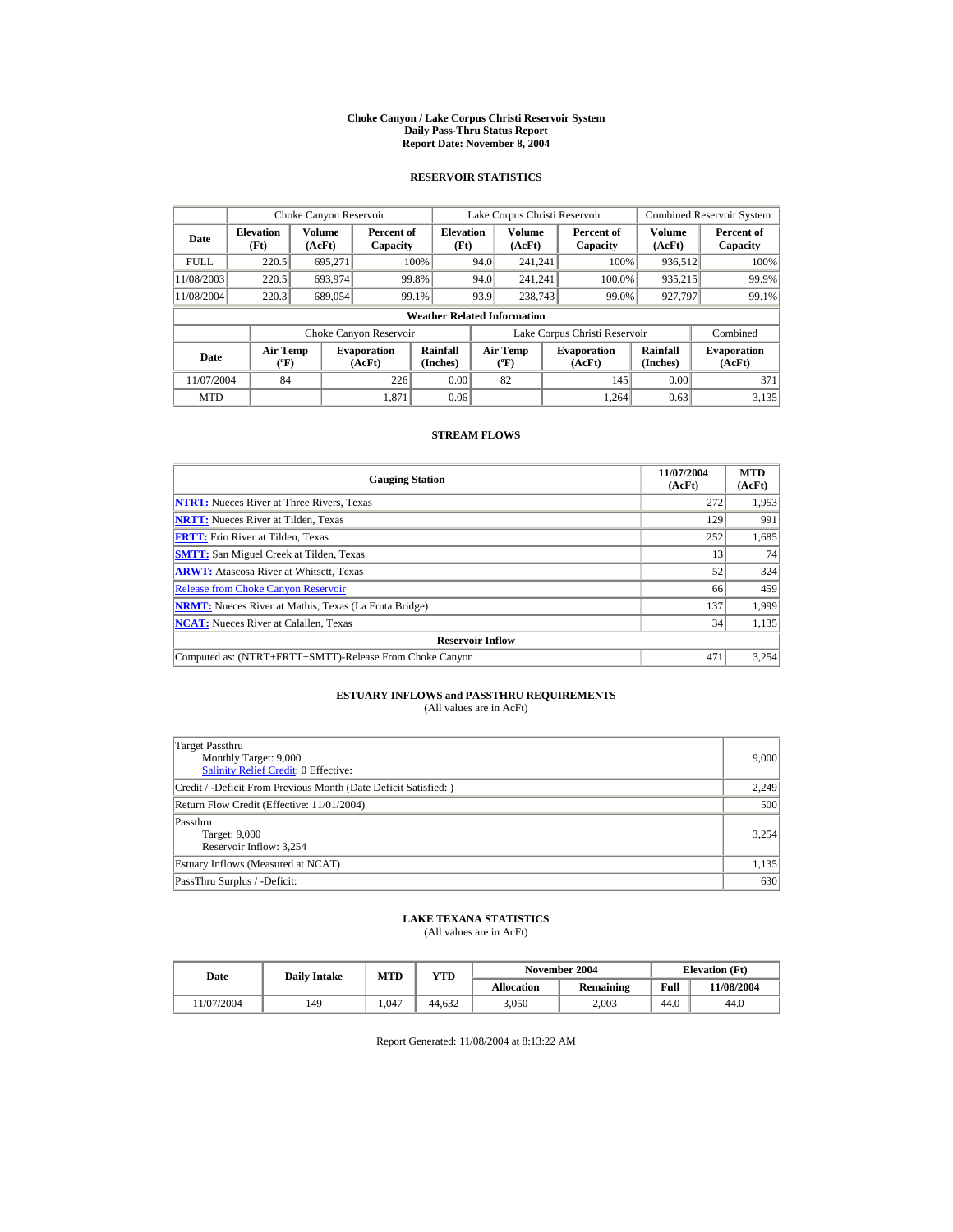#### **Choke Canyon / Lake Corpus Christi Reservoir System Daily Pass-Thru Status Report Report Date: November 8, 2004**

### **RESERVOIR STATISTICS**

|             | Choke Canyon Reservoir                      |                  |                              |                          | Lake Corpus Christi Reservoir |                                           |  |                               |                      | <b>Combined Reservoir System</b> |  |  |
|-------------|---------------------------------------------|------------------|------------------------------|--------------------------|-------------------------------|-------------------------------------------|--|-------------------------------|----------------------|----------------------------------|--|--|
| Date        | <b>Elevation</b><br>(Ft)                    | Volume<br>(AcFt) | Percent of<br>Capacity       | <b>Elevation</b><br>(Ft) |                               | Volume<br>(AcFt)                          |  | Percent of<br>Capacity        | Volume<br>(AcFt)     | Percent of<br>Capacity           |  |  |
| <b>FULL</b> | 220.5                                       | 695.271          |                              | 100%                     | 94.0                          | 241.241                                   |  | 100%                          | 936,512              | 100%                             |  |  |
| 11/08/2003  | 220.5                                       | 693,974          | 99.8%                        |                          | 94.0                          | 241.241                                   |  | 100.0%                        | 935,215              | 99.9%                            |  |  |
| 11/08/2004  | 220.3                                       | 689,054          | 99.1%                        |                          | 93.9                          | 238,743                                   |  | 99.0%                         | 927.797              | 99.1%                            |  |  |
|             | <b>Weather Related Information</b>          |                  |                              |                          |                               |                                           |  |                               |                      |                                  |  |  |
|             |                                             |                  | Choke Canyon Reservoir       |                          |                               |                                           |  | Lake Corpus Christi Reservoir |                      | Combined                         |  |  |
| Date        | <b>Air Temp</b><br>$({}^{\circ}\mathrm{F})$ |                  | <b>Evaporation</b><br>(AcFt) | Rainfall<br>(Inches)     |                               | <b>Air Temp</b><br>$({}^{\circ}\text{F})$ |  | <b>Evaporation</b><br>(AcFt)  | Rainfall<br>(Inches) | <b>Evaporation</b><br>(AcFt)     |  |  |
| 11/07/2004  | 84                                          |                  | 226                          | 0.00                     |                               | 82                                        |  | 145                           | 0.00                 | 371                              |  |  |
| <b>MTD</b>  |                                             |                  | 1.871                        | 0.06                     |                               |                                           |  | 1.264                         | 0.63                 | 3,135                            |  |  |

### **STREAM FLOWS**

| <b>Gauging Station</b>                                       | 11/07/2004<br>(AcFt) | <b>MTD</b><br>(AcFt) |
|--------------------------------------------------------------|----------------------|----------------------|
| <b>NTRT:</b> Nueces River at Three Rivers, Texas             | 272                  | 1,953                |
| <b>NRTT:</b> Nueces River at Tilden, Texas                   | 129                  | 991                  |
| <b>FRTT:</b> Frio River at Tilden, Texas                     | 252                  | 1,685                |
| <b>SMTT:</b> San Miguel Creek at Tilden, Texas               | 13                   | 74                   |
| <b>ARWT:</b> Atascosa River at Whitsett, Texas               | 52                   | 324                  |
| <b>Release from Choke Canyon Reservoir</b>                   | 66                   | 459                  |
| <b>NRMT:</b> Nueces River at Mathis, Texas (La Fruta Bridge) | 137                  | 1.999                |
| <b>NCAT:</b> Nueces River at Calallen, Texas                 | 34                   | 1,135                |
| <b>Reservoir Inflow</b>                                      |                      |                      |
| Computed as: (NTRT+FRTT+SMTT)-Release From Choke Canyon      | 471                  | 3,254                |

# **ESTUARY INFLOWS and PASSTHRU REQUIREMENTS**<br>(All values are in AcFt)

| Target Passthru<br>Monthly Target: 9,000<br><b>Salinity Relief Credit: 0 Effective:</b> | 9,000 |
|-----------------------------------------------------------------------------------------|-------|
| Credit / -Deficit From Previous Month (Date Deficit Satisfied:)                         | 2,249 |
| Return Flow Credit (Effective: 11/01/2004)                                              | 500   |
| Passthru<br>Target: 9,000<br>Reservoir Inflow: 3,254                                    | 3.254 |
| Estuary Inflows (Measured at NCAT)                                                      | 1,135 |
| PassThru Surplus / -Deficit:                                                            | 630   |

## **LAKE TEXANA STATISTICS**

(All values are in AcFt)

| Date      | <b>Daily Intake</b> | <b>MTD</b> | YTD    |                   | November 2004 | <b>Elevation</b> (Ft) |            |
|-----------|---------------------|------------|--------|-------------------|---------------|-----------------------|------------|
|           |                     |            |        | <b>Allocation</b> | Remaining     | Full                  | 11/08/2004 |
| 1/07/2004 | 149                 | 1.047      | 44.632 | 3.050             | 2.003         | 44.0                  | 44.0       |

Report Generated: 11/08/2004 at 8:13:22 AM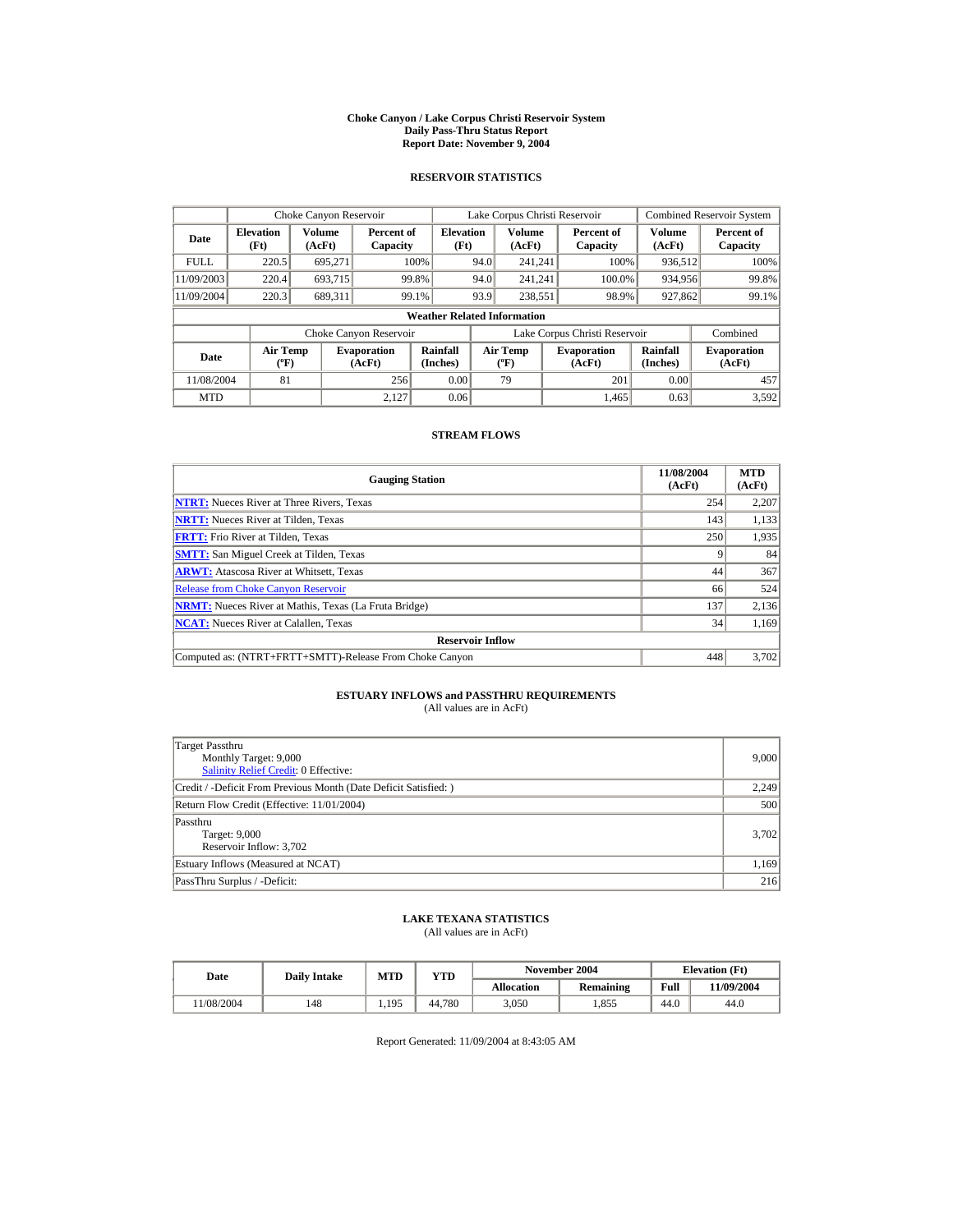#### **Choke Canyon / Lake Corpus Christi Reservoir System Daily Pass-Thru Status Report Report Date: November 9, 2004**

### **RESERVOIR STATISTICS**

|             | Choke Canyon Reservoir                      |                  |                              |                          | Lake Corpus Christi Reservoir |                                  |  |                               |                      | <b>Combined Reservoir System</b> |  |  |
|-------------|---------------------------------------------|------------------|------------------------------|--------------------------|-------------------------------|----------------------------------|--|-------------------------------|----------------------|----------------------------------|--|--|
| Date        | <b>Elevation</b><br>(Ft)                    | Volume<br>(AcFt) | Percent of<br>Capacity       | <b>Elevation</b><br>(Ft) |                               | Volume<br>(AcFt)                 |  | Percent of<br>Capacity        | Volume<br>(AcFt)     | Percent of<br>Capacity           |  |  |
| <b>FULL</b> | 220.5                                       | 695.271          |                              | 100%                     | 94.0                          | 241.241                          |  | 100%                          | 936,512              | 100%                             |  |  |
| 11/09/2003  | 220.4                                       | 693.715          | 99.8%                        |                          | 94.0                          | 241.241                          |  | 100.0%                        | 934,956              | 99.8%                            |  |  |
| 11/09/2004  | 220.3                                       | 689.311          | 99.1%                        |                          | 93.9                          | 238.551                          |  | 98.9%                         | 927,862              | 99.1%                            |  |  |
|             | <b>Weather Related Information</b>          |                  |                              |                          |                               |                                  |  |                               |                      |                                  |  |  |
|             |                                             |                  | Choke Canyon Reservoir       |                          |                               |                                  |  | Lake Corpus Christi Reservoir |                      | Combined                         |  |  |
| Date        | <b>Air Temp</b><br>$({}^{\circ}\mathrm{F})$ |                  | <b>Evaporation</b><br>(AcFt) | Rainfall<br>(Inches)     |                               | <b>Air Temp</b><br>$(^{\circ}F)$ |  | <b>Evaporation</b><br>(AcFt)  | Rainfall<br>(Inches) | <b>Evaporation</b><br>(AcFt)     |  |  |
| 11/08/2004  | 81                                          |                  | 256                          | 0.00                     |                               | 79                               |  | 201                           | 0.00                 | 457                              |  |  |
| <b>MTD</b>  |                                             |                  | 2.127                        | 0.06                     |                               |                                  |  | 1.465                         | 0.63                 | 3,592                            |  |  |

### **STREAM FLOWS**

| <b>Gauging Station</b>                                       | 11/08/2004<br>(AcFt) | <b>MTD</b><br>(AcFt) |
|--------------------------------------------------------------|----------------------|----------------------|
| <b>NTRT:</b> Nueces River at Three Rivers, Texas             | 254                  | 2,207                |
| <b>NRTT:</b> Nueces River at Tilden, Texas                   | 143                  | 1,133                |
| <b>FRTT:</b> Frio River at Tilden, Texas                     | 250                  | 1,935                |
| <b>SMTT:</b> San Miguel Creek at Tilden, Texas               |                      | 84                   |
| <b>ARWT:</b> Atascosa River at Whitsett, Texas               | 44                   | 367                  |
| <b>Release from Choke Canyon Reservoir</b>                   | 66                   | 524                  |
| <b>NRMT:</b> Nueces River at Mathis, Texas (La Fruta Bridge) | 137                  | 2,136                |
| <b>NCAT:</b> Nueces River at Calallen, Texas                 | 34                   | 1,169                |
| <b>Reservoir Inflow</b>                                      |                      |                      |
| Computed as: (NTRT+FRTT+SMTT)-Release From Choke Canyon      | 448                  | 3,702                |

# **ESTUARY INFLOWS and PASSTHRU REQUIREMENTS**<br>(All values are in AcFt)

| Target Passthru<br>Monthly Target: 9,000<br><b>Salinity Relief Credit: 0 Effective:</b> | 9,000 |
|-----------------------------------------------------------------------------------------|-------|
| Credit / -Deficit From Previous Month (Date Deficit Satisfied:)                         | 2,249 |
| Return Flow Credit (Effective: 11/01/2004)                                              | 500   |
| Passthru<br>Target: 9,000<br>Reservoir Inflow: 3,702                                    | 3,702 |
| Estuary Inflows (Measured at NCAT)                                                      | 1,169 |
| PassThru Surplus / -Deficit:                                                            | 216   |

## **LAKE TEXANA STATISTICS**

(All values are in AcFt)

| Date      | <b>Daily Intake</b> | <b>MTD</b> | $_{\rm VTD}$ |            | November 2004 | <b>Elevation</b> (Ft) |            |
|-----------|---------------------|------------|--------------|------------|---------------|-----------------------|------------|
|           |                     |            |              | Allocation | Remaining     | Full                  | 11/09/2004 |
| 1/08/2004 | 148                 | 1.195      | 44.780       | 3.050      | .855          | 44.0                  | 44.0       |

Report Generated: 11/09/2004 at 8:43:05 AM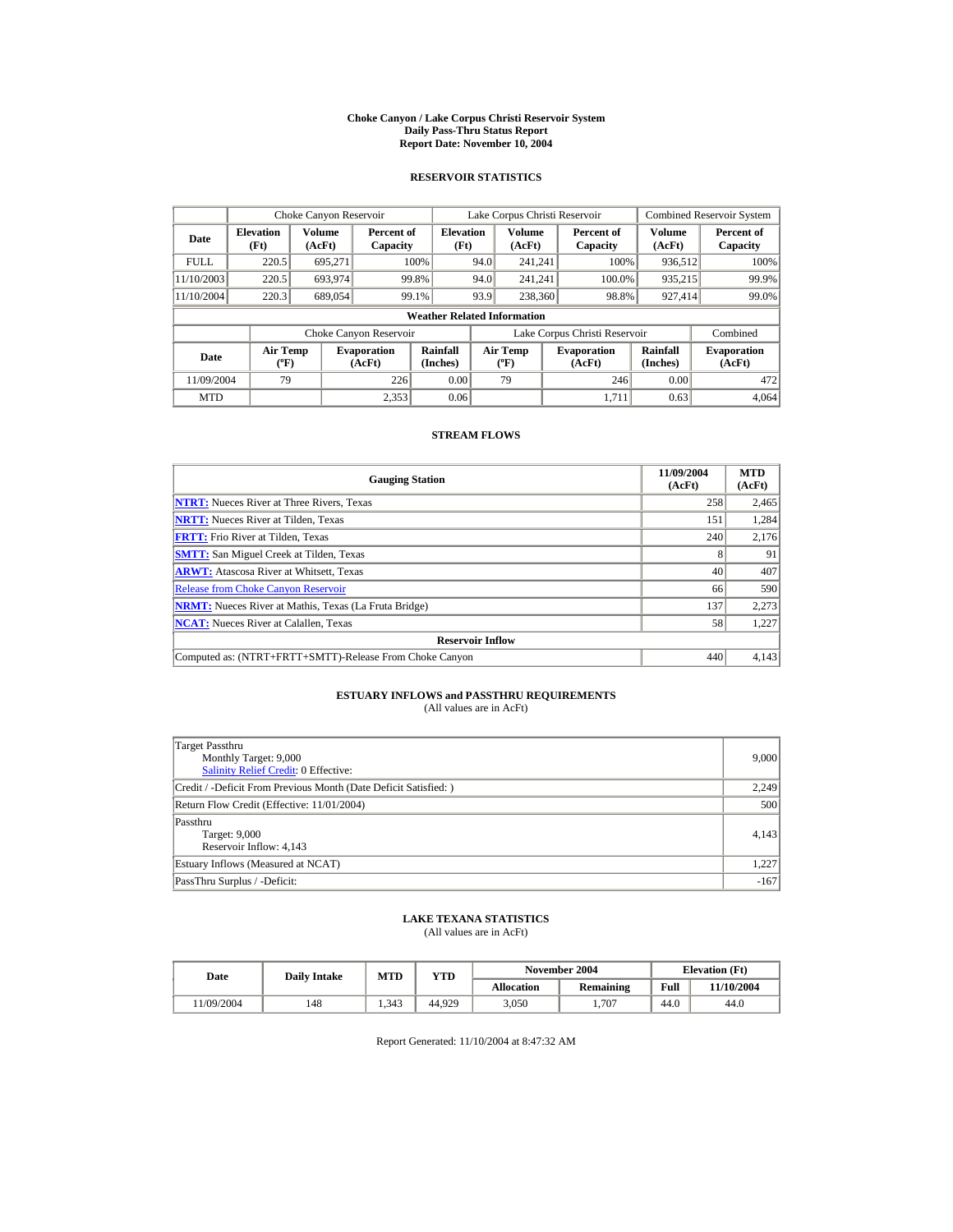#### **Choke Canyon / Lake Corpus Christi Reservoir System Daily Pass-Thru Status Report Report Date: November 10, 2004**

### **RESERVOIR STATISTICS**

|             | Choke Canyon Reservoir                      |                  |                              |                          | Lake Corpus Christi Reservoir    |                  |  |                               |                      | <b>Combined Reservoir System</b> |  |  |
|-------------|---------------------------------------------|------------------|------------------------------|--------------------------|----------------------------------|------------------|--|-------------------------------|----------------------|----------------------------------|--|--|
| Date        | <b>Elevation</b><br>(Ft)                    | Volume<br>(AcFt) | Percent of<br>Capacity       | <b>Elevation</b><br>(Ft) |                                  | Volume<br>(AcFt) |  | Percent of<br>Capacity        | Volume<br>(AcFt)     | Percent of<br>Capacity           |  |  |
| <b>FULL</b> | 220.5                                       | 695.271          |                              | 100%                     | 94.0                             | 241.241          |  | 100%                          | 936,512              | 100%                             |  |  |
| 11/10/2003  | 220.5                                       | 693,974          |                              | 99.8%                    | 94.0                             | 241.241          |  | 100.0%                        | 935,215              | 99.9%                            |  |  |
| 11/10/2004  | 220.3                                       | 689,054          |                              | 99.1%                    | 93.9                             | 238,360          |  | 98.8%                         | 927,414              | 99.0%                            |  |  |
|             | <b>Weather Related Information</b>          |                  |                              |                          |                                  |                  |  |                               |                      |                                  |  |  |
|             |                                             |                  | Choke Canyon Reservoir       |                          |                                  |                  |  | Lake Corpus Christi Reservoir |                      | Combined                         |  |  |
| Date        | <b>Air Temp</b><br>$({}^{\circ}\mathrm{F})$ |                  | <b>Evaporation</b><br>(AcFt) | Rainfall<br>(Inches)     | <b>Air Temp</b><br>$(^{\circ}F)$ |                  |  | <b>Evaporation</b><br>(AcFt)  | Rainfall<br>(Inches) | <b>Evaporation</b><br>(AcFt)     |  |  |
| 11/09/2004  | 79                                          |                  | 226                          | 0.00                     |                                  | 79               |  | 246                           | 0.00                 | 472                              |  |  |
| <b>MTD</b>  |                                             |                  | 2.353                        | 0.06                     |                                  |                  |  | 1.711                         | 0.63                 | 4.064                            |  |  |

### **STREAM FLOWS**

| <b>Gauging Station</b>                                       | 11/09/2004<br>(AcFt) | <b>MTD</b><br>(AcFt) |
|--------------------------------------------------------------|----------------------|----------------------|
| <b>NTRT:</b> Nueces River at Three Rivers, Texas             | 258                  | 2,465                |
| <b>NRTT:</b> Nueces River at Tilden. Texas                   | 151                  | 1.284                |
| <b>FRTT:</b> Frio River at Tilden, Texas                     | 240                  | 2,176                |
| <b>SMTT:</b> San Miguel Creek at Tilden, Texas               |                      | 91                   |
| <b>ARWT:</b> Atascosa River at Whitsett, Texas               | 40                   | 407                  |
| <b>Release from Choke Canyon Reservoir</b>                   | 66                   | 590                  |
| <b>NRMT:</b> Nueces River at Mathis, Texas (La Fruta Bridge) | 137                  | 2,273                |
| <b>NCAT:</b> Nueces River at Calallen, Texas                 | 58                   | 1,227                |
| <b>Reservoir Inflow</b>                                      |                      |                      |
| Computed as: (NTRT+FRTT+SMTT)-Release From Choke Canyon      | 440                  | 4,143                |

# **ESTUARY INFLOWS and PASSTHRU REQUIREMENTS**<br>(All values are in AcFt)

| Target Passthru<br>Monthly Target: 9,000<br><b>Salinity Relief Credit: 0 Effective:</b> | 9,000  |
|-----------------------------------------------------------------------------------------|--------|
| Credit / -Deficit From Previous Month (Date Deficit Satisfied:)                         | 2,249  |
| Return Flow Credit (Effective: 11/01/2004)                                              | 500    |
| Passthru<br>Target: 9,000<br>Reservoir Inflow: 4,143                                    | 4,143  |
| Estuary Inflows (Measured at NCAT)                                                      | 1,227  |
| PassThru Surplus / -Deficit:                                                            | $-167$ |

## **LAKE TEXANA STATISTICS**

(All values are in AcFt)

| Date      | <b>Daily Intake</b> | <b>MTD</b> | YTD    |                   | November 2004 | <b>Elevation</b> (Ft) |            |
|-----------|---------------------|------------|--------|-------------------|---------------|-----------------------|------------|
|           |                     |            |        | <b>Allocation</b> | Remaining     | Full                  | 11/10/2004 |
| 1/09/2004 | 148                 | 1.343      | 44.929 | 3.050             | 707           | 44.0                  | 44.0       |

Report Generated: 11/10/2004 at 8:47:32 AM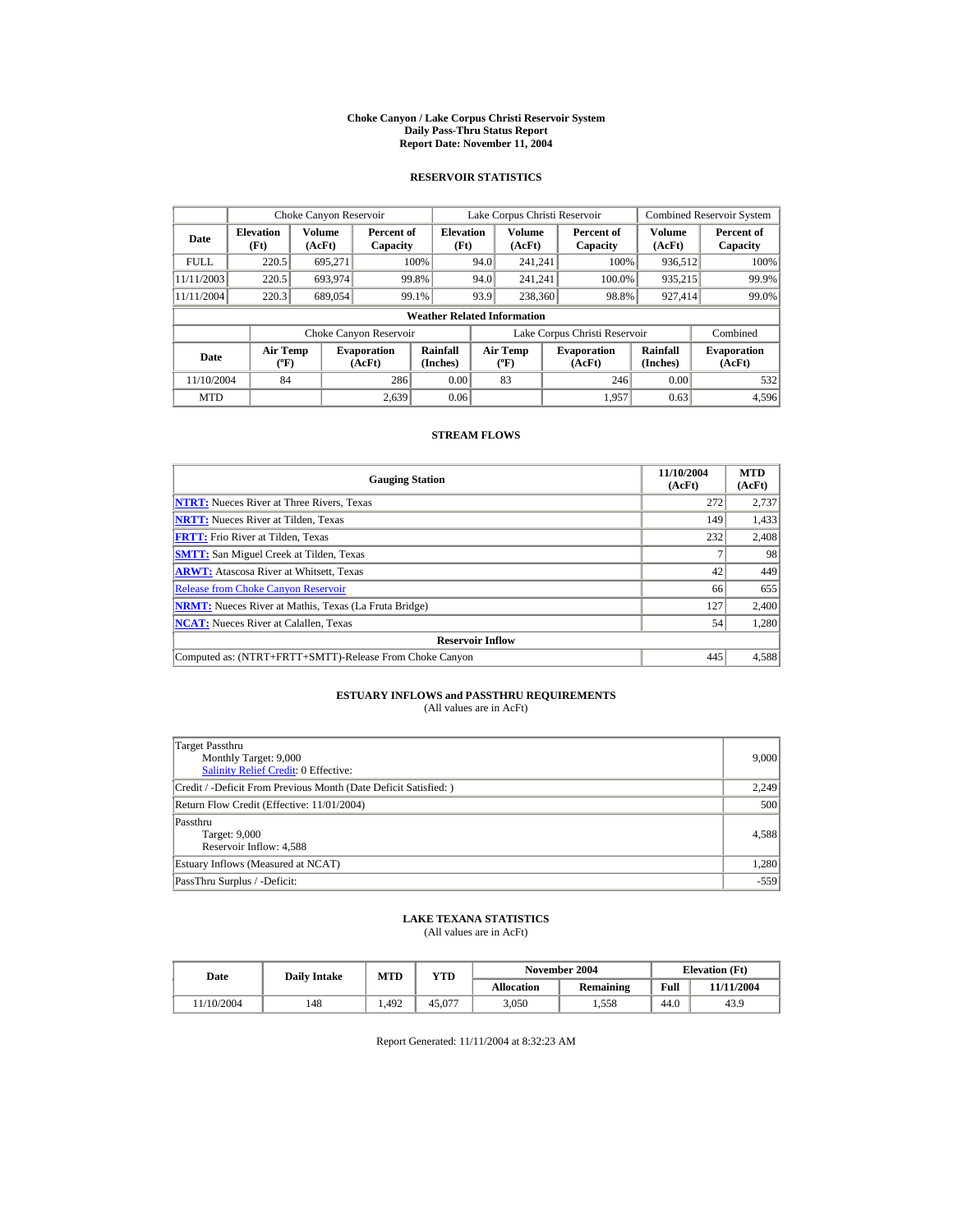#### **Choke Canyon / Lake Corpus Christi Reservoir System Daily Pass-Thru Status Report Report Date: November 11, 2004**

### **RESERVOIR STATISTICS**

|             | Choke Canyon Reservoir                      |                  |                              |                          | Lake Corpus Christi Reservoir |                                           |  |                               |                      | <b>Combined Reservoir System</b> |  |  |
|-------------|---------------------------------------------|------------------|------------------------------|--------------------------|-------------------------------|-------------------------------------------|--|-------------------------------|----------------------|----------------------------------|--|--|
| Date        | <b>Elevation</b><br>(Ft)                    | Volume<br>(AcFt) | Percent of<br>Capacity       | <b>Elevation</b><br>(Ft) |                               | Volume<br>(AcFt)                          |  | Percent of<br>Capacity        | Volume<br>(AcFt)     | Percent of<br>Capacity           |  |  |
| <b>FULL</b> | 220.5                                       | 695.271          |                              | 100%                     | 94.0                          | 241.241                                   |  | 100%                          | 936,512              | 100%                             |  |  |
| 11/11/2003  | 220.5                                       | 693,974          |                              | 99.8%                    | 94.0                          | 241.241                                   |  | 100.0%                        | 935,215              | 99.9%                            |  |  |
| 11/11/2004  | 220.3                                       | 689,054          |                              | 99.1%                    | 93.9                          | 238,360                                   |  | 98.8%                         | 927,414              | 99.0%                            |  |  |
|             | <b>Weather Related Information</b>          |                  |                              |                          |                               |                                           |  |                               |                      |                                  |  |  |
|             |                                             |                  | Choke Canyon Reservoir       |                          |                               |                                           |  | Lake Corpus Christi Reservoir |                      | Combined                         |  |  |
| Date        | <b>Air Temp</b><br>$({}^{\circ}\mathrm{F})$ |                  | <b>Evaporation</b><br>(AcFt) | Rainfall<br>(Inches)     |                               | <b>Air Temp</b><br>$({}^{\circ}\text{F})$ |  | <b>Evaporation</b><br>(AcFt)  | Rainfall<br>(Inches) | <b>Evaporation</b><br>(AcFt)     |  |  |
| 11/10/2004  | 84                                          |                  | 286                          | 0.00                     |                               | 83                                        |  | 246                           | 0.00                 | 532                              |  |  |
| <b>MTD</b>  |                                             |                  | 2.639                        | 0.06                     |                               |                                           |  | 1.957                         | 0.63                 | 4,596                            |  |  |

### **STREAM FLOWS**

| <b>Gauging Station</b>                                       | 11/10/2004<br>(AcFt) | <b>MTD</b><br>(AcFt) |
|--------------------------------------------------------------|----------------------|----------------------|
| <b>NTRT:</b> Nueces River at Three Rivers, Texas             | 272                  | 2,737                |
| <b>NRTT:</b> Nueces River at Tilden, Texas                   | 149                  | 1,433                |
| <b>FRTT:</b> Frio River at Tilden, Texas                     | 232                  | 2,408                |
| <b>SMTT:</b> San Miguel Creek at Tilden, Texas               |                      | 98                   |
| <b>ARWT:</b> Atascosa River at Whitsett, Texas               | 42                   | 449                  |
| <b>Release from Choke Canyon Reservoir</b>                   | 66                   | 655                  |
| <b>NRMT:</b> Nueces River at Mathis, Texas (La Fruta Bridge) | 127                  | 2,400                |
| <b>NCAT:</b> Nueces River at Calallen, Texas                 | 54                   | 1,280                |
| <b>Reservoir Inflow</b>                                      |                      |                      |
| Computed as: (NTRT+FRTT+SMTT)-Release From Choke Canyon      | 445                  | 4,588                |

# **ESTUARY INFLOWS and PASSTHRU REQUIREMENTS**<br>(All values are in AcFt)

| Target Passthru<br>Monthly Target: 9,000<br>Salinity Relief Credit: 0 Effective: | 9,000  |
|----------------------------------------------------------------------------------|--------|
| Credit / -Deficit From Previous Month (Date Deficit Satisfied:)                  | 2,249  |
| Return Flow Credit (Effective: 11/01/2004)                                       | 500    |
| Passthru<br>Target: 9,000<br>Reservoir Inflow: 4,588                             | 4,588  |
| Estuary Inflows (Measured at NCAT)                                               | 1,280  |
| PassThru Surplus / -Deficit:                                                     | $-559$ |

## **LAKE TEXANA STATISTICS**

(All values are in AcFt)

| Date      | <b>Daily Intake</b> | <b>MTD</b> | YTD    |                   | November 2004 | <b>Elevation</b> (Ft) |            |
|-----------|---------------------|------------|--------|-------------------|---------------|-----------------------|------------|
|           |                     |            |        | <b>Allocation</b> | Remaining     | Full                  | 11/11/2004 |
| 1/10/2004 | 148                 | 1.492      | 45,077 | 3.050             | 1.558         | 44.0                  | 43.9       |

Report Generated: 11/11/2004 at 8:32:23 AM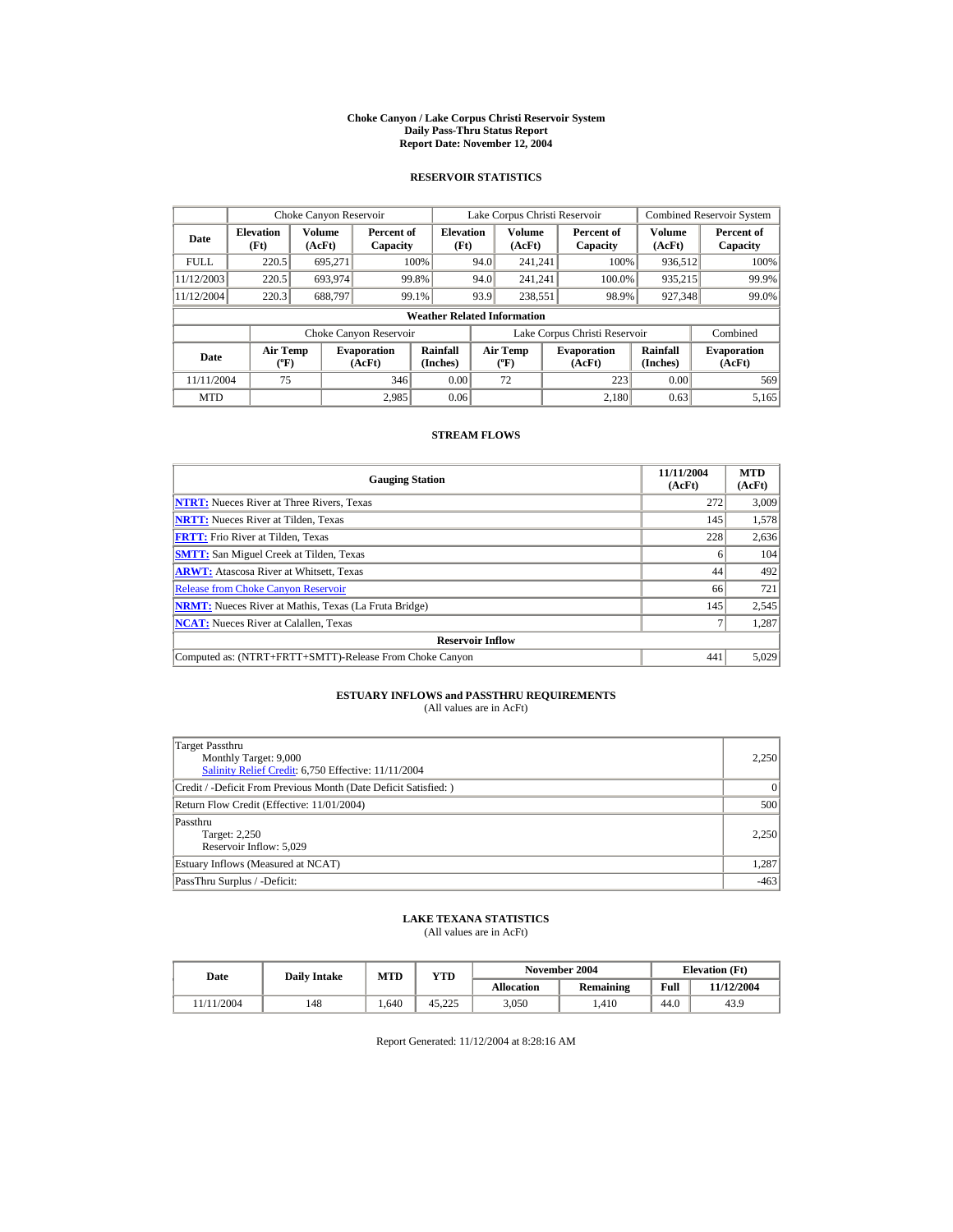#### **Choke Canyon / Lake Corpus Christi Reservoir System Daily Pass-Thru Status Report Report Date: November 12, 2004**

### **RESERVOIR STATISTICS**

|             | Choke Canyon Reservoir                      |                  |                              |                          | Lake Corpus Christi Reservoir    |                  |  |                               |                      | <b>Combined Reservoir System</b> |  |  |
|-------------|---------------------------------------------|------------------|------------------------------|--------------------------|----------------------------------|------------------|--|-------------------------------|----------------------|----------------------------------|--|--|
| Date        | <b>Elevation</b><br>(Ft)                    | Volume<br>(AcFt) | Percent of<br>Capacity       | <b>Elevation</b><br>(Ft) |                                  | Volume<br>(AcFt) |  | Percent of<br>Capacity        | Volume<br>(AcFt)     | Percent of<br>Capacity           |  |  |
| <b>FULL</b> | 220.5                                       | 695.271          |                              | 100%                     | 94.0                             | 241.241          |  | 100%                          | 936,512              | 100%                             |  |  |
| 11/12/2003  | 220.5                                       | 693,974          |                              | 99.8%                    | 94.0                             | 241.241          |  | 100.0%                        | 935,215              | 99.9%                            |  |  |
| 11/12/2004  | 220.3                                       | 688.797          |                              | 99.1%                    | 93.9                             | 238.551          |  | 98.9%                         | 927,348              | 99.0%                            |  |  |
|             | <b>Weather Related Information</b>          |                  |                              |                          |                                  |                  |  |                               |                      |                                  |  |  |
|             |                                             |                  | Choke Canyon Reservoir       |                          |                                  |                  |  | Lake Corpus Christi Reservoir |                      | Combined                         |  |  |
| Date        | <b>Air Temp</b><br>$({}^{\circ}\mathrm{F})$ |                  | <b>Evaporation</b><br>(AcFt) | Rainfall<br>(Inches)     | <b>Air Temp</b><br>$(^{\circ}F)$ |                  |  | <b>Evaporation</b><br>(AcFt)  | Rainfall<br>(Inches) | <b>Evaporation</b><br>(AcFt)     |  |  |
| 11/11/2004  | 75                                          |                  | 346                          | 0.00                     |                                  | 72               |  | 223                           | 0.00                 | 569                              |  |  |
| <b>MTD</b>  |                                             |                  | 2.985                        | 0.06                     |                                  |                  |  | 2,180                         | 0.63                 | 5,165                            |  |  |

### **STREAM FLOWS**

| <b>Gauging Station</b>                                       | 11/11/2004<br>(AcFt) | <b>MTD</b><br>(AcFt) |
|--------------------------------------------------------------|----------------------|----------------------|
| <b>NTRT:</b> Nueces River at Three Rivers, Texas             | 272                  | 3,009                |
| <b>NRTT:</b> Nueces River at Tilden, Texas                   | 145                  | 1,578                |
| <b>FRTT:</b> Frio River at Tilden, Texas                     | 228                  | 2,636                |
| <b>SMTT:</b> San Miguel Creek at Tilden, Texas               |                      | 104                  |
| <b>ARWT:</b> Atascosa River at Whitsett, Texas               | 44                   | 492                  |
| <b>Release from Choke Canyon Reservoir</b>                   | 66                   | 721                  |
| <b>NRMT:</b> Nueces River at Mathis, Texas (La Fruta Bridge) | 145                  | 2,545                |
| <b>NCAT:</b> Nueces River at Calallen, Texas                 |                      | 1.287                |
| <b>Reservoir Inflow</b>                                      |                      |                      |
| Computed as: (NTRT+FRTT+SMTT)-Release From Choke Canyon      | 441                  | 5,029                |

# **ESTUARY INFLOWS and PASSTHRU REQUIREMENTS**<br>(All values are in AcFt)

| Target Passthru<br>Monthly Target: 9,000<br>Salinity Relief Credit: 6,750 Effective: 11/11/2004 | 2,250  |
|-------------------------------------------------------------------------------------------------|--------|
| Credit / -Deficit From Previous Month (Date Deficit Satisfied:)                                 | 0      |
| Return Flow Credit (Effective: 11/01/2004)                                                      | 500    |
| Passthru<br>Target: 2,250<br>Reservoir Inflow: 5,029                                            | 2.250  |
| Estuary Inflows (Measured at NCAT)                                                              | 1,287  |
| PassThru Surplus / -Deficit:                                                                    | $-463$ |

## **LAKE TEXANA STATISTICS**

(All values are in AcFt)

| Date      | <b>Daily Intake</b> | MTD  | $_{\rm VTD}$ |            | November 2004 | <b>Elevation</b> (Ft) |            |
|-----------|---------------------|------|--------------|------------|---------------|-----------------------|------------|
|           |                     |      |              | Allocation | Remaining     | Full                  | 11/12/2004 |
| 1/11/2004 | 148                 | .640 | 45.225       | 3.050      | .410          | 44.0                  | 43.9       |

Report Generated: 11/12/2004 at 8:28:16 AM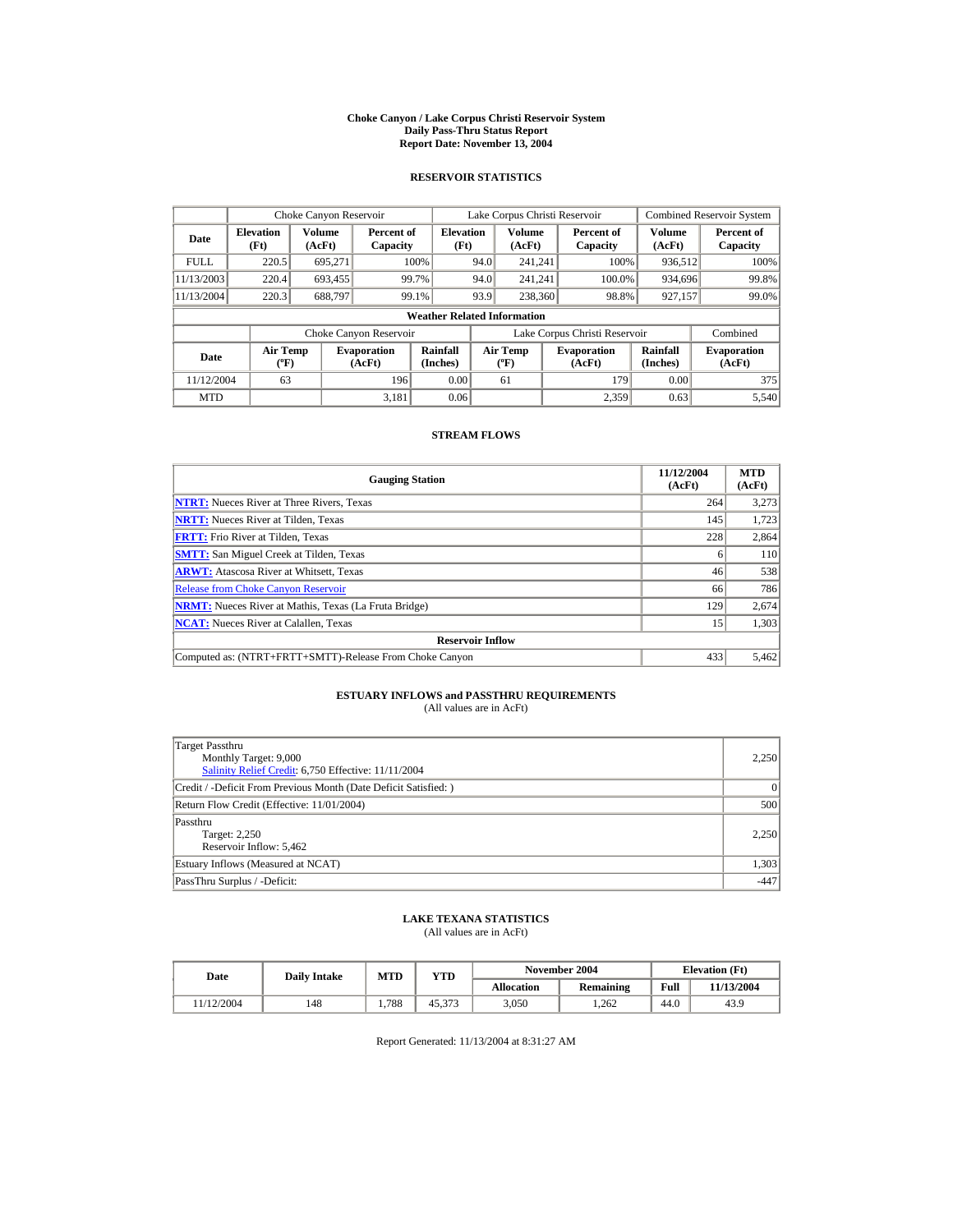#### **Choke Canyon / Lake Corpus Christi Reservoir System Daily Pass-Thru Status Report Report Date: November 13, 2004**

### **RESERVOIR STATISTICS**

|             | Choke Canyon Reservoir                      |                  |                              |                          | Lake Corpus Christi Reservoir           |                         |  |                               |                      | <b>Combined Reservoir System</b> |  |  |
|-------------|---------------------------------------------|------------------|------------------------------|--------------------------|-----------------------------------------|-------------------------|--|-------------------------------|----------------------|----------------------------------|--|--|
| Date        | <b>Elevation</b><br>(Ft)                    | Volume<br>(AcFt) | Percent of<br>Capacity       | <b>Elevation</b><br>(Ft) |                                         | <b>Volume</b><br>(AcFt) |  | Percent of<br>Capacity        | Volume<br>(AcFt)     | Percent of<br>Capacity           |  |  |
| <b>FULL</b> | 220.5                                       | 695.271          |                              | 100%                     | 94.0                                    | 241.241                 |  | 100%                          | 936,512              | 100%                             |  |  |
| 11/13/2003  | 220.4                                       | 693,455          |                              | 99.7%                    | 94.0                                    | 241.241                 |  | 100.0%                        | 934,696              | 99.8%                            |  |  |
| 11/13/2004  | 220.3                                       | 688.797          |                              | 99.1%                    | 93.9                                    | 238,360                 |  | 98.8%                         | 927,157              | 99.0%                            |  |  |
|             | <b>Weather Related Information</b>          |                  |                              |                          |                                         |                         |  |                               |                      |                                  |  |  |
|             |                                             |                  | Choke Canyon Reservoir       |                          |                                         |                         |  | Lake Corpus Christi Reservoir |                      | Combined                         |  |  |
| Date        | <b>Air Temp</b><br>$({}^{\circ}\mathrm{F})$ |                  | <b>Evaporation</b><br>(AcFt) | Rainfall<br>(Inches)     | <b>Air Temp</b><br>$(^{\circ}\text{F})$ |                         |  | <b>Evaporation</b><br>(AcFt)  | Rainfall<br>(Inches) | <b>Evaporation</b><br>(AcFt)     |  |  |
| 11/12/2004  | 63                                          |                  | 196                          | 0.00                     |                                         | 61                      |  | 179                           | 0.00                 | 375                              |  |  |
| <b>MTD</b>  |                                             |                  | 3.181                        | 0.06                     |                                         |                         |  | 2.359                         | 0.63                 | 5.540                            |  |  |

## **STREAM FLOWS**

| <b>Gauging Station</b>                                       | 11/12/2004<br>(AcFt) | <b>MTD</b><br>(AcFt) |
|--------------------------------------------------------------|----------------------|----------------------|
| <b>NTRT:</b> Nueces River at Three Rivers, Texas             | 264                  | 3,273                |
| <b>NRTT:</b> Nueces River at Tilden. Texas                   | 145                  | 1.723                |
| <b>FRTT:</b> Frio River at Tilden, Texas                     | 228                  | 2,864                |
| <b>SMTT:</b> San Miguel Creek at Tilden, Texas               |                      | <b>110</b>           |
| <b>ARWT:</b> Atascosa River at Whitsett, Texas               | 46                   | 538                  |
| <b>Release from Choke Canyon Reservoir</b>                   | 66                   | 786                  |
| <b>NRMT:</b> Nueces River at Mathis, Texas (La Fruta Bridge) | 129                  | 2,674                |
| <b>NCAT:</b> Nueces River at Calallen, Texas                 | 15                   | 1,303                |
| <b>Reservoir Inflow</b>                                      |                      |                      |
| Computed as: (NTRT+FRTT+SMTT)-Release From Choke Canyon      | 433                  | 5,462                |

# **ESTUARY INFLOWS and PASSTHRU REQUIREMENTS**<br>(All values are in AcFt)

| Target Passthru<br>Monthly Target: 9,000<br>Salinity Relief Credit: 6,750 Effective: 11/11/2004 | 2,250  |
|-------------------------------------------------------------------------------------------------|--------|
| Credit / -Deficit From Previous Month (Date Deficit Satisfied:)                                 | 0      |
| Return Flow Credit (Effective: 11/01/2004)                                                      | 500    |
| Passthru<br>Target: 2,250<br>Reservoir Inflow: 5,462                                            | 2.250  |
| Estuary Inflows (Measured at NCAT)                                                              | 1,303  |
| PassThru Surplus / -Deficit:                                                                    | $-447$ |

## **LAKE TEXANA STATISTICS**

(All values are in AcFt)

| Date      | <b>Daily Intake</b> | <b>MTD</b> | YTD    |                   | November 2004 | <b>Elevation</b> (Ft) |            |
|-----------|---------------------|------------|--------|-------------------|---------------|-----------------------|------------|
|           |                     |            |        | <b>Allocation</b> | Remaining     | Full                  | 11/13/2004 |
| 1/12/2004 | 148                 | 1.788      | 45.373 | 3.050             | 1.262         | 44.0                  | 43.9       |

Report Generated: 11/13/2004 at 8:31:27 AM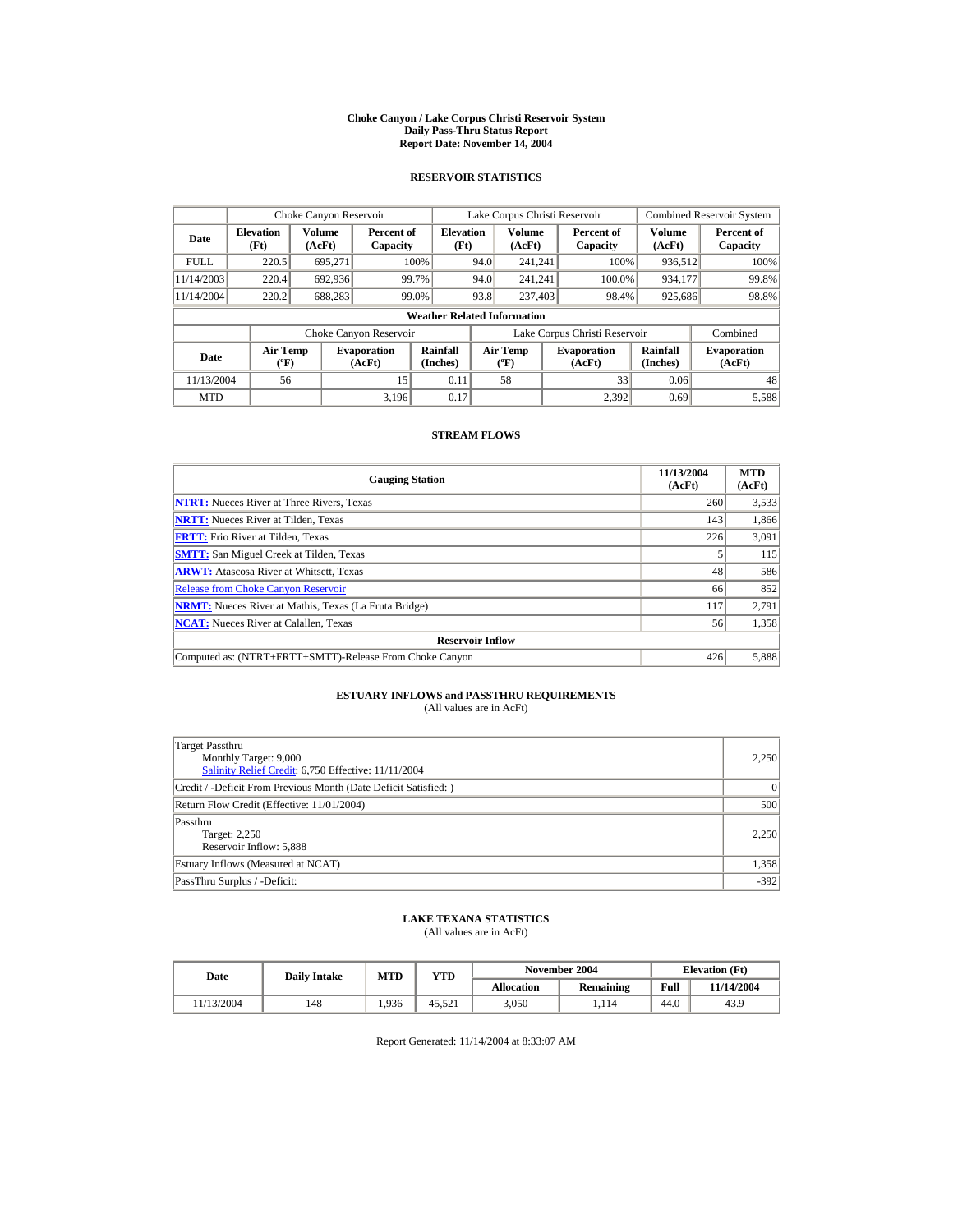#### **Choke Canyon / Lake Corpus Christi Reservoir System Daily Pass-Thru Status Report Report Date: November 14, 2004**

### **RESERVOIR STATISTICS**

|             | Choke Canyon Reservoir                      |                  |                              |                          | Lake Corpus Christi Reservoir            |                         |  |                               |                      | <b>Combined Reservoir System</b> |  |  |
|-------------|---------------------------------------------|------------------|------------------------------|--------------------------|------------------------------------------|-------------------------|--|-------------------------------|----------------------|----------------------------------|--|--|
| Date        | <b>Elevation</b><br>(Ft)                    | Volume<br>(AcFt) | Percent of<br>Capacity       | <b>Elevation</b><br>(Ft) |                                          | <b>Volume</b><br>(AcFt) |  | Percent of<br>Capacity        | Volume<br>(AcFt)     | Percent of<br>Capacity           |  |  |
| <b>FULL</b> | 220.5                                       | 695.271          |                              | 100%                     | 94.0                                     | 241.241                 |  | 100%                          | 936,512              | 100%                             |  |  |
| 11/14/2003  | 220.4                                       | 692,936          |                              | 99.7%                    | 94.0                                     | 241.241                 |  | 100.0%                        | 934,177              | 99.8%                            |  |  |
| 11/14/2004  | 220.2                                       | 688,283          |                              | 99.0%                    | 93.8                                     | 237,403                 |  | 98.4%                         | 925,686              | 98.8%                            |  |  |
|             | <b>Weather Related Information</b>          |                  |                              |                          |                                          |                         |  |                               |                      |                                  |  |  |
|             |                                             |                  | Choke Canyon Reservoir       |                          |                                          |                         |  | Lake Corpus Christi Reservoir |                      | Combined                         |  |  |
| Date        | <b>Air Temp</b><br>$({}^{\circ}\mathrm{F})$ |                  | <b>Evaporation</b><br>(AcFt) | Rainfall<br>(Inches)     | <b>Air Temp</b><br>$({}^{\circ}{\rm F})$ |                         |  | <b>Evaporation</b><br>(AcFt)  | Rainfall<br>(Inches) | <b>Evaporation</b><br>(AcFt)     |  |  |
| 11/13/2004  | 56                                          |                  | 15                           | 0.11                     |                                          | 58                      |  | 33                            | 0.06                 | 48                               |  |  |
| <b>MTD</b>  |                                             |                  | 3.196                        | 0.17                     |                                          |                         |  | 2.392                         | 0.69                 | 5,588                            |  |  |

### **STREAM FLOWS**

| <b>Gauging Station</b>                                       | 11/13/2004<br>(AcFt) | <b>MTD</b><br>(AcFt) |
|--------------------------------------------------------------|----------------------|----------------------|
| <b>NTRT:</b> Nueces River at Three Rivers, Texas             | 260                  | 3,533                |
| <b>NRTT:</b> Nueces River at Tilden, Texas                   | 143                  | 1,866                |
| <b>FRTT:</b> Frio River at Tilden, Texas                     | 226                  | 3,091                |
| <b>SMTT:</b> San Miguel Creek at Tilden, Texas               |                      | 115                  |
| <b>ARWT:</b> Atascosa River at Whitsett, Texas               | 48                   | 586                  |
| <b>Release from Choke Canyon Reservoir</b>                   | 66                   | 852                  |
| <b>NRMT:</b> Nueces River at Mathis, Texas (La Fruta Bridge) | 117                  | 2,791                |
| <b>NCAT:</b> Nueces River at Calallen, Texas                 | 56                   | 1,358                |
| <b>Reservoir Inflow</b>                                      |                      |                      |
| Computed as: (NTRT+FRTT+SMTT)-Release From Choke Canyon      | 426                  | 5,888                |

# **ESTUARY INFLOWS and PASSTHRU REQUIREMENTS**<br>(All values are in AcFt)

| Target Passthru<br>Monthly Target: 9,000<br>Salinity Relief Credit: 6,750 Effective: 11/11/2004 | 2,250  |
|-------------------------------------------------------------------------------------------------|--------|
| Credit / -Deficit From Previous Month (Date Deficit Satisfied:)                                 | 0      |
| Return Flow Credit (Effective: 11/01/2004)                                                      | 500    |
| Passthru<br>Target: 2,250<br>Reservoir Inflow: 5,888                                            | 2.250  |
| Estuary Inflows (Measured at NCAT)                                                              | 1,358  |
| PassThru Surplus / -Deficit:                                                                    | $-392$ |

## **LAKE TEXANA STATISTICS**

(All values are in AcFt)

| Date      | <b>Daily Intake</b> | MTD  | $_{\rm VTD}$ |            | November 2004 | <b>Elevation</b> (Ft) |            |
|-----------|---------------------|------|--------------|------------|---------------|-----------------------|------------|
|           |                     |      |              | Allocation | Remaining     | Full                  | 11/14/2004 |
| 1/13/2004 | 148                 | .936 | 45.521       | 3.050      | .114          | 44.0                  | 43.9       |

Report Generated: 11/14/2004 at 8:33:07 AM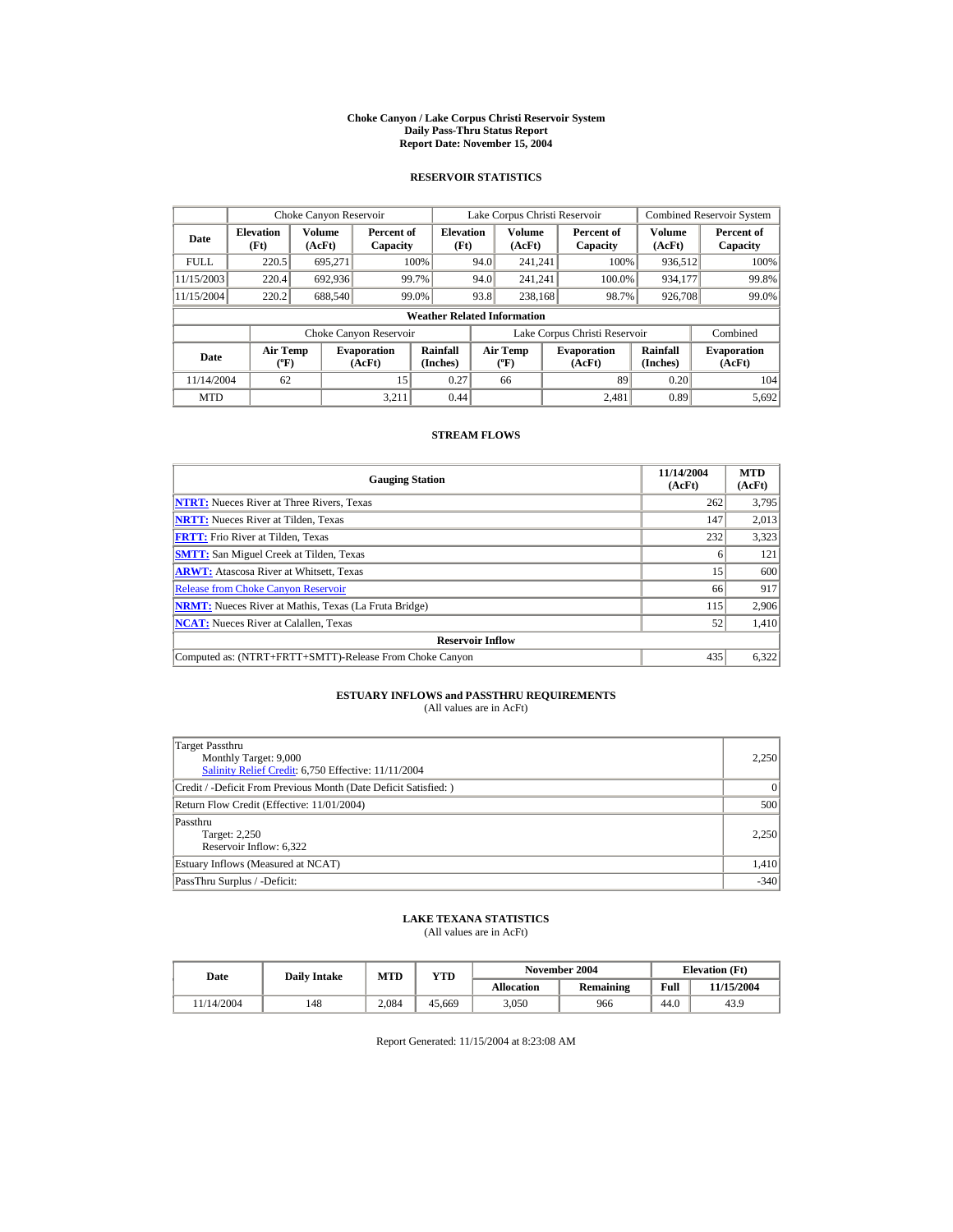#### **Choke Canyon / Lake Corpus Christi Reservoir System Daily Pass-Thru Status Report Report Date: November 15, 2004**

### **RESERVOIR STATISTICS**

|             | Choke Canyon Reservoir                      |                  |                              |                          | Lake Corpus Christi Reservoir |                                  |  |                               |                      | <b>Combined Reservoir System</b> |  |  |
|-------------|---------------------------------------------|------------------|------------------------------|--------------------------|-------------------------------|----------------------------------|--|-------------------------------|----------------------|----------------------------------|--|--|
| Date        | <b>Elevation</b><br>(Ft)                    | Volume<br>(AcFt) | Percent of<br>Capacity       | <b>Elevation</b><br>(Ft) |                               | Volume<br>(AcFt)                 |  | Percent of<br>Capacity        | Volume<br>(AcFt)     | Percent of<br>Capacity           |  |  |
| <b>FULL</b> | 220.5                                       | 695.271          |                              | 100%                     | 94.0                          | 241.241                          |  | 100%                          | 936,512              | 100%                             |  |  |
| 11/15/2003  | 220.4                                       | 692,936          |                              | 99.7%                    | 94.0                          | 241.241                          |  | 100.0%                        | 934,177              | 99.8%                            |  |  |
| 11/15/2004  | 220.2                                       | 688.540          |                              | 99.0%                    | 93.8                          | 238,168                          |  | 98.7%                         | 926,708              | 99.0%                            |  |  |
|             | <b>Weather Related Information</b>          |                  |                              |                          |                               |                                  |  |                               |                      |                                  |  |  |
|             |                                             |                  | Choke Canyon Reservoir       |                          |                               |                                  |  | Lake Corpus Christi Reservoir |                      | Combined                         |  |  |
| Date        | <b>Air Temp</b><br>$({}^{\circ}\mathrm{F})$ |                  | <b>Evaporation</b><br>(AcFt) | Rainfall<br>(Inches)     |                               | <b>Air Temp</b><br>$(^{\circ}F)$ |  | <b>Evaporation</b><br>(AcFt)  | Rainfall<br>(Inches) | <b>Evaporation</b><br>(AcFt)     |  |  |
| 11/14/2004  | 62                                          |                  | 15                           | 0.27                     |                               | 66                               |  | 89                            | 0.20                 | 104                              |  |  |
| <b>MTD</b>  |                                             |                  | 3.211                        | 0.44                     |                               |                                  |  | 2.481                         | 0.89                 | 5,692                            |  |  |

### **STREAM FLOWS**

| <b>Gauging Station</b>                                       | 11/14/2004<br>(AcFt) | <b>MTD</b><br>(AcFt) |
|--------------------------------------------------------------|----------------------|----------------------|
| <b>NTRT:</b> Nueces River at Three Rivers, Texas             | 262                  | 3,795                |
| <b>NRTT:</b> Nueces River at Tilden. Texas                   | 147                  | 2,013                |
| <b>FRTT:</b> Frio River at Tilden, Texas                     | 232                  | 3.323                |
| <b>SMTT:</b> San Miguel Creek at Tilden, Texas               |                      | 121                  |
| <b>ARWT:</b> Atascosa River at Whitsett, Texas               | 15                   | 600                  |
| <b>Release from Choke Canyon Reservoir</b>                   | 66                   | 917                  |
| <b>NRMT:</b> Nueces River at Mathis, Texas (La Fruta Bridge) | 115                  | 2,906                |
| <b>NCAT:</b> Nueces River at Calallen, Texas                 | 52                   | 1,410                |
| <b>Reservoir Inflow</b>                                      |                      |                      |
| Computed as: (NTRT+FRTT+SMTT)-Release From Choke Canyon      | 435                  | 6,322                |

# **ESTUARY INFLOWS and PASSTHRU REQUIREMENTS**<br>(All values are in AcFt)

| Target Passthru<br>Monthly Target: 9,000<br>Salinity Relief Credit: 6,750 Effective: 11/11/2004 | 2.250  |
|-------------------------------------------------------------------------------------------------|--------|
| Credit / -Deficit From Previous Month (Date Deficit Satisfied:)                                 | 0      |
| Return Flow Credit (Effective: 11/01/2004)                                                      | 500    |
| Passthru<br>Target: 2,250<br>Reservoir Inflow: 6,322                                            | 2.250  |
| Estuary Inflows (Measured at NCAT)                                                              | 1,410  |
| PassThru Surplus / -Deficit:                                                                    | $-340$ |

## **LAKE TEXANA STATISTICS**

(All values are in AcFt)

| Date      | <b>Daily Intake</b> | MTD   | $_{\rm VTD}$ |            | November 2004 | <b>Elevation</b> (Ft) |            |
|-----------|---------------------|-------|--------------|------------|---------------|-----------------------|------------|
|           |                     |       |              | Allocation | Remaining     | Full                  | 11/15/2004 |
| 1/14/2004 | 148                 | 2.084 | 45.669       | 3.050      | 966           | 44.0                  | 43.9       |

Report Generated: 11/15/2004 at 8:23:08 AM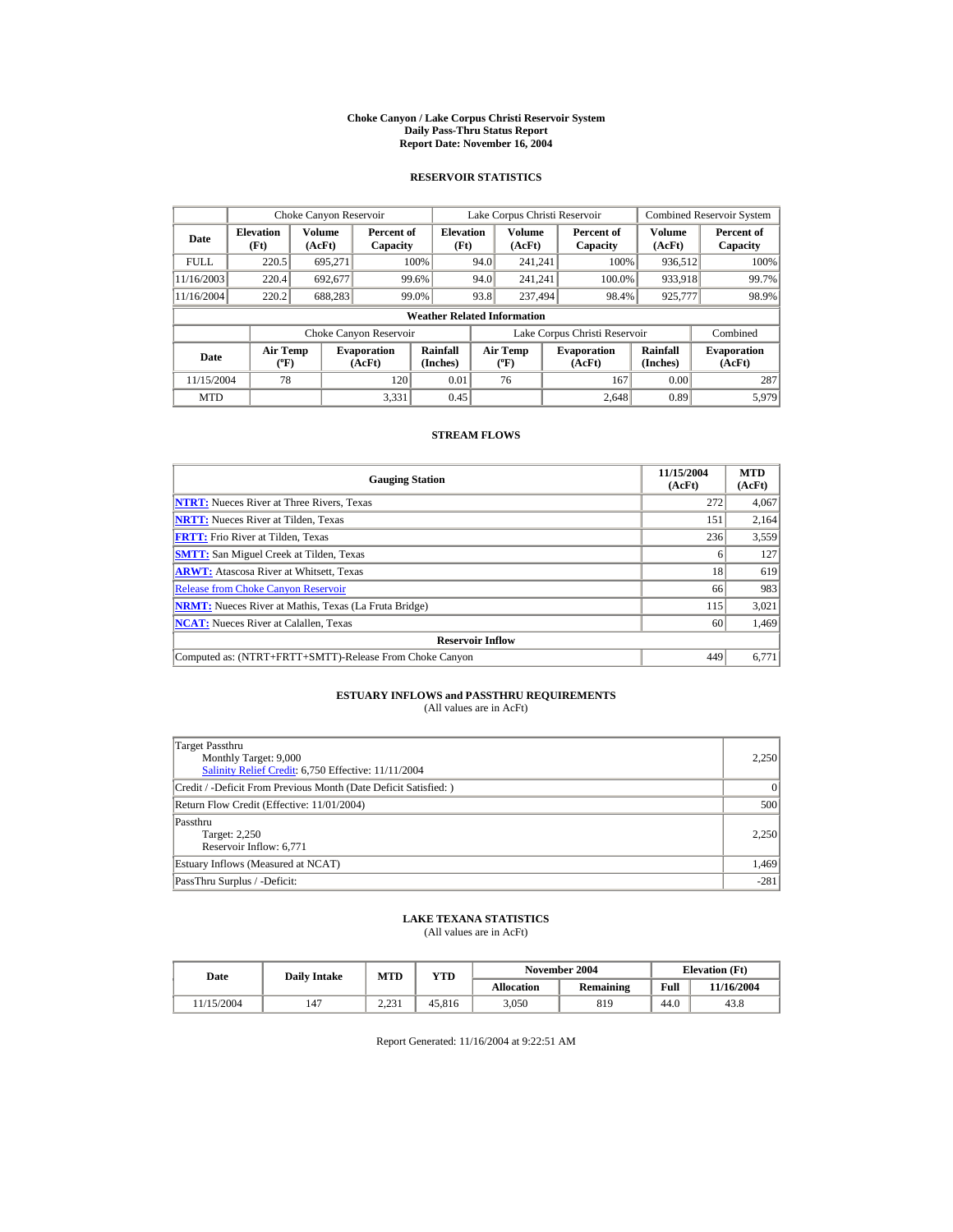#### **Choke Canyon / Lake Corpus Christi Reservoir System Daily Pass-Thru Status Report Report Date: November 16, 2004**

### **RESERVOIR STATISTICS**

|             | Choke Canyon Reservoir                      |                  |                              |                          | Lake Corpus Christi Reservoir |                                  |  |                               |                      | <b>Combined Reservoir System</b> |  |  |
|-------------|---------------------------------------------|------------------|------------------------------|--------------------------|-------------------------------|----------------------------------|--|-------------------------------|----------------------|----------------------------------|--|--|
| Date        | <b>Elevation</b><br>(Ft)                    | Volume<br>(AcFt) | Percent of<br>Capacity       | <b>Elevation</b><br>(Ft) |                               | Volume<br>(AcFt)                 |  | Percent of<br>Capacity        | Volume<br>(AcFt)     | Percent of<br>Capacity           |  |  |
| <b>FULL</b> | 220.5                                       | 695.271          |                              | 100%                     | 94.0                          | 241.241                          |  | 100%                          | 936,512              | 100%                             |  |  |
| 11/16/2003  | 220.4                                       | 692.677          |                              | 99.6%                    | 94.0                          | 241.241                          |  | 100.0%                        | 933,918              | 99.7%                            |  |  |
| 11/16/2004  | 220.2                                       | 688,283          |                              | 99.0%                    | 93.8                          | 237,494                          |  | 98.4%                         | 925,777              | 98.9%                            |  |  |
|             | <b>Weather Related Information</b>          |                  |                              |                          |                               |                                  |  |                               |                      |                                  |  |  |
|             |                                             |                  | Choke Canyon Reservoir       |                          |                               |                                  |  | Lake Corpus Christi Reservoir |                      | Combined                         |  |  |
| Date        | <b>Air Temp</b><br>$({}^{\circ}\mathrm{F})$ |                  | <b>Evaporation</b><br>(AcFt) | Rainfall<br>(Inches)     |                               | <b>Air Temp</b><br>$(^{\circ}F)$ |  | <b>Evaporation</b><br>(AcFt)  | Rainfall<br>(Inches) | <b>Evaporation</b><br>(AcFt)     |  |  |
| 11/15/2004  | 78                                          |                  | 120                          | 0.01                     |                               | 76                               |  | 167                           | 0.00                 | 287                              |  |  |
| <b>MTD</b>  |                                             |                  | 3.331                        | 0.45                     |                               |                                  |  | 2.648                         | 0.89                 | 5.979                            |  |  |

### **STREAM FLOWS**

| <b>Gauging Station</b>                                       | 11/15/2004<br>(AcFt) | <b>MTD</b><br>(AcFt) |
|--------------------------------------------------------------|----------------------|----------------------|
| <b>NTRT:</b> Nueces River at Three Rivers, Texas             | 272                  | 4,067                |
| <b>NRTT:</b> Nueces River at Tilden, Texas                   | 151                  | 2,164                |
| <b>FRTT:</b> Frio River at Tilden, Texas                     | 236                  | 3,559                |
| <b>SMTT:</b> San Miguel Creek at Tilden, Texas               | <sub>0</sub>         | 127                  |
| <b>ARWT:</b> Atascosa River at Whitsett, Texas               | 18                   | 619                  |
| <b>Release from Choke Canyon Reservoir</b>                   | 66                   | 983                  |
| <b>NRMT:</b> Nueces River at Mathis, Texas (La Fruta Bridge) | 115                  | 3,021                |
| <b>NCAT:</b> Nueces River at Calallen, Texas                 | 60                   | 1,469                |
| <b>Reservoir Inflow</b>                                      |                      |                      |
| Computed as: (NTRT+FRTT+SMTT)-Release From Choke Canyon      | 449                  | 6.771                |

# **ESTUARY INFLOWS and PASSTHRU REQUIREMENTS**<br>(All values are in AcFt)

| Target Passthru<br>Monthly Target: 9,000<br>Salinity Relief Credit: 6,750 Effective: 11/11/2004 | 2.250  |
|-------------------------------------------------------------------------------------------------|--------|
| Credit / -Deficit From Previous Month (Date Deficit Satisfied:)                                 | 0      |
| Return Flow Credit (Effective: 11/01/2004)                                                      | 500    |
| Passthru<br>Target: 2,250<br>Reservoir Inflow: 6,771                                            | 2.250  |
| Estuary Inflows (Measured at NCAT)                                                              | 1,469  |
| PassThru Surplus / -Deficit:                                                                    | $-281$ |

## **LAKE TEXANA STATISTICS**

(All values are in AcFt)

| Date      | <b>Daily Intake</b> | <b>MTD</b>    | YTD    |                   | November 2004 |      | <b>Elevation</b> (Ft) |
|-----------|---------------------|---------------|--------|-------------------|---------------|------|-----------------------|
|           |                     |               |        | <b>Allocation</b> | Remaining     | Full | 11/16/2004            |
| 1/15/2004 | 147                 | 221<br>ہ سے د | 45.816 | 3.050             | 819           | 44.0 | 43.8                  |

Report Generated: 11/16/2004 at 9:22:51 AM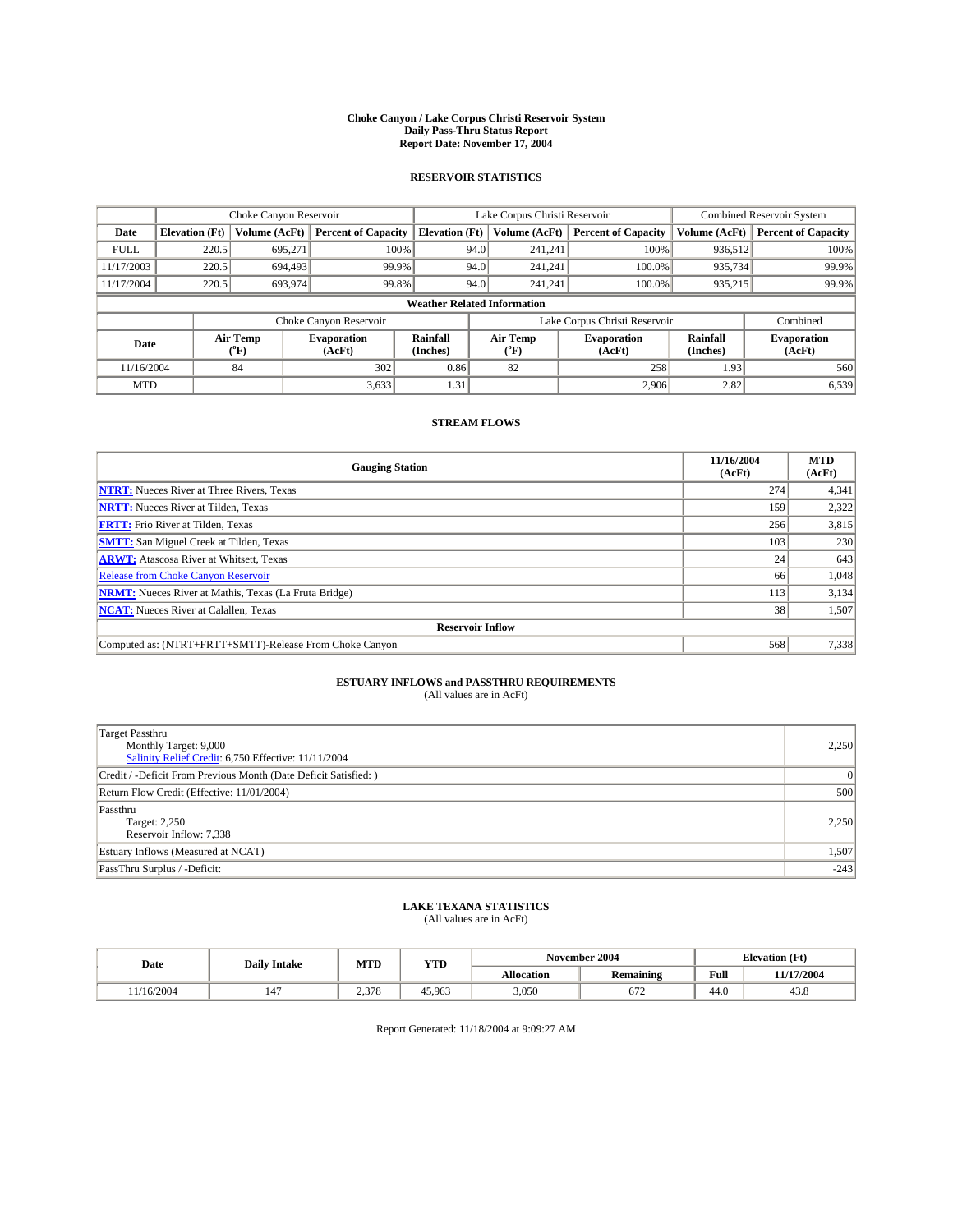#### **Choke Canyon / Lake Corpus Christi Reservoir System Daily Pass-Thru Status Report Report Date: November 17, 2004**

### **RESERVOIR STATISTICS**

|             | Choke Canyon Reservoir             |                  |                              |                             | Lake Corpus Christi Reservoir |                  |                               |                      | <b>Combined Reservoir System</b> |  |  |
|-------------|------------------------------------|------------------|------------------------------|-----------------------------|-------------------------------|------------------|-------------------------------|----------------------|----------------------------------|--|--|
| Date        | <b>Elevation</b> (Ft)              | Volume (AcFt)    | <b>Percent of Capacity</b>   | <b>Elevation</b> (Ft)       |                               | Volume (AcFt)    | <b>Percent of Capacity</b>    | Volume (AcFt)        | <b>Percent of Capacity</b>       |  |  |
| <b>FULL</b> | 220.5                              | 695.271          |                              | 100%                        | 94.0                          | 241,241          | 100%                          | 936.512              | 100%                             |  |  |
| 11/17/2003  | 220.5                              | 694.493          | 99.9%                        |                             | 94.0                          | 241.241          | 100.0%                        | 935,734              | 99.9%                            |  |  |
| 11/17/2004  | 220.5                              | 693,974          | 99.8%                        |                             | 94.0                          | 241.241          | 100.0%                        | 935,215              | 99.9%                            |  |  |
|             | <b>Weather Related Information</b> |                  |                              |                             |                               |                  |                               |                      |                                  |  |  |
|             |                                    |                  | Choke Canyon Reservoir       |                             |                               |                  | Lake Corpus Christi Reservoir |                      | Combined                         |  |  |
| Date        |                                    | Air Temp<br>(°F) | <b>Evaporation</b><br>(AcFt) | <b>Rainfall</b><br>(Inches) |                               | Air Temp<br>("F) | <b>Evaporation</b><br>(AcFt)  | Rainfall<br>(Inches) | <b>Evaporation</b><br>(AcFt)     |  |  |
| 11/16/2004  |                                    | 84               | 302                          | 0.86                        |                               | 82               | 258                           | 1.93                 | 560                              |  |  |
| <b>MTD</b>  |                                    |                  | 3,633                        | 1.31                        |                               |                  | 2,906                         | 2.82                 | 6,539                            |  |  |

### **STREAM FLOWS**

| <b>Gauging Station</b>                                       | 11/16/2004<br>(AcFt) | <b>MTD</b><br>(AcFt) |
|--------------------------------------------------------------|----------------------|----------------------|
| <b>NTRT:</b> Nueces River at Three Rivers, Texas             | 274                  | 4,341                |
| <b>NRTT:</b> Nueces River at Tilden, Texas                   | 159                  | 2,322                |
| <b>FRTT:</b> Frio River at Tilden, Texas                     | 256                  | 3,815                |
| <b>SMTT:</b> San Miguel Creek at Tilden, Texas               | 103                  | 230                  |
| <b>ARWT:</b> Atascosa River at Whitsett, Texas               | 24                   | 643                  |
| <b>Release from Choke Canyon Reservoir</b>                   | 66                   | 1,048                |
| <b>NRMT:</b> Nueces River at Mathis, Texas (La Fruta Bridge) | 113                  | 3,134                |
| <b>NCAT:</b> Nueces River at Calallen, Texas                 | 38                   | 1,507                |
| <b>Reservoir Inflow</b>                                      |                      |                      |
| Computed as: (NTRT+FRTT+SMTT)-Release From Choke Canyon      | 568                  | 7,338                |

## **ESTUARY INFLOWS and PASSTHRU REQUIREMENTS**

(All values are in AcFt)

| <b>Target Passthru</b><br>Monthly Target: 9,000<br>Salinity Relief Credit: 6,750 Effective: 11/11/2004 | 2,250           |
|--------------------------------------------------------------------------------------------------------|-----------------|
| Credit / -Deficit From Previous Month (Date Deficit Satisfied: )                                       | $\vert 0 \vert$ |
| Return Flow Credit (Effective: 11/01/2004)                                                             | 500             |
| Passthru<br>Target: 2,250<br>Reservoir Inflow: 7,338                                                   | 2,250           |
| Estuary Inflows (Measured at NCAT)                                                                     | 1,507           |
| PassThru Surplus / -Deficit:                                                                           | $-243$          |

# **LAKE TEXANA STATISTICS** (All values are in AcFt)

| Date | <b>Daily Intake</b> | MTD | YTD | November 2004     |                  | <b>Elevation</b> (Ft) |               |  |
|------|---------------------|-----|-----|-------------------|------------------|-----------------------|---------------|--|
|      |                     |     |     | <b>Allocation</b> | <b>Remaining</b> | Full                  | 7/2004<br>1/1 |  |
|      |                     |     |     |                   |                  |                       |               |  |

Report Generated: 11/18/2004 at 9:09:27 AM

 $11/16/2004$  | 147 | 2,378 | 45,963 | 3,050 | 672 | 44.0 | 43.8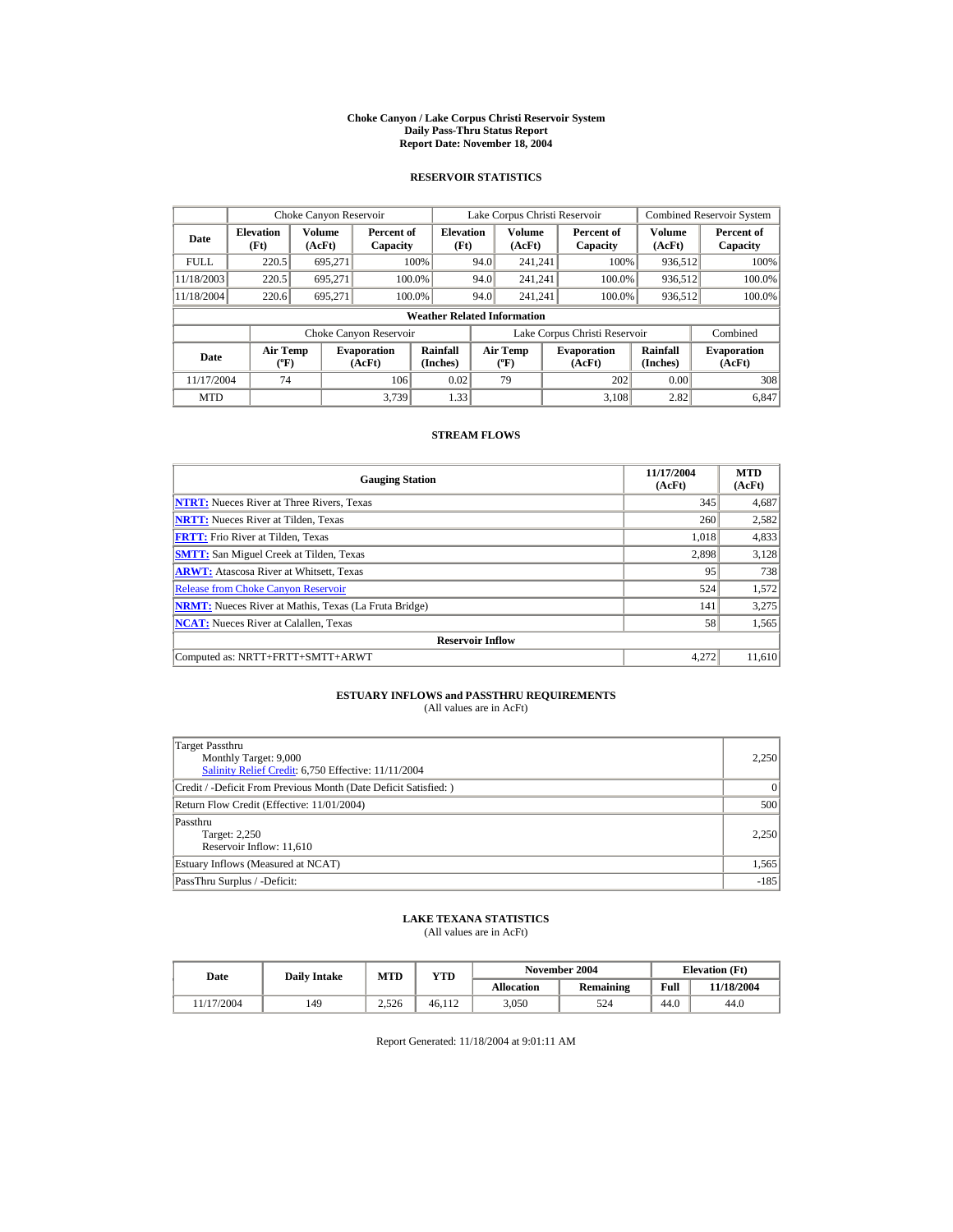#### **Choke Canyon / Lake Corpus Christi Reservoir System Daily Pass-Thru Status Report Report Date: November 18, 2004**

### **RESERVOIR STATISTICS**

|             | Choke Canyon Reservoir                      |                  |                              |                          | Lake Corpus Christi Reservoir |                                         |  |                               |                      | <b>Combined Reservoir System</b> |  |  |
|-------------|---------------------------------------------|------------------|------------------------------|--------------------------|-------------------------------|-----------------------------------------|--|-------------------------------|----------------------|----------------------------------|--|--|
| Date        | <b>Elevation</b><br>(Ft)                    | Volume<br>(AcFt) | Percent of<br>Capacity       | <b>Elevation</b><br>(Ft) |                               | <b>Volume</b><br>(AcFt)                 |  | Percent of<br>Capacity        | Volume<br>(AcFt)     | Percent of<br>Capacity           |  |  |
| <b>FULL</b> | 220.5                                       | 695.271          |                              | 100%                     | 94.0                          | 241.241                                 |  | 100%                          | 936,512              | 100%                             |  |  |
| 11/18/2003  | 220.5                                       | 695.271          |                              | 100.0%                   | 94.0                          | 241.241                                 |  | 100.0%                        | 936,512              | 100.0%                           |  |  |
| 11/18/2004  | 220.6                                       | 695,271          |                              | 100.0%                   | 94.0                          | 241.241                                 |  | 100.0%                        | 936,512              | 100.0%                           |  |  |
|             | <b>Weather Related Information</b>          |                  |                              |                          |                               |                                         |  |                               |                      |                                  |  |  |
|             |                                             |                  | Choke Canyon Reservoir       |                          |                               |                                         |  | Lake Corpus Christi Reservoir |                      | Combined                         |  |  |
| Date        | <b>Air Temp</b><br>$({}^{\circ}\mathrm{F})$ |                  | <b>Evaporation</b><br>(AcFt) | Rainfall<br>(Inches)     |                               | <b>Air Temp</b><br>$(^{\circ}\text{F})$ |  | <b>Evaporation</b><br>(AcFt)  | Rainfall<br>(Inches) | <b>Evaporation</b><br>(AcFt)     |  |  |
| 11/17/2004  | 74                                          |                  | 106                          | 0.02                     |                               | 79                                      |  | 202                           | 0.00                 | 308                              |  |  |
| <b>MTD</b>  |                                             |                  | 3.739                        | 1.33                     |                               |                                         |  | 3.108                         | 2.82                 | 6.847                            |  |  |

### **STREAM FLOWS**

| <b>Gauging Station</b>                                       | 11/17/2004<br>(AcFt) | <b>MTD</b><br>(AcFt) |
|--------------------------------------------------------------|----------------------|----------------------|
| <b>NTRT:</b> Nueces River at Three Rivers, Texas             | 345                  | 4,687                |
| <b>NRTT:</b> Nueces River at Tilden, Texas                   | 260                  | 2,582                |
| <b>FRTT:</b> Frio River at Tilden, Texas                     | 1,018                | 4,833                |
| <b>SMTT:</b> San Miguel Creek at Tilden, Texas               | 2,898                | 3,128                |
| <b>ARWT:</b> Atascosa River at Whitsett, Texas               | 95                   | 738                  |
| <b>Release from Choke Canvon Reservoir</b>                   | 524                  | 1,572                |
| <b>NRMT:</b> Nueces River at Mathis, Texas (La Fruta Bridge) | 141                  | 3,275                |
| <b>NCAT:</b> Nueces River at Calallen, Texas                 | 58                   | 1,565                |
| <b>Reservoir Inflow</b>                                      |                      |                      |
| Computed as: NRTT+FRTT+SMTT+ARWT                             | 4.272                | 11.610               |

# **ESTUARY INFLOWS and PASSTHRU REQUIREMENTS**<br>(All values are in AcFt)

| Target Passthru<br>Monthly Target: 9,000<br>Salinity Relief Credit: 6,750 Effective: 11/11/2004 | 2,250    |
|-------------------------------------------------------------------------------------------------|----------|
| Credit / -Deficit From Previous Month (Date Deficit Satisfied:)                                 | $\Omega$ |
| Return Flow Credit (Effective: 11/01/2004)                                                      | 500      |
| Passthru<br>Target: 2,250<br>Reservoir Inflow: 11,610                                           | 2,250    |
| Estuary Inflows (Measured at NCAT)                                                              | 1,565    |
| PassThru Surplus / -Deficit:                                                                    | $-185$   |

## **LAKE TEXANA STATISTICS**

(All values are in AcFt)

| Date      | <b>Daily Intake</b> | <b>MTD</b> | YTD    |                   | November 2004 |      | <b>Elevation</b> (Ft) |
|-----------|---------------------|------------|--------|-------------------|---------------|------|-----------------------|
|           |                     |            |        | <b>Allocation</b> | Remaining     | Full | 11/18/2004            |
| 1/17/2004 | 149                 | 2.526      | 46.112 | 3.050             | 524           | 44.0 | 44.0                  |

Report Generated: 11/18/2004 at 9:01:11 AM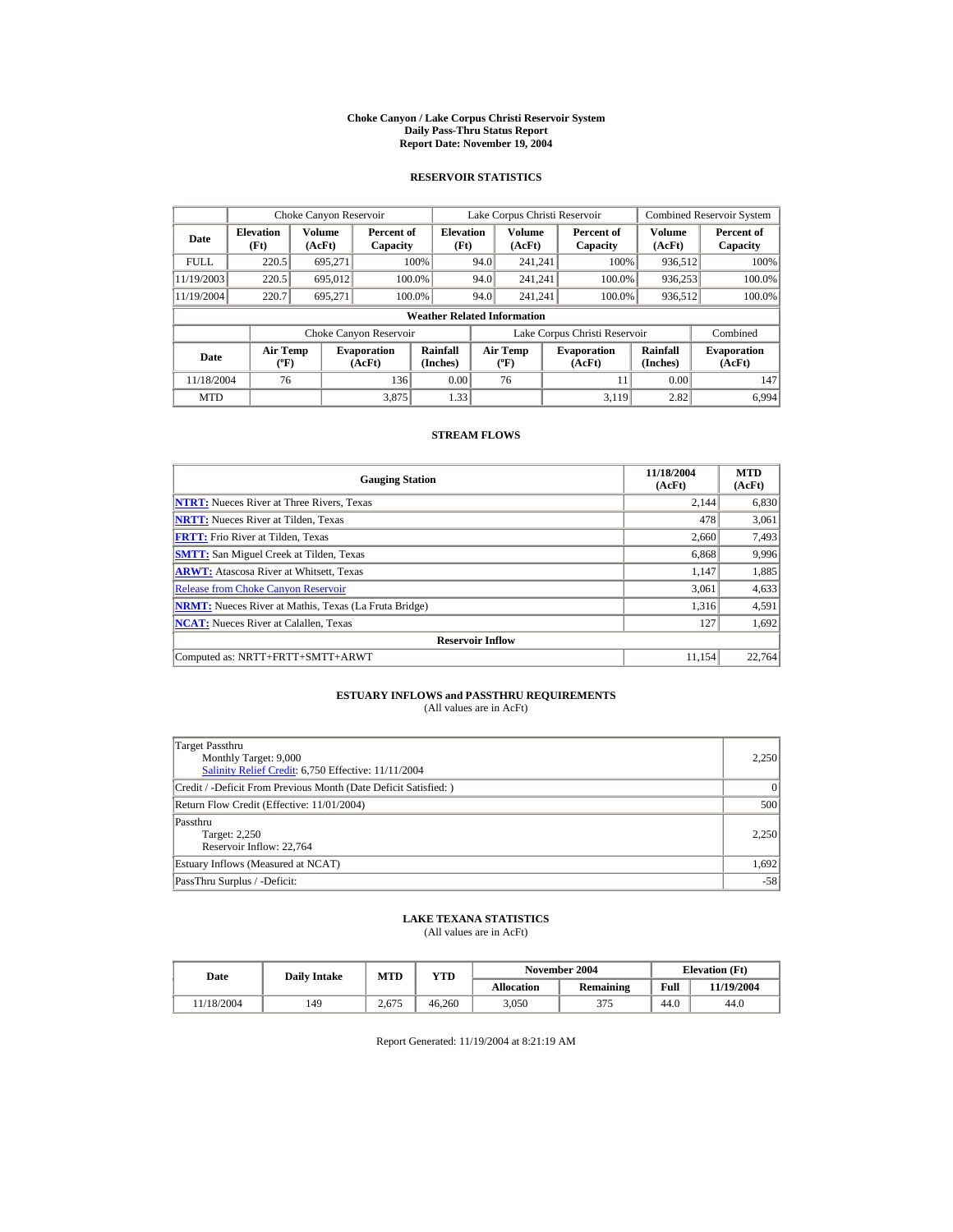#### **Choke Canyon / Lake Corpus Christi Reservoir System Daily Pass-Thru Status Report Report Date: November 19, 2004**

### **RESERVOIR STATISTICS**

|             | Choke Canyon Reservoir                      |                  |                              |                                    | Lake Corpus Christi Reservoir |                                           |  |                              |                         | <b>Combined Reservoir System</b> |  |
|-------------|---------------------------------------------|------------------|------------------------------|------------------------------------|-------------------------------|-------------------------------------------|--|------------------------------|-------------------------|----------------------------------|--|
| Date        | <b>Elevation</b><br>(Ft)                    | Volume<br>(AcFt) | Percent of<br>Capacity       | <b>Elevation</b><br>(Ft)           |                               | <b>Volume</b><br>(AcFt)                   |  | Percent of<br>Capacity       | <b>Volume</b><br>(AcFt) | Percent of<br>Capacity           |  |
| <b>FULL</b> | 220.5                                       | 695,271          |                              | 100%                               | 94.0                          | 241.241                                   |  | 100%                         | 936,512                 | 100%                             |  |
| 11/19/2003  | 220.5                                       | 695,012          |                              | 100.0%                             | 94.0                          | 241.241                                   |  | 100.0%                       | 936,253                 | 100.0%                           |  |
| 11/19/2004  | 220.7                                       | 695.271          |                              | 100.0%                             | 94.0                          | 241.241                                   |  | 100.0%                       | 936,512                 | 100.0%                           |  |
|             |                                             |                  |                              | <b>Weather Related Information</b> |                               |                                           |  |                              |                         |                                  |  |
|             |                                             |                  | Choke Canyon Reservoir       |                                    | Lake Corpus Christi Reservoir |                                           |  |                              |                         | Combined                         |  |
| Date        | <b>Air Temp</b><br>$({}^{\circ}\mathrm{F})$ |                  | <b>Evaporation</b><br>(AcFt) | Rainfall<br>(Inches)               |                               | <b>Air Temp</b><br>$({}^{\circ}\text{F})$ |  | <b>Evaporation</b><br>(AcFt) | Rainfall<br>(Inches)    | <b>Evaporation</b><br>(AcFt)     |  |
| 11/18/2004  | 76                                          |                  | 136                          | 0.00                               |                               | 76                                        |  | 11                           | 0.00                    | 147                              |  |
| <b>MTD</b>  |                                             |                  | 3.875                        | 1.33                               |                               |                                           |  | 3.119                        | 2.82                    | 6.994                            |  |

### **STREAM FLOWS**

| <b>Gauging Station</b>                                       | 11/18/2004<br>(AcFt) | <b>MTD</b><br>(AcFt) |  |  |  |  |  |
|--------------------------------------------------------------|----------------------|----------------------|--|--|--|--|--|
| <b>NTRT:</b> Nueces River at Three Rivers, Texas             | 2.144                | 6,830                |  |  |  |  |  |
| <b>NRTT:</b> Nueces River at Tilden, Texas                   | 478                  | 3,061                |  |  |  |  |  |
| <b>FRTT:</b> Frio River at Tilden, Texas                     | 2,660                | 7,493                |  |  |  |  |  |
| <b>SMTT:</b> San Miguel Creek at Tilden, Texas               | 6,868                | 9,996                |  |  |  |  |  |
| <b>ARWT:</b> Atascosa River at Whitsett, Texas               | 1.147                | 1,885                |  |  |  |  |  |
| <b>Release from Choke Canvon Reservoir</b>                   | 3.061                | 4,633                |  |  |  |  |  |
| <b>NRMT:</b> Nueces River at Mathis, Texas (La Fruta Bridge) | 1.316                | 4,591                |  |  |  |  |  |
| <b>NCAT:</b> Nueces River at Calallen, Texas                 | 127                  | 1,692                |  |  |  |  |  |
| <b>Reservoir Inflow</b>                                      |                      |                      |  |  |  |  |  |
| Computed as: NRTT+FRTT+SMTT+ARWT                             | 11.154               | 22,764               |  |  |  |  |  |

# **ESTUARY INFLOWS and PASSTHRU REQUIREMENTS**<br>(All values are in AcFt)

| Target Passthru<br>Monthly Target: 9,000<br>Salinity Relief Credit: 6,750 Effective: 11/11/2004 | 2,250    |  |  |  |
|-------------------------------------------------------------------------------------------------|----------|--|--|--|
| Credit / -Deficit From Previous Month (Date Deficit Satisfied:)                                 | $\Omega$ |  |  |  |
| Return Flow Credit (Effective: 11/01/2004)                                                      | 500      |  |  |  |
| Passthru<br>Target: 2,250<br>Reservoir Inflow: 22,764                                           | 2,250    |  |  |  |
| Estuary Inflows (Measured at NCAT)                                                              |          |  |  |  |
| PassThru Surplus / -Deficit:                                                                    | $-58$    |  |  |  |

## **LAKE TEXANA STATISTICS**

(All values are in AcFt)

| Date      | <b>Daily Intake</b> | <b>MTD</b> | YTD    |                   | November 2004 | <b>Elevation</b> (Ft) |            |
|-----------|---------------------|------------|--------|-------------------|---------------|-----------------------|------------|
|           |                     |            |        | <b>Allocation</b> | Remaining     | Full                  | 11/19/2004 |
| 1/18/2004 | 149                 | 2.675      | 46.260 | 3.050             | 375           | 44.0                  | 44.0       |

Report Generated: 11/19/2004 at 8:21:19 AM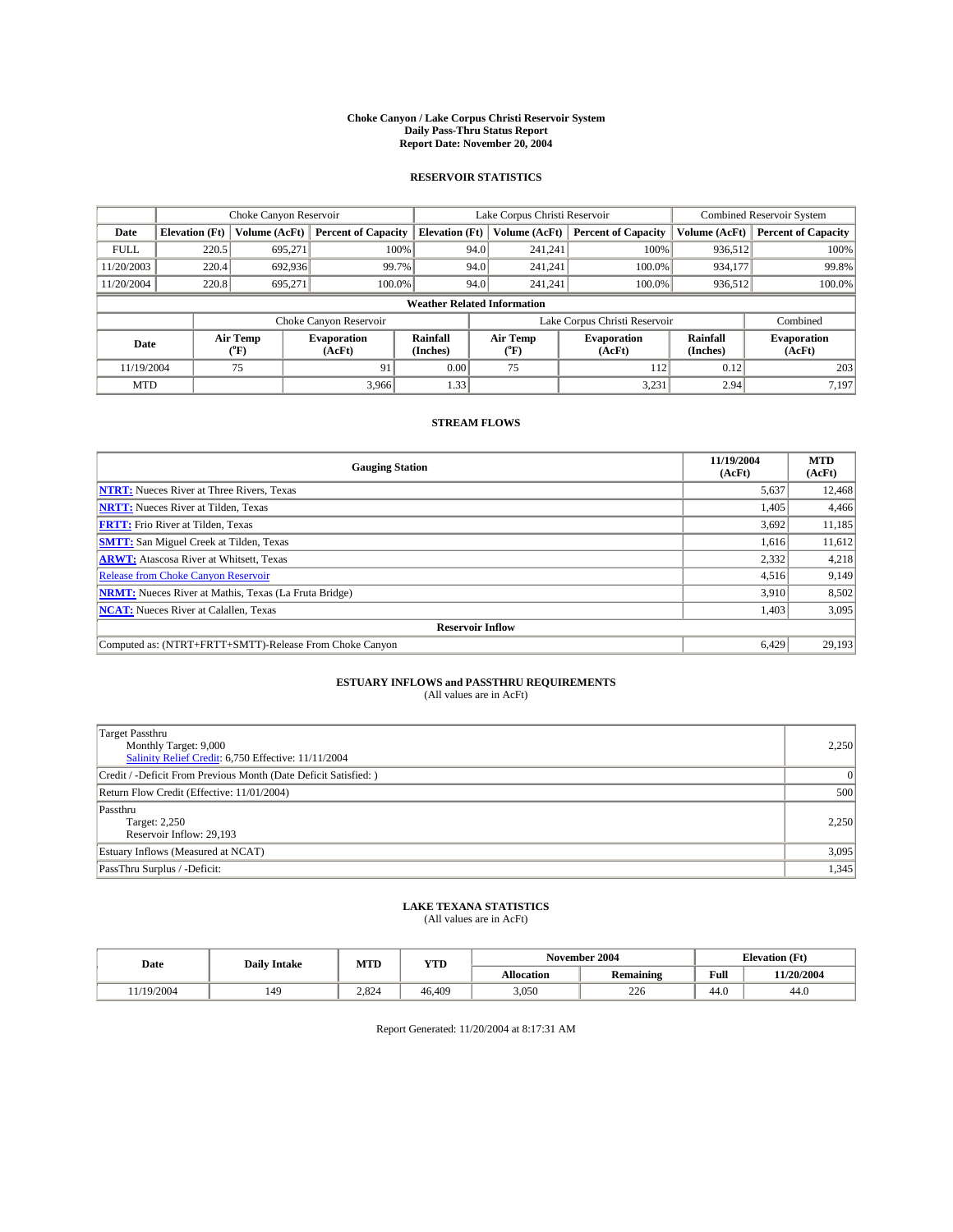#### **Choke Canyon / Lake Corpus Christi Reservoir System Daily Pass-Thru Status Report Report Date: November 20, 2004**

### **RESERVOIR STATISTICS**

|             | Choke Canyon Reservoir |                  | Lake Corpus Christi Reservoir |                                    |                               |                  | <b>Combined Reservoir System</b> |                      |                              |
|-------------|------------------------|------------------|-------------------------------|------------------------------------|-------------------------------|------------------|----------------------------------|----------------------|------------------------------|
| Date        | <b>Elevation</b> (Ft)  | Volume (AcFt)    | <b>Percent of Capacity</b>    | <b>Elevation</b> (Ft)              |                               | Volume (AcFt)    | <b>Percent of Capacity</b>       | Volume (AcFt)        | <b>Percent of Capacity</b>   |
| <b>FULL</b> | 220.5                  | 695.271          | 100%                          |                                    | 94.0                          | 241,241          | 100%                             | 936.512              | 100%                         |
| 11/20/2003  | 220.4                  | 692,936          | 99.7%                         |                                    | 94.0                          | 241.241          | 100.0%                           | 934.177              | 99.8%                        |
| 11/20/2004  | 220.8                  | 695.271          | 100.0%                        |                                    | 94.0                          | 241.241          | 100.0%                           | 936,512              | 100.0%                       |
|             |                        |                  |                               | <b>Weather Related Information</b> |                               |                  |                                  |                      |                              |
|             |                        |                  | Choke Canyon Reservoir        |                                    | Lake Corpus Christi Reservoir |                  |                                  |                      | Combined                     |
| Date        |                        | Air Temp<br>(°F) | <b>Evaporation</b><br>(AcFt)  | Rainfall<br>(Inches)               |                               | Air Temp<br>("F) | <b>Evaporation</b><br>(AcFt)     | Rainfall<br>(Inches) | <b>Evaporation</b><br>(AcFt) |
| 11/19/2004  |                        | 75               | 91                            | 0.00                               |                               | 75               | 1121                             | 0.12                 | 203                          |
| <b>MTD</b>  |                        |                  | 3.966                         | 1.33                               |                               |                  | 3,231                            | 2.94                 | 7,197                        |

### **STREAM FLOWS**

| <b>Gauging Station</b>                                       | 11/19/2004<br>(AcFt) | <b>MTD</b><br>(AcFt) |  |  |  |  |  |
|--------------------------------------------------------------|----------------------|----------------------|--|--|--|--|--|
| <b>NTRT:</b> Nueces River at Three Rivers, Texas             | 5,637                | 12,468               |  |  |  |  |  |
| <b>NRTT:</b> Nueces River at Tilden, Texas                   | 1,405                | 4,466                |  |  |  |  |  |
| <b>FRTT:</b> Frio River at Tilden, Texas                     | 3,692                | 11,185               |  |  |  |  |  |
| <b>SMTT:</b> San Miguel Creek at Tilden, Texas               | 1,616                | 11,612               |  |  |  |  |  |
| <b>ARWT:</b> Atascosa River at Whitsett, Texas               | 2,332                | 4,218                |  |  |  |  |  |
| Release from Choke Canyon Reservoir                          | 4,516                | 9,149                |  |  |  |  |  |
| <b>NRMT:</b> Nueces River at Mathis, Texas (La Fruta Bridge) | 3,910                | 8,502                |  |  |  |  |  |
| <b>NCAT:</b> Nueces River at Calallen, Texas                 | 1,403                | 3,095                |  |  |  |  |  |
| <b>Reservoir Inflow</b>                                      |                      |                      |  |  |  |  |  |
| Computed as: (NTRT+FRTT+SMTT)-Release From Choke Canyon      | 6.429                | 29,193               |  |  |  |  |  |

# **ESTUARY INFLOWS and PASSTHRU REQUIREMENTS**<br>(All values are in AcFt)

| Target Passthru<br>Monthly Target: 9,000<br>Salinity Relief Credit: 6,750 Effective: 11/11/2004 | 2,250 |
|-------------------------------------------------------------------------------------------------|-------|
| Credit / -Deficit From Previous Month (Date Deficit Satisfied: )                                | 0     |
| Return Flow Credit (Effective: 11/01/2004)                                                      | 500   |
| Passthru<br>Target: 2,250<br>Reservoir Inflow: 29,193                                           | 2,250 |
| Estuary Inflows (Measured at NCAT)                                                              | 3,095 |
| PassThru Surplus / -Deficit:                                                                    | 1,345 |

# **LAKE TEXANA STATISTICS** (All values are in AcFt)

|  | November 2004 |
|--|---------------|
|  |               |
|  |               |

| Date      | <b>Daily Intake</b> | <b>MTD</b> | <b>YTD</b> |            | November 2004    | <b>Elevation (Ft)</b> |            |  |
|-----------|---------------------|------------|------------|------------|------------------|-----------------------|------------|--|
|           |                     |            |            | Allocation | <b>Remaining</b> | Full                  | 11/20/2004 |  |
| 1/19/2004 | 149                 | 2.824      | 46.409     | 3,050      | 226              | 44.0                  | 44.0       |  |

Report Generated: 11/20/2004 at 8:17:31 AM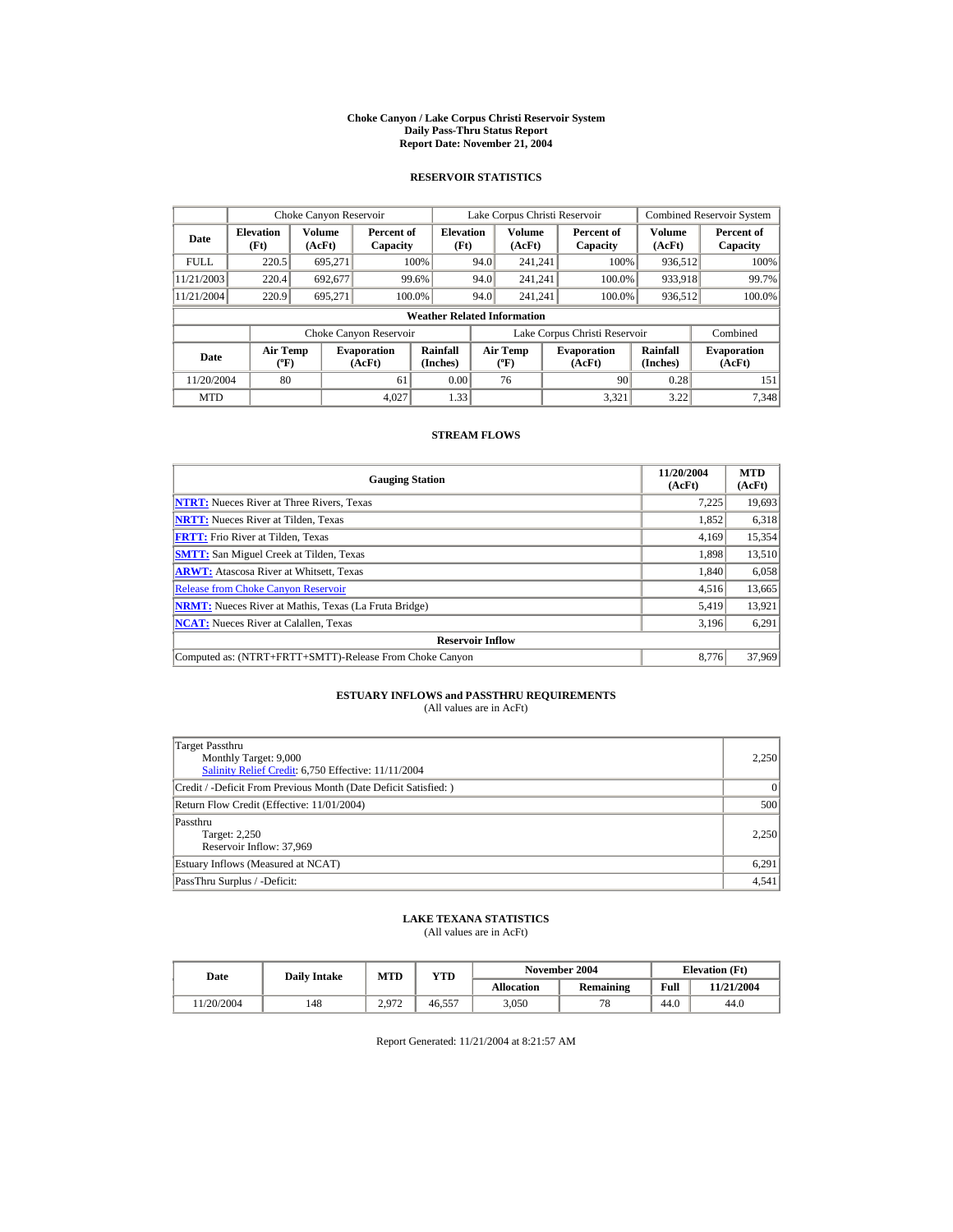#### **Choke Canyon / Lake Corpus Christi Reservoir System Daily Pass-Thru Status Report Report Date: November 21, 2004**

### **RESERVOIR STATISTICS**

|             | Choke Canyon Reservoir                      |                  |                              |                                    | Lake Corpus Christi Reservoir |                                         |                               |        | <b>Combined Reservoir System</b> |                              |
|-------------|---------------------------------------------|------------------|------------------------------|------------------------------------|-------------------------------|-----------------------------------------|-------------------------------|--------|----------------------------------|------------------------------|
| Date        | <b>Elevation</b><br>(Ft)                    | Volume<br>(AcFt) | Percent of<br>Capacity       | <b>Elevation</b><br>(Ft)           |                               | <b>Volume</b><br>(AcFt)                 | Percent of<br>Capacity        |        | Volume<br>(AcFt)                 | Percent of<br>Capacity       |
| <b>FULL</b> | 220.5                                       | 695.271          |                              | 100%                               | 94.0                          | 241.241                                 |                               | 100%   | 936,512                          | 100%                         |
| 11/21/2003  | 220.4                                       | 692,677          |                              | 99.6%                              | 94.0                          | 241.241                                 |                               | 100.0% | 933,918                          | 99.7%                        |
| 11/21/2004  | 220.9                                       | 695,271          | 100.0%                       |                                    | 94.0                          | 241.241                                 |                               | 100.0% | 936,512                          | 100.0%                       |
|             |                                             |                  |                              | <b>Weather Related Information</b> |                               |                                         |                               |        |                                  |                              |
|             |                                             |                  | Choke Canyon Reservoir       |                                    |                               |                                         | Lake Corpus Christi Reservoir |        |                                  | Combined                     |
| Date        | <b>Air Temp</b><br>$({}^{\circ}\mathrm{F})$ |                  | <b>Evaporation</b><br>(AcFt) | Rainfall<br>(Inches)               |                               | <b>Air Temp</b><br>$(^{\circ}\text{F})$ | <b>Evaporation</b><br>(AcFt)  |        | Rainfall<br>(Inches)             | <b>Evaporation</b><br>(AcFt) |
| 11/20/2004  | 80                                          |                  | 61                           | 0.00                               |                               | 76                                      |                               | 90     | 0.28                             | 151                          |
| <b>MTD</b>  |                                             |                  | 4.027                        | 1.33                               |                               |                                         |                               | 3.321  | 3.22                             | 7.348                        |

### **STREAM FLOWS**

| <b>Gauging Station</b>                                       | 11/20/2004<br>(AcFt) | <b>MTD</b><br>(AcFt) |  |  |  |  |  |
|--------------------------------------------------------------|----------------------|----------------------|--|--|--|--|--|
| <b>NTRT:</b> Nueces River at Three Rivers, Texas             | 7,225                | 19,693               |  |  |  |  |  |
| <b>NRTT:</b> Nueces River at Tilden, Texas                   | 1,852                | 6,318                |  |  |  |  |  |
| <b>FRTT:</b> Frio River at Tilden, Texas                     | 4,169                | 15,354               |  |  |  |  |  |
| <b>SMTT:</b> San Miguel Creek at Tilden, Texas               | 1,898                | 13,510               |  |  |  |  |  |
| <b>ARWT:</b> Atascosa River at Whitsett, Texas               | 1,840                | 6,058                |  |  |  |  |  |
| <b>Release from Choke Canvon Reservoir</b>                   | 4,516                | 13,665               |  |  |  |  |  |
| <b>NRMT:</b> Nueces River at Mathis, Texas (La Fruta Bridge) | 5,419                | 13,921               |  |  |  |  |  |
| <b>NCAT:</b> Nueces River at Calallen, Texas                 | 3,196                | 6,291                |  |  |  |  |  |
| <b>Reservoir Inflow</b>                                      |                      |                      |  |  |  |  |  |
| Computed as: (NTRT+FRTT+SMTT)-Release From Choke Canyon      | 8.776                | 37,969               |  |  |  |  |  |

# **ESTUARY INFLOWS and PASSTHRU REQUIREMENTS**<br>(All values are in AcFt)

| Target Passthru<br>Monthly Target: 9,000<br>Salinity Relief Credit: 6,750 Effective: 11/11/2004 | 2.250 |
|-------------------------------------------------------------------------------------------------|-------|
| Credit / -Deficit From Previous Month (Date Deficit Satisfied:)                                 | 0     |
| Return Flow Credit (Effective: 11/01/2004)                                                      | 500   |
| Passthru<br>Target: 2,250<br>Reservoir Inflow: 37,969                                           | 2.250 |
| Estuary Inflows (Measured at NCAT)                                                              | 6,291 |
| PassThru Surplus / -Deficit:                                                                    | 4.541 |

## **LAKE TEXANA STATISTICS**

(All values are in AcFt)

| Date      | <b>Daily Intake</b> | <b>MTD</b>                | YTD    |                   | November 2004 | <b>Elevation</b> (Ft) |            |
|-----------|---------------------|---------------------------|--------|-------------------|---------------|-----------------------|------------|
|           |                     |                           |        | <b>Allocation</b> | Remaining     | Full                  | 11/21/2004 |
| 1/20/2004 | 148                 | 2.972<br><u>_., , , ,</u> | 46.557 | 3.050             | $\pi c$       | 44.0                  | 44.0       |

Report Generated: 11/21/2004 at 8:21:57 AM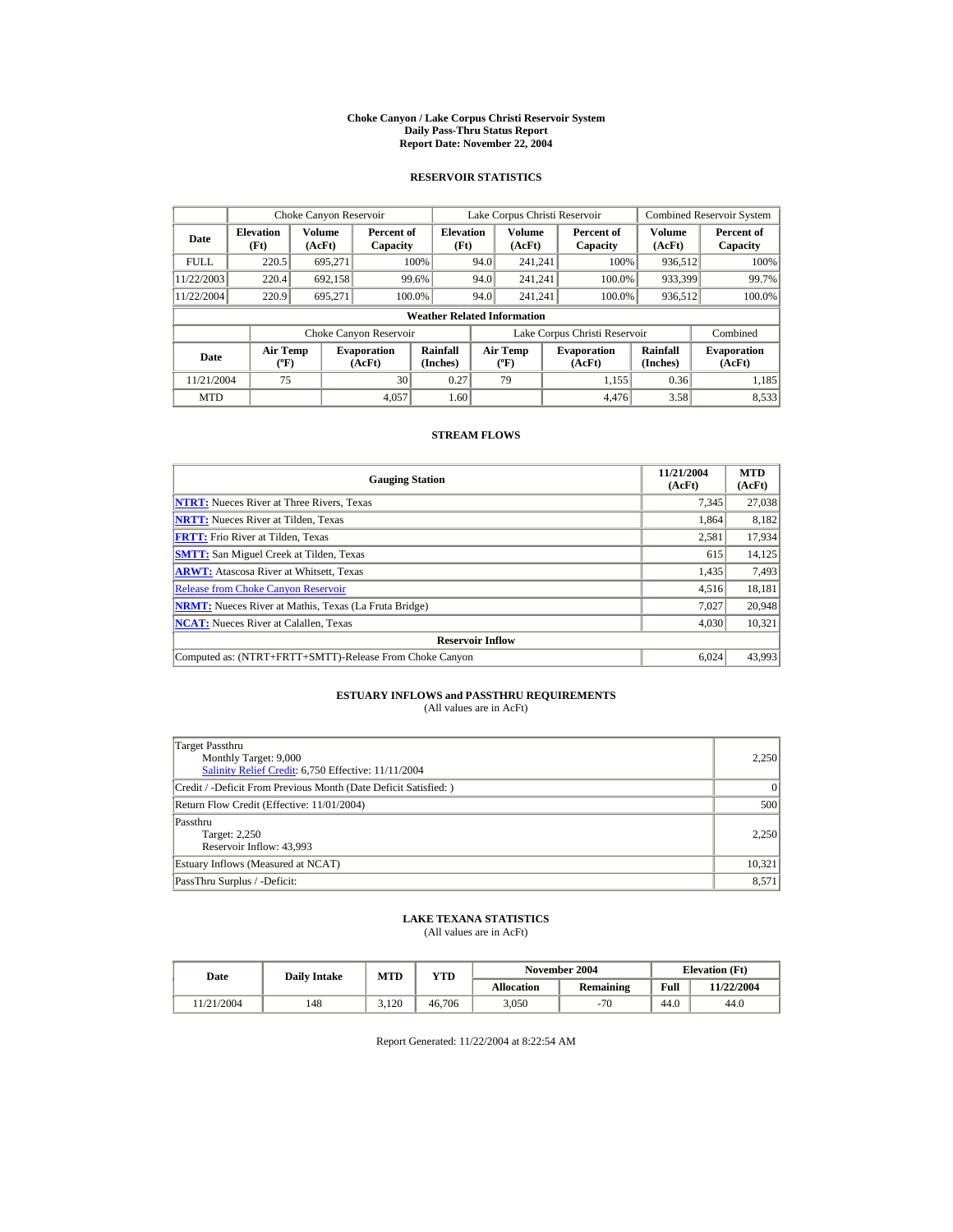#### **Choke Canyon / Lake Corpus Christi Reservoir System Daily Pass-Thru Status Report Report Date: November 22, 2004**

### **RESERVOIR STATISTICS**

|             | Choke Canyon Reservoir   |                                                                                                                                         |                        |                                    | Lake Corpus Christi Reservoir |                      |                              |                               |                  | <b>Combined Reservoir System</b> |
|-------------|--------------------------|-----------------------------------------------------------------------------------------------------------------------------------------|------------------------|------------------------------------|-------------------------------|----------------------|------------------------------|-------------------------------|------------------|----------------------------------|
| Date        | <b>Elevation</b><br>(Ft) | Volume<br>(AcFt)                                                                                                                        | Percent of<br>Capacity | <b>Elevation</b><br>(Ft)           |                               | Volume<br>(AcFt)     | Percent of<br>Capacity       |                               | Volume<br>(AcFt) | Percent of<br>Capacity           |
| <b>FULL</b> | 220.5                    | 695.271                                                                                                                                 |                        | 100%                               | 94.0                          | 241.241              |                              | 100%                          | 936,512          | 100%                             |
| 11/22/2003  | 220.4                    | 692,158                                                                                                                                 |                        | 99.6%                              | 94.0                          | 241.241              |                              | 100.0%                        | 933,399          | 99.7%                            |
| 11/22/2004  | 220.9                    | 695.271                                                                                                                                 | 100.0%                 |                                    | 94.0                          | 241.241              |                              | 100.0%                        | 936,512          | 100.0%                           |
|             |                          |                                                                                                                                         |                        | <b>Weather Related Information</b> |                               |                      |                              |                               |                  |                                  |
|             |                          |                                                                                                                                         | Choke Canyon Reservoir |                                    |                               |                      |                              | Lake Corpus Christi Reservoir |                  | Combined                         |
| Date        |                          | Rainfall<br><b>Air Temp</b><br><b>Air Temp</b><br><b>Evaporation</b><br>$({}^{\circ}\mathrm{F})$<br>(Inches)<br>(AcFt)<br>$(^{\circ}F)$ |                        |                                    | <b>Evaporation</b><br>(AcFt)  | Rainfall<br>(Inches) | <b>Evaporation</b><br>(AcFt) |                               |                  |                                  |
| 11/21/2004  | 75                       |                                                                                                                                         | 30                     | 0.27                               |                               | 79                   |                              | 1.155                         | 0.36             | 1.185                            |
| <b>MTD</b>  |                          |                                                                                                                                         | 4.057                  | 1.60                               |                               |                      |                              | 4.476                         | 3.58             | 8,533                            |

### **STREAM FLOWS**

| <b>Gauging Station</b>                                       | 11/21/2004<br>(AcFt) | <b>MTD</b><br>(AcFt) |
|--------------------------------------------------------------|----------------------|----------------------|
| <b>NTRT:</b> Nueces River at Three Rivers, Texas             | 7,345                | 27,038               |
| <b>NRTT:</b> Nueces River at Tilden, Texas                   | 1,864                | 8,182                |
| <b>FRTT:</b> Frio River at Tilden, Texas                     | 2,581                | 17,934               |
| <b>SMTT:</b> San Miguel Creek at Tilden, Texas               | 615                  | 14,125               |
| <b>ARWT:</b> Atascosa River at Whitsett, Texas               | 1,435                | 7,493                |
| <b>Release from Choke Canvon Reservoir</b>                   | 4,516                | 18,181               |
| <b>NRMT:</b> Nueces River at Mathis, Texas (La Fruta Bridge) | 7.027                | 20.948               |
| <b>NCAT:</b> Nueces River at Calallen, Texas                 | 4,030                | 10,321               |
| <b>Reservoir Inflow</b>                                      |                      |                      |
| Computed as: (NTRT+FRTT+SMTT)-Release From Choke Canyon      | 6,024                | 43,993               |

# **ESTUARY INFLOWS and PASSTHRU REQUIREMENTS**<br>(All values are in AcFt)

| Target Passthru<br>Monthly Target: 9,000<br>Salinity Relief Credit: 6,750 Effective: 11/11/2004 |        |  |  |  |  |
|-------------------------------------------------------------------------------------------------|--------|--|--|--|--|
| Credit / -Deficit From Previous Month (Date Deficit Satisfied:)                                 | 0      |  |  |  |  |
| Return Flow Credit (Effective: 11/01/2004)                                                      |        |  |  |  |  |
| Passthru<br>Target: 2,250<br>Reservoir Inflow: 43,993                                           | 2.250  |  |  |  |  |
| Estuary Inflows (Measured at NCAT)                                                              | 10,321 |  |  |  |  |
| PassThru Surplus / -Deficit:                                                                    | 8.571  |  |  |  |  |

## **LAKE TEXANA STATISTICS**

(All values are in AcFt)

| Date      | <b>Daily Intake</b> | <b>MTD</b> | YTD    |                   | November 2004 | <b>Elevation</b> (Ft) |            |
|-----------|---------------------|------------|--------|-------------------|---------------|-----------------------|------------|
|           |                     |            |        | <b>Allocation</b> | Remaining     | Full                  | 11/22/2004 |
| 1/21/2004 | 148                 | .120       | 46.706 | 3.050             | $-70$         | 44.0                  | 44.0       |

Report Generated: 11/22/2004 at 8:22:54 AM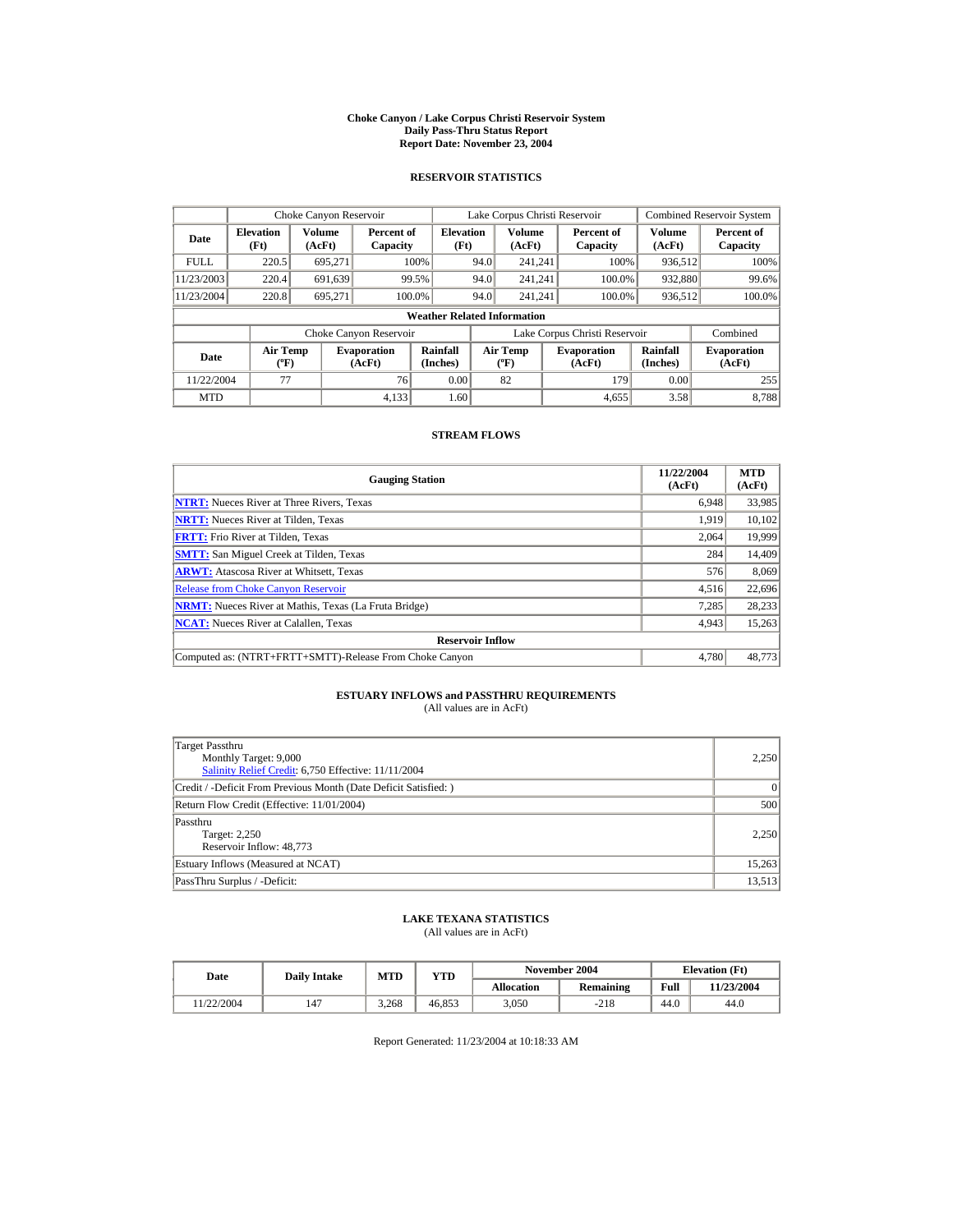#### **Choke Canyon / Lake Corpus Christi Reservoir System Daily Pass-Thru Status Report Report Date: November 23, 2004**

### **RESERVOIR STATISTICS**

|             | Choke Canyon Reservoir                                                                                                                                                          |                  |                        |                                    | Lake Corpus Christi Reservoir |                         |  |                               |                  | <b>Combined Reservoir System</b> |
|-------------|---------------------------------------------------------------------------------------------------------------------------------------------------------------------------------|------------------|------------------------|------------------------------------|-------------------------------|-------------------------|--|-------------------------------|------------------|----------------------------------|
| Date        | <b>Elevation</b><br>(Ft)                                                                                                                                                        | Volume<br>(AcFt) | Percent of<br>Capacity | <b>Elevation</b><br>(Ft)           |                               | <b>Volume</b><br>(AcFt) |  | Percent of<br>Capacity        | Volume<br>(AcFt) | Percent of<br>Capacity           |
| <b>FULL</b> | 220.5                                                                                                                                                                           | 695.271          |                        | 100%                               | 94.0                          | 241.241                 |  | 100%                          | 936,512          | 100%                             |
| 11/23/2003  | 220.4                                                                                                                                                                           | 691,639          |                        | 99.5%                              | 94.0                          | 241.241                 |  | 100.0%                        | 932,880          | 99.6%                            |
| 11/23/2004  | 220.8                                                                                                                                                                           | 695,271          | 100.0%                 |                                    | 94.0                          | 241.241                 |  | 100.0%                        | 936,512          | 100.0%                           |
|             |                                                                                                                                                                                 |                  |                        | <b>Weather Related Information</b> |                               |                         |  |                               |                  |                                  |
|             |                                                                                                                                                                                 |                  | Choke Canyon Reservoir |                                    |                               |                         |  | Lake Corpus Christi Reservoir |                  | Combined                         |
| Date        | Rainfall<br><b>Air Temp</b><br><b>Air Temp</b><br><b>Evaporation</b><br><b>Evaporation</b><br>$({}^{\circ}\mathrm{F})$<br>(Inches)<br>(AcFt)<br>(AcFt)<br>$({}^{\circ}{\rm F})$ |                  | Rainfall<br>(Inches)   | <b>Evaporation</b><br>(AcFt)       |                               |                         |  |                               |                  |                                  |
| 11/22/2004  | 77                                                                                                                                                                              |                  | 76                     | 0.00                               |                               | 82                      |  | 179                           | 0.00             | 255                              |
| <b>MTD</b>  |                                                                                                                                                                                 |                  | 4.133                  | 1.60                               |                               |                         |  | 4.655                         | 3.58             | 8.788                            |

### **STREAM FLOWS**

| <b>Gauging Station</b>                                       | 11/22/2004<br>(AcFt) | <b>MTD</b><br>(AcFt) |
|--------------------------------------------------------------|----------------------|----------------------|
| <b>NTRT:</b> Nueces River at Three Rivers, Texas             | 6,948                | 33,985               |
| <b>NRTT:</b> Nueces River at Tilden, Texas                   | 1,919                | 10,102               |
| <b>FRTT:</b> Frio River at Tilden, Texas                     | 2.064                | 19,999               |
| <b>SMTT:</b> San Miguel Creek at Tilden, Texas               | 284                  | 14,409               |
| <b>ARWT:</b> Atascosa River at Whitsett, Texas               | 576                  | 8,069                |
| <b>Release from Choke Canvon Reservoir</b>                   | 4,516                | 22,696               |
| <b>NRMT:</b> Nueces River at Mathis, Texas (La Fruta Bridge) | 7.285                | 28,233               |
| <b>NCAT:</b> Nueces River at Calallen, Texas                 | 4,943                | 15,263               |
| <b>Reservoir Inflow</b>                                      |                      |                      |
| Computed as: (NTRT+FRTT+SMTT)-Release From Choke Canyon      | 4.780                | 48,773               |

# **ESTUARY INFLOWS and PASSTHRU REQUIREMENTS**<br>(All values are in AcFt)

| Target Passthru<br>Monthly Target: 9,000<br>Salinity Relief Credit: 6,750 Effective: 11/11/2004 | 2,250  |
|-------------------------------------------------------------------------------------------------|--------|
| Credit / -Deficit From Previous Month (Date Deficit Satisfied:)                                 | 0      |
| Return Flow Credit (Effective: 11/01/2004)                                                      | 500    |
| Passthru<br>Target: 2,250<br>Reservoir Inflow: 48,773                                           | 2.250  |
| Estuary Inflows (Measured at NCAT)                                                              | 15,263 |
| PassThru Surplus / -Deficit:                                                                    | 13,513 |

## **LAKE TEXANA STATISTICS**

(All values are in AcFt)

| Date      | <b>Daily Intake</b> | <b>MTD</b> | $\mathbf{v_{TD}}$ |                   | November 2004 | <b>Elevation</b> (Ft) |            |
|-----------|---------------------|------------|-------------------|-------------------|---------------|-----------------------|------------|
|           |                     |            |                   | <b>Allocation</b> | Remaining     | Full                  | 11/23/2004 |
| 1/22/2004 | 147                 | 3.268      | 46.853            | 3.050             | $-218$        | 44.0                  | 44.0       |

Report Generated: 11/23/2004 at 10:18:33 AM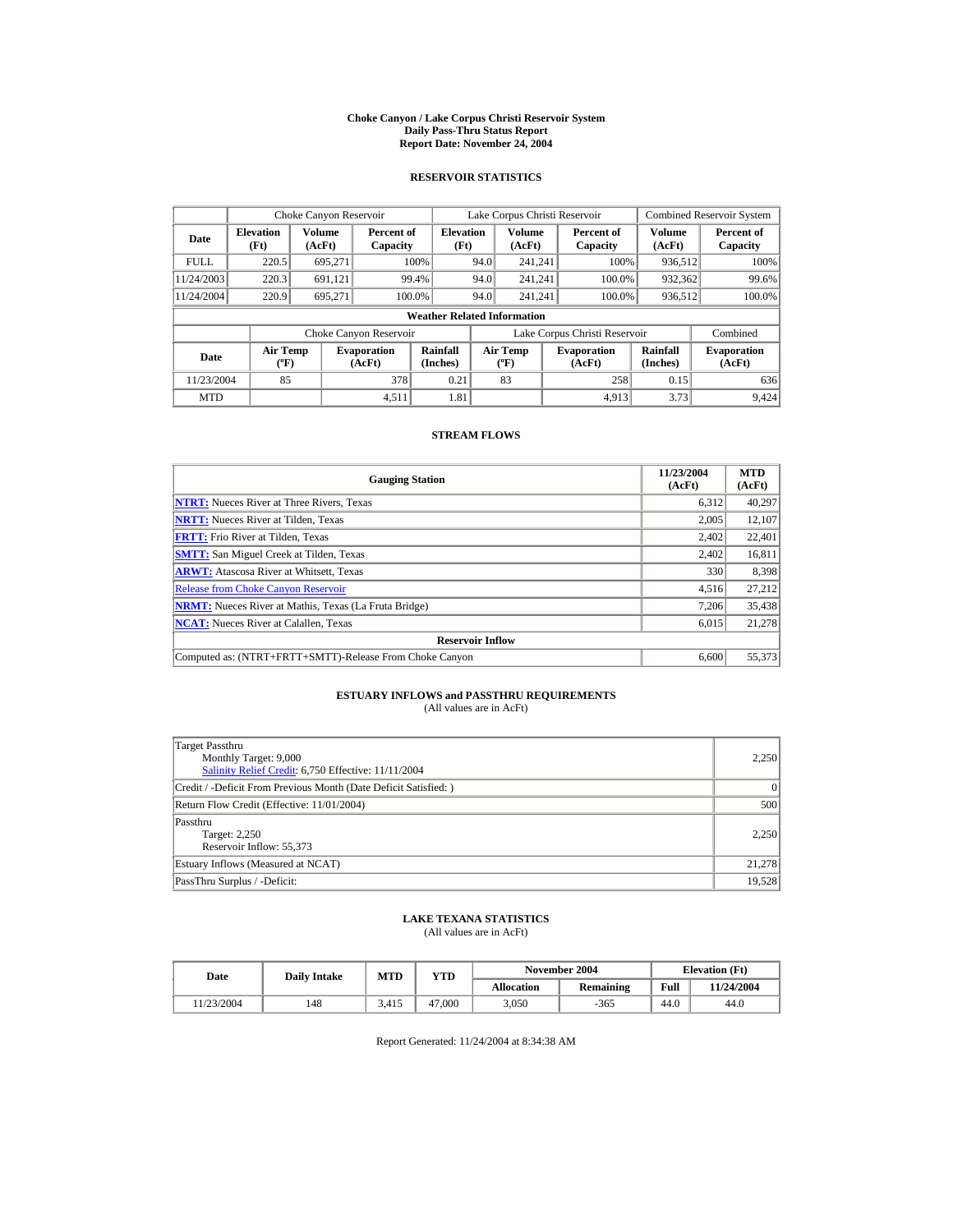#### **Choke Canyon / Lake Corpus Christi Reservoir System Daily Pass-Thru Status Report Report Date: November 24, 2004**

### **RESERVOIR STATISTICS**

|             | Choke Canyon Reservoir                                                      |                  |                        |                                    | Lake Corpus Christi Reservoir             |                         |  |                               |                         | <b>Combined Reservoir System</b> |
|-------------|-----------------------------------------------------------------------------|------------------|------------------------|------------------------------------|-------------------------------------------|-------------------------|--|-------------------------------|-------------------------|----------------------------------|
| Date        | <b>Elevation</b><br>(Ft)                                                    | Volume<br>(AcFt) | Percent of<br>Capacity | <b>Elevation</b><br>(Ft)           |                                           | <b>Volume</b><br>(AcFt) |  | Percent of<br>Capacity        | <b>Volume</b><br>(AcFt) | Percent of<br>Capacity           |
| <b>FULL</b> | 220.5                                                                       | 695,271          |                        | 100%                               | 94.0                                      | 241.241                 |  | 100%                          | 936,512                 | 100%                             |
| 11/24/2003  | 220.3                                                                       | 691,121          |                        | 99.4%                              | 94.0                                      | 241.241                 |  | 100.0%                        | 932,362                 | 99.6%                            |
| 11/24/2004  | 220.9                                                                       | 695.271          | 100.0%                 |                                    | 94.0                                      | 241.241                 |  | 100.0%                        | 936,512                 | 100.0%                           |
|             |                                                                             |                  |                        | <b>Weather Related Information</b> |                                           |                         |  |                               |                         |                                  |
|             |                                                                             |                  | Choke Canyon Reservoir |                                    |                                           |                         |  | Lake Corpus Christi Reservoir |                         | Combined                         |
| Date        | <b>Air Temp</b><br><b>Evaporation</b><br>$({}^{\circ}\mathrm{F})$<br>(AcFt) |                  |                        | Rainfall<br>(Inches)               | <b>Air Temp</b><br>$({}^{\circ}\text{F})$ |                         |  | <b>Evaporation</b><br>(AcFt)  | Rainfall<br>(Inches)    | <b>Evaporation</b><br>(AcFt)     |
| 11/23/2004  | 85                                                                          |                  | 378                    | 0.21                               |                                           | 83                      |  | 258                           | 0.15                    | 636                              |
| <b>MTD</b>  |                                                                             |                  | 4,511                  | 1.81                               |                                           |                         |  | 4.913                         | 3.73                    | 9.424                            |

### **STREAM FLOWS**

| <b>Gauging Station</b>                                       | 11/23/2004<br>(AcFt) | <b>MTD</b><br>(AcFt) |
|--------------------------------------------------------------|----------------------|----------------------|
| <b>NTRT:</b> Nueces River at Three Rivers, Texas             | 6,312                | 40,297               |
| <b>NRTT:</b> Nueces River at Tilden, Texas                   | 2,005                | 12,107               |
| <b>FRTT:</b> Frio River at Tilden, Texas                     | 2,402                | 22,401               |
| <b>SMTT:</b> San Miguel Creek at Tilden, Texas               | 2.402                | 16,811               |
| <b>ARWT:</b> Atascosa River at Whitsett, Texas               | 330                  | 8,398                |
| <b>Release from Choke Canvon Reservoir</b>                   | 4,516                | 27,212               |
| <b>NRMT:</b> Nueces River at Mathis, Texas (La Fruta Bridge) | 7.206                | 35,438               |
| <b>NCAT:</b> Nueces River at Calallen, Texas                 | 6,015                | 21,278               |
| <b>Reservoir Inflow</b>                                      |                      |                      |
| Computed as: (NTRT+FRTT+SMTT)-Release From Choke Canyon      | 6.600                | 55,373               |

# **ESTUARY INFLOWS and PASSTHRU REQUIREMENTS**<br>(All values are in AcFt)

| Target Passthru<br>Monthly Target: 9,000<br>Salinity Relief Credit: 6,750 Effective: 11/11/2004 | 2,250  |
|-------------------------------------------------------------------------------------------------|--------|
| Credit / -Deficit From Previous Month (Date Deficit Satisfied:)                                 | 0      |
| Return Flow Credit (Effective: 11/01/2004)                                                      | 500    |
| Passthru<br>Target: 2,250<br>Reservoir Inflow: 55,373                                           | 2.250  |
| Estuary Inflows (Measured at NCAT)                                                              | 21,278 |
| PassThru Surplus / -Deficit:                                                                    | 19.528 |

## **LAKE TEXANA STATISTICS**

(All values are in AcFt)

| Date      | <b>Daily Intake</b> | <b>MTD</b><br>YTD |        |                   | November 2004 | <b>Elevation</b> (Ft) |            |
|-----------|---------------------|-------------------|--------|-------------------|---------------|-----------------------|------------|
|           |                     |                   |        | <b>Allocation</b> | Remaining     | Full                  | 11/24/2004 |
| 1/23/2004 | 148                 | 3.415             | 47,000 | 3.050             | -365          | 44.0                  | 44.0       |

Report Generated: 11/24/2004 at 8:34:38 AM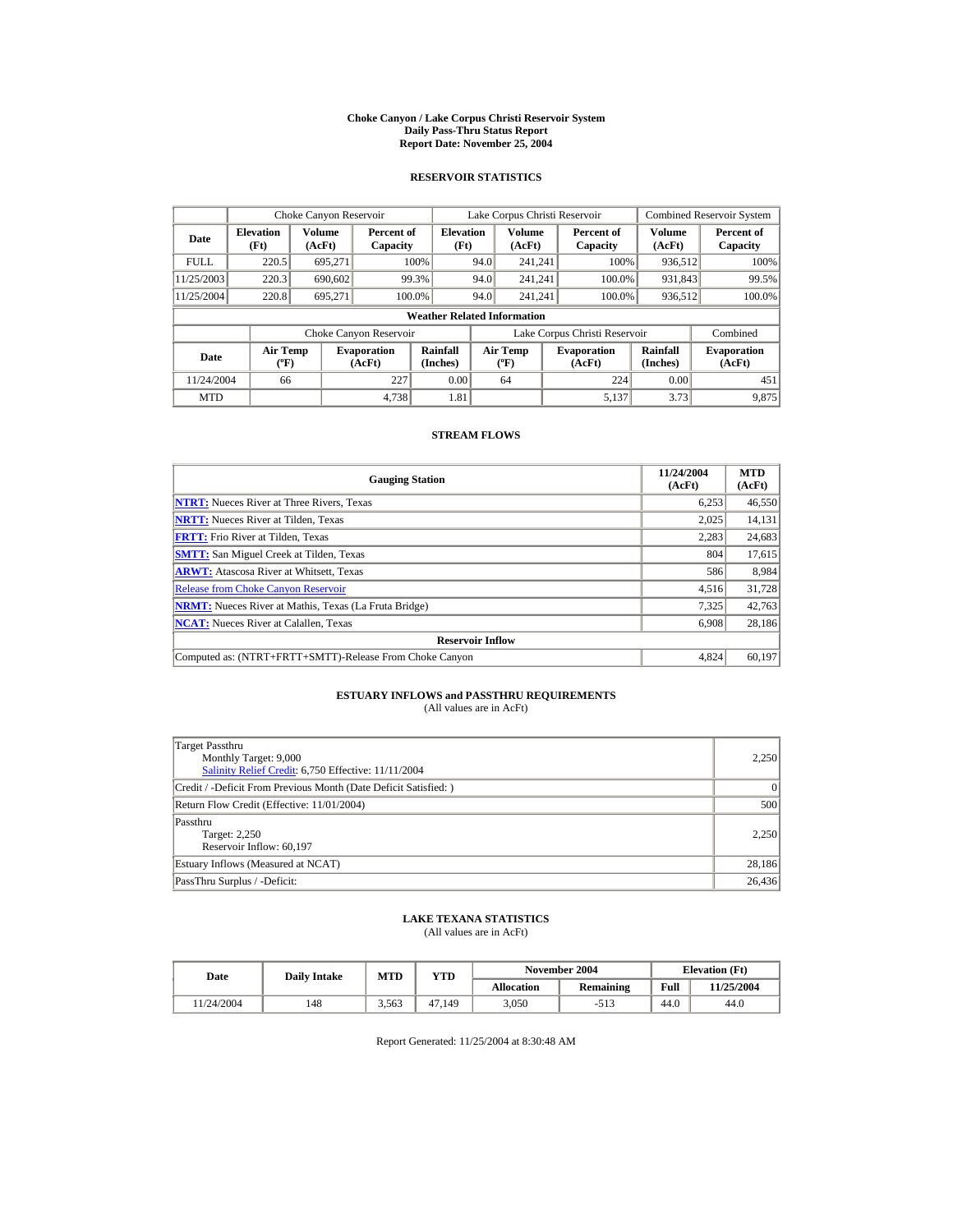#### **Choke Canyon / Lake Corpus Christi Reservoir System Daily Pass-Thru Status Report Report Date: November 25, 2004**

### **RESERVOIR STATISTICS**

|             | Choke Canyon Reservoir                      |                  |                              |                                    | Lake Corpus Christi Reservoir    |                  |  |                               | <b>Combined Reservoir System</b> |                              |  |
|-------------|---------------------------------------------|------------------|------------------------------|------------------------------------|----------------------------------|------------------|--|-------------------------------|----------------------------------|------------------------------|--|
| Date        | <b>Elevation</b><br>(Ft)                    | Volume<br>(AcFt) | Percent of<br>Capacity       | <b>Elevation</b><br>(Ft)           |                                  | Volume<br>(AcFt) |  | Percent of<br>Capacity        | Volume<br>(AcFt)                 | Percent of<br>Capacity       |  |
| <b>FULL</b> | 220.5                                       | 695.271          |                              | 100%                               | 94.0                             | 241.241          |  | 100%                          | 936,512                          | 100%                         |  |
| 11/25/2003  | 220.3                                       | 690,602          |                              | 99.3%                              | 94.0                             | 241.241          |  | 100.0%                        | 931,843                          | 99.5%                        |  |
| 11/25/2004  | 220.8                                       | 695.271          | 100.0%                       |                                    | 94.0                             | 241.241          |  | 100.0%                        | 936,512                          | 100.0%                       |  |
|             |                                             |                  |                              | <b>Weather Related Information</b> |                                  |                  |  |                               |                                  |                              |  |
|             |                                             |                  | Choke Canyon Reservoir       |                                    |                                  |                  |  | Lake Corpus Christi Reservoir |                                  | Combined                     |  |
| Date        | <b>Air Temp</b><br>$({}^{\circ}\mathrm{F})$ |                  | <b>Evaporation</b><br>(AcFt) | Rainfall<br>(Inches)               | <b>Air Temp</b><br>$(^{\circ}F)$ |                  |  | <b>Evaporation</b><br>(AcFt)  | Rainfall<br>(Inches)             | <b>Evaporation</b><br>(AcFt) |  |
| 11/24/2004  | 66                                          |                  | 227                          | 0.00                               |                                  | 64               |  | 224                           | 0.00                             | 451                          |  |
| <b>MTD</b>  |                                             |                  | 4.738                        | 1.81                               |                                  |                  |  | 5.137                         | 3.73                             | 9.875                        |  |

### **STREAM FLOWS**

| <b>Gauging Station</b>                                       | 11/24/2004<br>(AcFt) | <b>MTD</b><br>(AcFt) |
|--------------------------------------------------------------|----------------------|----------------------|
| <b>NTRT:</b> Nueces River at Three Rivers, Texas             | 6,253                | 46,550               |
| <b>NRTT:</b> Nueces River at Tilden, Texas                   | 2,025                | 14,131               |
| <b>FRTT:</b> Frio River at Tilden, Texas                     | 2,283                | 24,683               |
| <b>SMTT:</b> San Miguel Creek at Tilden, Texas               | 804                  | 17,615               |
| <b>ARWT:</b> Atascosa River at Whitsett, Texas               | 586                  | 8,984                |
| <b>Release from Choke Canyon Reservoir</b>                   | 4,516                | 31,728               |
| <b>NRMT:</b> Nueces River at Mathis, Texas (La Fruta Bridge) | 7,325                | 42,763               |
| <b>NCAT:</b> Nueces River at Calallen, Texas                 | 6,908                | 28,186               |
| <b>Reservoir Inflow</b>                                      |                      |                      |
| Computed as: (NTRT+FRTT+SMTT)-Release From Choke Canyon      | 4.824                | 60,197               |

# **ESTUARY INFLOWS and PASSTHRU REQUIREMENTS**<br>(All values are in AcFt)

| Target Passthru<br>Monthly Target: 9,000<br>Salinity Relief Credit: 6,750 Effective: 11/11/2004 | 2,250  |
|-------------------------------------------------------------------------------------------------|--------|
| Credit / -Deficit From Previous Month (Date Deficit Satisfied: )                                | 0      |
| Return Flow Credit (Effective: 11/01/2004)                                                      | 500    |
| Passthru<br>Target: 2,250<br>Reservoir Inflow: 60,197                                           | 2.250  |
| Estuary Inflows (Measured at NCAT)                                                              | 28,186 |
| PassThru Surplus / -Deficit:                                                                    | 26,436 |

## **LAKE TEXANA STATISTICS**

(All values are in AcFt)

| Date      | <b>Daily Intake</b> | MTD   | $\mathbf{v_{TD}}$ |                   | November 2004    | <b>Elevation</b> (Ft) |            |  |
|-----------|---------------------|-------|-------------------|-------------------|------------------|-----------------------|------------|--|
|           |                     |       |                   | <b>Allocation</b> | <b>Remaining</b> | Full                  | 11/25/2004 |  |
| 1/24/2004 | 148                 | 3.563 | 47.149            | 3.050             |                  | 44.0                  | 44.0       |  |

Report Generated: 11/25/2004 at 8:30:48 AM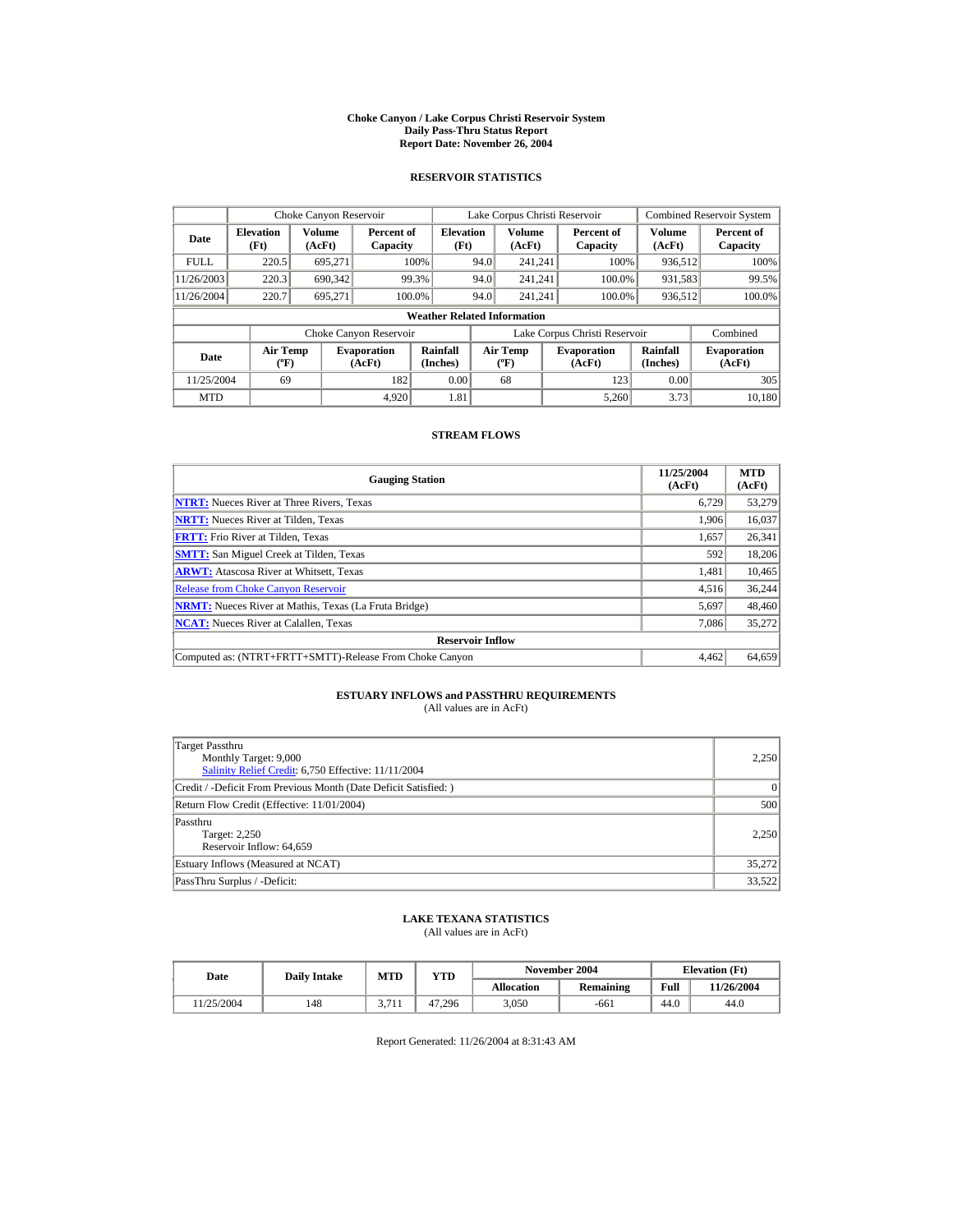#### **Choke Canyon / Lake Corpus Christi Reservoir System Daily Pass-Thru Status Report Report Date: November 26, 2004**

### **RESERVOIR STATISTICS**

|             | Choke Canyon Reservoir   |                                                                                                                                         |                        |                                    | Lake Corpus Christi Reservoir |                      |                              |                        | <b>Combined Reservoir System</b> |                        |  |
|-------------|--------------------------|-----------------------------------------------------------------------------------------------------------------------------------------|------------------------|------------------------------------|-------------------------------|----------------------|------------------------------|------------------------|----------------------------------|------------------------|--|
| Date        | <b>Elevation</b><br>(Ft) | Volume<br>(AcFt)                                                                                                                        | Percent of<br>Capacity | <b>Elevation</b><br>(Ft)           |                               | Volume<br>(AcFt)     |                              | Percent of<br>Capacity | Volume<br>(AcFt)                 | Percent of<br>Capacity |  |
| <b>FULL</b> | 220.5                    | 695.271                                                                                                                                 |                        | 100%                               | 94.0                          | 241.241              |                              | 100%                   | 936,512                          | 100%                   |  |
| 11/26/2003  | 220.3                    | 690,342                                                                                                                                 |                        | 99.3%                              | 94.0                          | 241.241              |                              | 100.0%                 | 931,583                          | 99.5%                  |  |
| 11/26/2004  | 220.7                    | 695.271                                                                                                                                 |                        | 100.0%                             | 94.0                          | 241.241              |                              | 100.0%                 | 936,512                          | 100.0%                 |  |
|             |                          |                                                                                                                                         |                        | <b>Weather Related Information</b> |                               |                      |                              |                        |                                  |                        |  |
|             |                          |                                                                                                                                         | Choke Canyon Reservoir |                                    | Lake Corpus Christi Reservoir |                      |                              |                        | Combined                         |                        |  |
| Date        |                          | Rainfall<br><b>Air Temp</b><br><b>Air Temp</b><br><b>Evaporation</b><br>$({}^{\circ}\mathrm{F})$<br>(Inches)<br>(AcFt)<br>$(^{\circ}F)$ |                        |                                    | <b>Evaporation</b><br>(AcFt)  | Rainfall<br>(Inches) | <b>Evaporation</b><br>(AcFt) |                        |                                  |                        |  |
| 11/25/2004  | 69                       |                                                                                                                                         | 182                    | 0.00                               |                               | 68                   |                              | 123                    | 0.00                             | 305                    |  |
| <b>MTD</b>  |                          |                                                                                                                                         | 4.920                  | 1.81                               |                               |                      |                              | 5.260                  | 3.73                             | 10.180                 |  |

### **STREAM FLOWS**

| <b>Gauging Station</b>                                       | 11/25/2004<br>(AcFt) | <b>MTD</b><br>(AcFt) |
|--------------------------------------------------------------|----------------------|----------------------|
| <b>NTRT:</b> Nueces River at Three Rivers, Texas             | 6,729                | 53,279               |
| <b>NRTT:</b> Nueces River at Tilden, Texas                   | 1.906                | 16,037               |
| <b>FRTT:</b> Frio River at Tilden, Texas                     | 1.657                | 26,341               |
| <b>SMTT:</b> San Miguel Creek at Tilden, Texas               | 592                  | 18,206               |
| <b>ARWT:</b> Atascosa River at Whitsett, Texas               | 1,481                | 10,465               |
| <b>Release from Choke Canyon Reservoir</b>                   | 4,516                | 36.244               |
| <b>NRMT:</b> Nueces River at Mathis, Texas (La Fruta Bridge) | 5,697                | 48,460               |
| <b>NCAT:</b> Nueces River at Calallen, Texas                 | 7,086                | 35,272               |
| <b>Reservoir Inflow</b>                                      |                      |                      |
| Computed as: (NTRT+FRTT+SMTT)-Release From Choke Canyon      | 4.462                | 64,659               |

# **ESTUARY INFLOWS and PASSTHRU REQUIREMENTS**<br>(All values are in AcFt)

| Target Passthru<br>Monthly Target: 9,000<br>Salinity Relief Credit: 6,750 Effective: 11/11/2004 | 2,250  |
|-------------------------------------------------------------------------------------------------|--------|
| Credit / -Deficit From Previous Month (Date Deficit Satisfied:)                                 | 0      |
| Return Flow Credit (Effective: 11/01/2004)                                                      | 500    |
| Passthru<br>Target: 2,250<br>Reservoir Inflow: 64,659                                           | 2.250  |
| Estuary Inflows (Measured at NCAT)                                                              | 35,272 |
| PassThru Surplus / -Deficit:                                                                    | 33,522 |

## **LAKE TEXANA STATISTICS**

(All values are in AcFt)

| Date      | <b>Daily Intake</b> | <b>MTD</b>            | YTD    |                   | November 2004 | <b>Elevation</b> (Ft) |            |
|-----------|---------------------|-----------------------|--------|-------------------|---------------|-----------------------|------------|
|           |                     |                       |        | <b>Allocation</b> | Remaining     | Full                  | 11/26/2004 |
| 1/25/2004 | 148                 | 2711<br><i>J.I</i> 11 | 47.296 | 3.050             | -661          | 44.0                  | 44.0       |

Report Generated: 11/26/2004 at 8:31:43 AM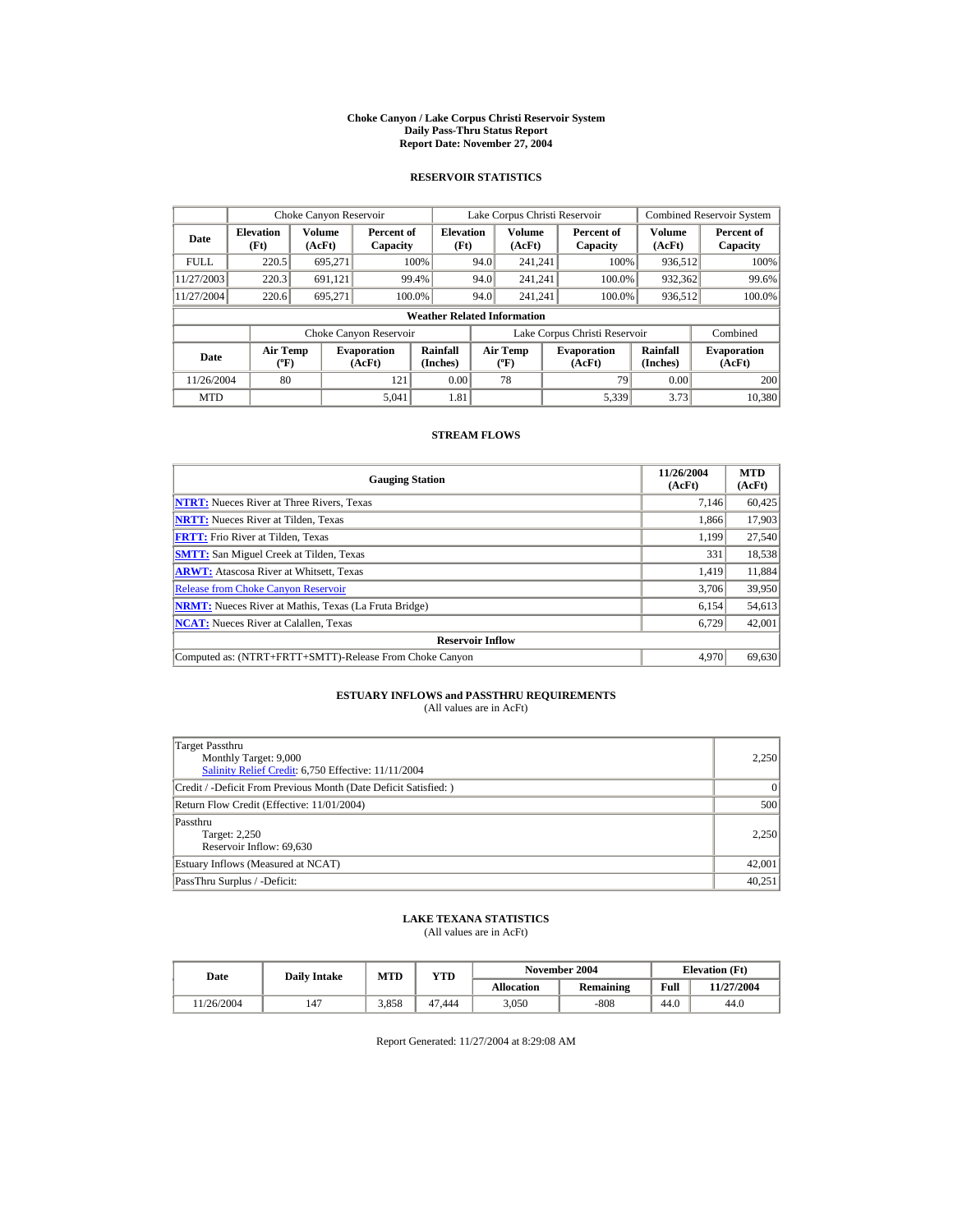#### **Choke Canyon / Lake Corpus Christi Reservoir System Daily Pass-Thru Status Report Report Date: November 27, 2004**

### **RESERVOIR STATISTICS**

|             | Choke Canyon Reservoir                      |                  |                              |                                    | Lake Corpus Christi Reservoir             |                  |  |                              |                      | <b>Combined Reservoir System</b> |
|-------------|---------------------------------------------|------------------|------------------------------|------------------------------------|-------------------------------------------|------------------|--|------------------------------|----------------------|----------------------------------|
| Date        | <b>Elevation</b><br>(Ft)                    | Volume<br>(AcFt) | Percent of<br>Capacity       | <b>Elevation</b><br>(Ft)           |                                           | Volume<br>(AcFt) |  | Percent of<br>Capacity       | Volume<br>(AcFt)     | Percent of<br>Capacity           |
| <b>FULL</b> | 220.5                                       | 695.271          |                              | 100%                               | 94.0                                      | 241.241          |  | 100%                         | 936,512              | 100%                             |
| 11/27/2003  | 220.3                                       | 691,121          |                              | 99.4%                              | 94.0                                      | 241.241          |  | 100.0%                       | 932,362              | 99.6%                            |
| 11/27/2004  | 220.6                                       | 695.271          | 100.0%                       |                                    | 94.0                                      | 241.241          |  | 100.0%                       | 936,512              | 100.0%                           |
|             |                                             |                  |                              | <b>Weather Related Information</b> |                                           |                  |  |                              |                      |                                  |
|             |                                             |                  | Choke Canyon Reservoir       |                                    | Lake Corpus Christi Reservoir             |                  |  |                              | Combined             |                                  |
| Date        | <b>Air Temp</b><br>$({}^{\circ}\mathrm{F})$ |                  | <b>Evaporation</b><br>(AcFt) | Rainfall<br>(Inches)               | <b>Air Temp</b><br>$({}^{\circ}\text{F})$ |                  |  | <b>Evaporation</b><br>(AcFt) | Rainfall<br>(Inches) | <b>Evaporation</b><br>(AcFt)     |
| 11/26/2004  | 80                                          |                  | 121                          | 0.00                               |                                           | 78               |  | 79                           | 0.00                 | 200                              |
| <b>MTD</b>  |                                             |                  | 5.041                        | 1.81                               |                                           |                  |  | 5,339                        | 3.73                 | 10,380                           |

### **STREAM FLOWS**

| <b>Gauging Station</b>                                       | 11/26/2004<br>(AcFt) | <b>MTD</b><br>(AcFt) |
|--------------------------------------------------------------|----------------------|----------------------|
| <b>NTRT:</b> Nueces River at Three Rivers, Texas             | 7.146                | 60,425               |
| <b>NRTT:</b> Nueces River at Tilden, Texas                   | 1.866                | 17,903               |
| <b>FRTT:</b> Frio River at Tilden, Texas                     | 1,199                | 27,540               |
| <b>SMTT:</b> San Miguel Creek at Tilden, Texas               | 331                  | 18,538               |
| <b>ARWT:</b> Atascosa River at Whitsett, Texas               | 1,419                | 11,884               |
| <b>Release from Choke Canyon Reservoir</b>                   | 3,706                | 39,950               |
| <b>NRMT:</b> Nueces River at Mathis, Texas (La Fruta Bridge) | 6,154                | 54,613               |
| <b>NCAT:</b> Nueces River at Calallen, Texas                 | 6,729                | 42,001               |
| <b>Reservoir Inflow</b>                                      |                      |                      |
| Computed as: (NTRT+FRTT+SMTT)-Release From Choke Canyon      | 4.970                | 69,630               |

# **ESTUARY INFLOWS and PASSTHRU REQUIREMENTS**<br>(All values are in AcFt)

| Target Passthru<br>Monthly Target: 9,000<br>Salinity Relief Credit: 6,750 Effective: 11/11/2004 | 2,250  |
|-------------------------------------------------------------------------------------------------|--------|
| Credit / -Deficit From Previous Month (Date Deficit Satisfied:)                                 | 0      |
| Return Flow Credit (Effective: 11/01/2004)                                                      | 500    |
| Passthru<br>Target: 2,250<br>Reservoir Inflow: 69,630                                           | 2.250  |
| Estuary Inflows (Measured at NCAT)                                                              | 42,001 |
| PassThru Surplus / -Deficit:                                                                    | 40.251 |

## **LAKE TEXANA STATISTICS**

(All values are in AcFt)

| Date      | <b>Daily Intake</b> | <b>MTD</b> | YTD    |                   | November 2004 | <b>Elevation</b> (Ft) |            |
|-----------|---------------------|------------|--------|-------------------|---------------|-----------------------|------------|
|           |                     |            |        | <b>Allocation</b> | Remaining     | Full                  | 11/27/2004 |
| 1/26/2004 | 147                 | 3.858      | 47.444 | 3.050             | $-808$        | 44.0                  | 44.0       |

Report Generated: 11/27/2004 at 8:29:08 AM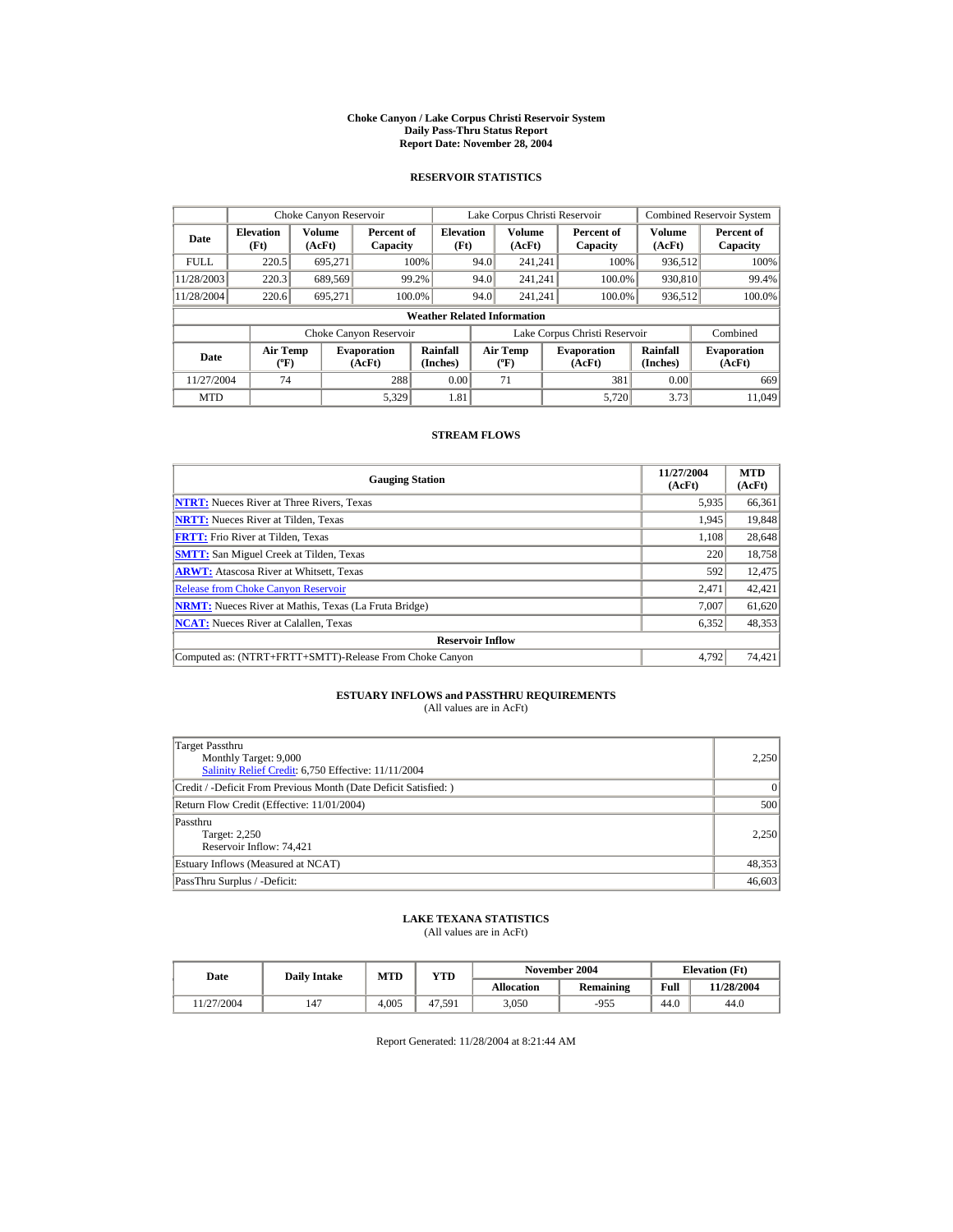#### **Choke Canyon / Lake Corpus Christi Reservoir System Daily Pass-Thru Status Report Report Date: November 28, 2004**

### **RESERVOIR STATISTICS**

|             | Choke Canyon Reservoir                      |                  |                              |                                    | Lake Corpus Christi Reservoir |                                           |                        |                              |                      | <b>Combined Reservoir System</b> |
|-------------|---------------------------------------------|------------------|------------------------------|------------------------------------|-------------------------------|-------------------------------------------|------------------------|------------------------------|----------------------|----------------------------------|
| Date        | <b>Elevation</b><br>(Ft)                    | Volume<br>(AcFt) | Percent of<br>Capacity       | <b>Elevation</b><br>(Ft)           |                               | Volume<br>(AcFt)                          | Percent of<br>Capacity |                              | Volume<br>(AcFt)     | Percent of<br>Capacity           |
| <b>FULL</b> | 220.5                                       | 695.271          |                              | 100%                               | 94.0                          | 241.241                                   |                        | 100%                         | 936,512              | 100%                             |
| 11/28/2003  | 220.3                                       | 689,569          |                              | 99.2%                              | 94.0                          | 241.241                                   |                        | 100.0%                       | 930,810              | 99.4%                            |
| 11/28/2004  | 220.6                                       | 695.271          | 100.0%                       |                                    | 94.0                          | 241.241                                   |                        | 100.0%                       | 936,512              | 100.0%                           |
|             |                                             |                  |                              | <b>Weather Related Information</b> |                               |                                           |                        |                              |                      |                                  |
|             |                                             |                  | Choke Canyon Reservoir       |                                    | Lake Corpus Christi Reservoir |                                           |                        |                              | Combined             |                                  |
| Date        | <b>Air Temp</b><br>$({}^{\circ}\mathrm{F})$ |                  | <b>Evaporation</b><br>(AcFt) | Rainfall<br>(Inches)               |                               | <b>Air Temp</b><br>$({}^{\circ}\text{F})$ |                        | <b>Evaporation</b><br>(AcFt) | Rainfall<br>(Inches) | <b>Evaporation</b><br>(AcFt)     |
| 11/27/2004  | 74                                          |                  | 288                          | 0.00                               |                               | 71                                        |                        | 381                          | 0.00                 | 669                              |
| <b>MTD</b>  |                                             |                  | 5.329                        | 1.81                               |                               |                                           |                        | 5.720                        | 3.73                 | 11.049                           |

### **STREAM FLOWS**

| <b>Gauging Station</b>                                       | 11/27/2004<br>(AcFt) | <b>MTD</b><br>(AcFt) |
|--------------------------------------------------------------|----------------------|----------------------|
| <b>NTRT:</b> Nueces River at Three Rivers, Texas             | 5,935                | 66,361               |
| <b>NRTT:</b> Nueces River at Tilden, Texas                   | 1,945                | 19,848               |
| <b>FRTT:</b> Frio River at Tilden, Texas                     | 1,108                | 28,648               |
| <b>SMTT:</b> San Miguel Creek at Tilden, Texas               | 220                  | 18,758               |
| <b>ARWT:</b> Atascosa River at Whitsett, Texas               | 592                  | 12,475               |
| <b>Release from Choke Canyon Reservoir</b>                   | 2.471                | 42,421               |
| <b>NRMT:</b> Nueces River at Mathis, Texas (La Fruta Bridge) | 7.007                | 61,620               |
| <b>NCAT:</b> Nueces River at Calallen, Texas                 | 6,352                | 48,353               |
| <b>Reservoir Inflow</b>                                      |                      |                      |
| Computed as: (NTRT+FRTT+SMTT)-Release From Choke Canyon      | 4.792                | 74,421               |

# **ESTUARY INFLOWS and PASSTHRU REQUIREMENTS**<br>(All values are in AcFt)

| Target Passthru<br>Monthly Target: 9,000<br>Salinity Relief Credit: 6,750 Effective: 11/11/2004 | 2,250  |
|-------------------------------------------------------------------------------------------------|--------|
| Credit / -Deficit From Previous Month (Date Deficit Satisfied:)                                 | 0      |
| Return Flow Credit (Effective: 11/01/2004)                                                      | 500    |
| Passthru<br>Target: 2,250<br>Reservoir Inflow: 74,421                                           | 2.250  |
| Estuary Inflows (Measured at NCAT)                                                              | 48,353 |
| PassThru Surplus / -Deficit:                                                                    | 46,603 |

## **LAKE TEXANA STATISTICS**

(All values are in AcFt)

| Date      | <b>Daily Intake</b> | November 2004<br><b>MTD</b><br>YTD |        | <b>Elevation</b> (Ft) |           |      |            |
|-----------|---------------------|------------------------------------|--------|-----------------------|-----------|------|------------|
|           |                     |                                    |        | <b>Allocation</b>     | Remaining | Full | 11/28/2004 |
| 1/27/2004 | 147                 | 4.005                              | 47.591 | 3.050                 | -955      | 44.0 | 44.0       |

Report Generated: 11/28/2004 at 8:21:44 AM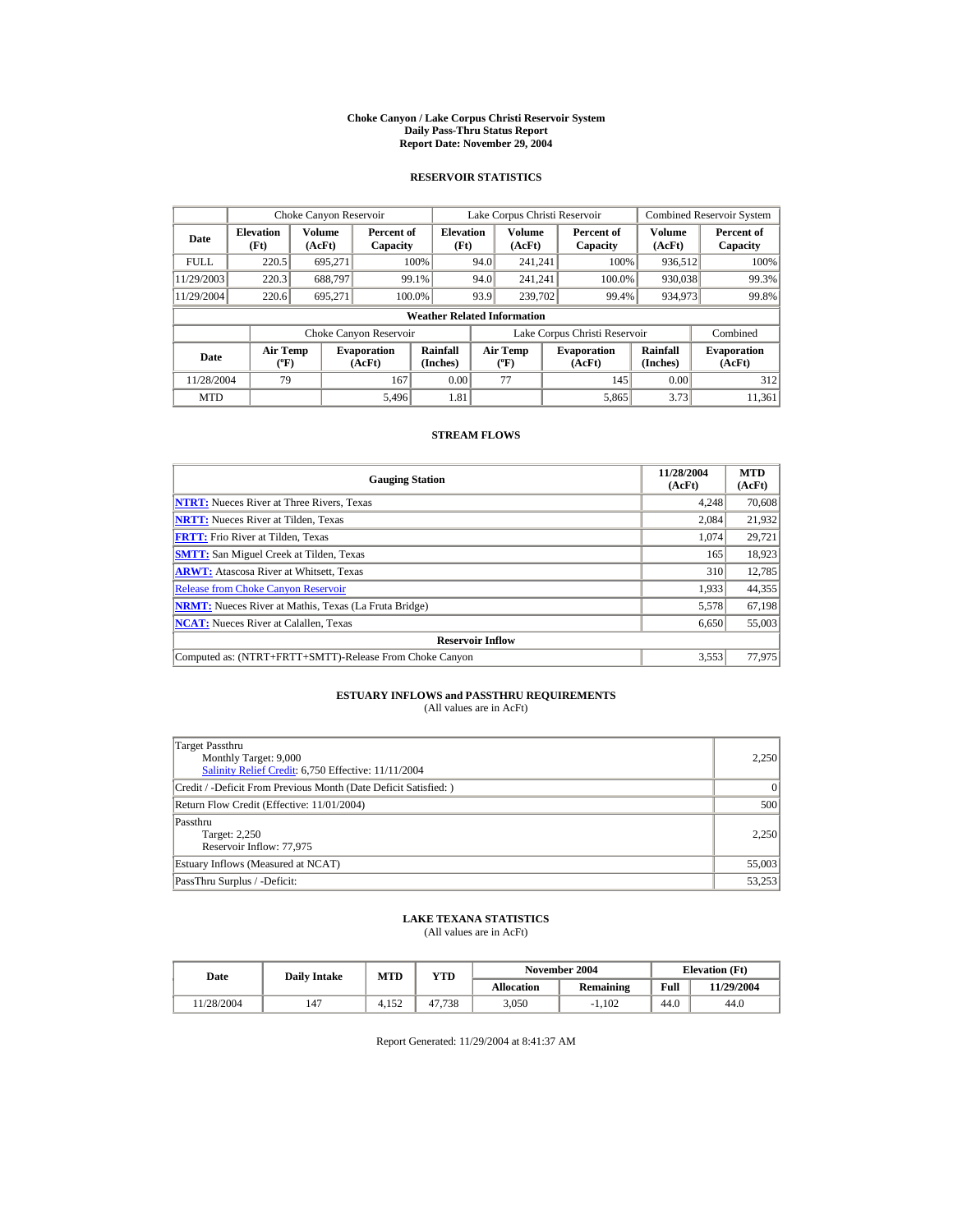#### **Choke Canyon / Lake Corpus Christi Reservoir System Daily Pass-Thru Status Report Report Date: November 29, 2004**

### **RESERVOIR STATISTICS**

|             | Choke Canyon Reservoir                      |                  |                              |                                    | Lake Corpus Christi Reservoir |                                           |                        |                              |                      | <b>Combined Reservoir System</b> |
|-------------|---------------------------------------------|------------------|------------------------------|------------------------------------|-------------------------------|-------------------------------------------|------------------------|------------------------------|----------------------|----------------------------------|
| Date        | <b>Elevation</b><br>(Ft)                    | Volume<br>(AcFt) | Percent of<br>Capacity       | <b>Elevation</b><br>(Ft)           |                               | Volume<br>(AcFt)                          | Percent of<br>Capacity |                              | Volume<br>(AcFt)     | Percent of<br>Capacity           |
| <b>FULL</b> | 220.5                                       | 695.271          |                              | 100%                               | 94.0                          | 241.241                                   |                        | 100%                         | 936,512              | 100%                             |
| 11/29/2003  | 220.3                                       | 688.797          | 99.1%                        |                                    | 94.0                          | 241.241                                   |                        | 100.0%                       | 930,038              | 99.3%                            |
| 11/29/2004  | 220.6                                       | 695.271          | 100.0%                       |                                    | 93.9                          | 239,702                                   |                        | 99.4%                        | 934,973              | 99.8%                            |
|             |                                             |                  |                              | <b>Weather Related Information</b> |                               |                                           |                        |                              |                      |                                  |
|             |                                             |                  | Choke Canyon Reservoir       |                                    | Lake Corpus Christi Reservoir |                                           |                        |                              | Combined             |                                  |
| Date        | <b>Air Temp</b><br>$({}^{\circ}\mathrm{F})$ |                  | <b>Evaporation</b><br>(AcFt) | Rainfall<br>(Inches)               |                               | <b>Air Temp</b><br>$({}^{\circ}\text{F})$ |                        | <b>Evaporation</b><br>(AcFt) | Rainfall<br>(Inches) | <b>Evaporation</b><br>(AcFt)     |
| 11/28/2004  | 79                                          |                  | 167                          | 0.00                               |                               | 77                                        |                        | 145                          | 0.00                 | 312                              |
| <b>MTD</b>  |                                             |                  | 5.496                        | 1.81                               |                               |                                           |                        | 5,865                        | 3.73                 | 11,361                           |

### **STREAM FLOWS**

| <b>Gauging Station</b>                                       | 11/28/2004<br>(AcFt) | <b>MTD</b><br>(AcFt) |
|--------------------------------------------------------------|----------------------|----------------------|
| <b>NTRT:</b> Nueces River at Three Rivers, Texas             | 4,248                | 70,608               |
| <b>NRTT:</b> Nueces River at Tilden, Texas                   | 2,084                | 21,932               |
| <b>FRTT:</b> Frio River at Tilden, Texas                     | 1.074                | 29,721               |
| <b>SMTT:</b> San Miguel Creek at Tilden, Texas               | 165                  | 18,923               |
| <b>ARWT:</b> Atascosa River at Whitsett, Texas               | 310                  | 12,785               |
| <b>Release from Choke Canvon Reservoir</b>                   | 1,933                | 44,355               |
| <b>NRMT:</b> Nueces River at Mathis, Texas (La Fruta Bridge) | 5,578                | 67,198               |
| <b>NCAT:</b> Nueces River at Calallen, Texas                 | 6,650                | 55,003               |
| <b>Reservoir Inflow</b>                                      |                      |                      |
| Computed as: (NTRT+FRTT+SMTT)-Release From Choke Canyon      | 3,553                | 77,975               |

# **ESTUARY INFLOWS and PASSTHRU REQUIREMENTS**<br>(All values are in AcFt)

| Target Passthru<br>Monthly Target: 9,000<br>Salinity Relief Credit: 6,750 Effective: 11/11/2004 | 2,250  |
|-------------------------------------------------------------------------------------------------|--------|
| Credit / -Deficit From Previous Month (Date Deficit Satisfied: )                                | 0      |
| Return Flow Credit (Effective: 11/01/2004)                                                      | 500    |
| Passthru<br>Target: 2,250<br>Reservoir Inflow: 77,975                                           | 2.250  |
| Estuary Inflows (Measured at NCAT)                                                              | 55,003 |
| PassThru Surplus / -Deficit:                                                                    | 53,253 |

## **LAKE TEXANA STATISTICS**

(All values are in AcFt)

| Date      | <b>Daily Intake</b> | <b>MTD</b> | YTD    |                   | November 2004 | <b>Elevation</b> (Ft) |            |
|-----------|---------------------|------------|--------|-------------------|---------------|-----------------------|------------|
|           |                     |            |        | <b>Allocation</b> | Remaining     | Full                  | 11/29/2004 |
| 1/28/2004 | 147                 | 1.152      | 47.738 | 3.050             | $-1.102$      | 44.0                  | 44.0       |

Report Generated: 11/29/2004 at 8:41:37 AM